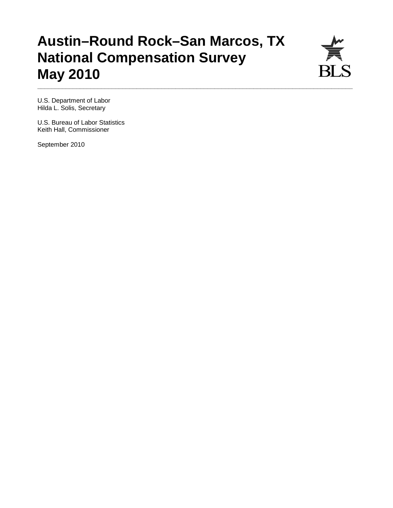# **Austin–Round Rock–San Marcos, TX National Compensation Survey May 2010**

**\_\_\_\_\_\_\_\_\_\_\_\_\_\_\_\_\_\_\_\_\_\_\_\_\_\_\_\_\_\_\_\_\_\_\_\_\_\_\_\_\_\_\_\_\_\_\_\_\_\_\_\_\_\_\_\_\_\_\_\_\_\_\_\_\_\_\_\_\_\_\_\_\_\_\_\_\_\_\_\_\_\_\_\_\_\_\_\_\_** 



U.S. Department of Labor Hilda L. Solis, Secretary

U.S. Bureau of Labor Statistics Keith Hall, Commissioner

September 2010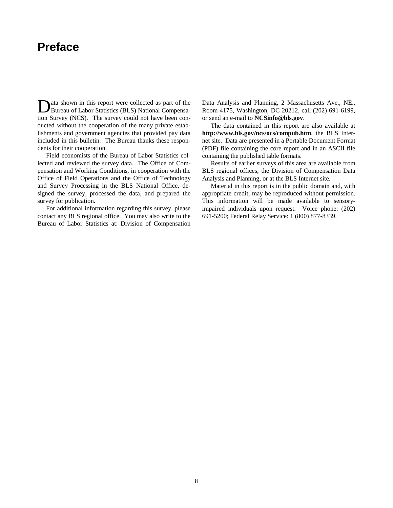# **Preface**

ata shown in this report were collected as part of the Data shown in this report were collected as part of the<br>Bureau of Labor Statistics (BLS) National Compensation Survey (NCS). The survey could not have been conducted without the cooperation of the many private establishments and government agencies that provided pay data included in this bulletin. The Bureau thanks these respondents for their cooperation.

 Field economists of the Bureau of Labor Statistics collected and reviewed the survey data. The Office of Compensation and Working Conditions, in cooperation with the Office of Field Operations and the Office of Technology and Survey Processing in the BLS National Office, designed the survey, processed the data, and prepared the survey for publication.

 For additional information regarding this survey, please contact any BLS regional office. You may also write to the Bureau of Labor Statistics at: Division of Compensation Data Analysis and Planning, 2 Massachusetts Ave., NE., Room 4175, Washington, DC 20212, call (202) 691-6199, or send an e-mail to **NCSinfo@bls.gov**.

 The data contained in this report are also available at **http://www.bls.gov/ncs/ocs/compub.htm**, the BLS Internet site. Data are presented in a Portable Document Format (PDF) file containing the core report and in an ASCII file containing the published table formats.

 Results of earlier surveys of this area are available from BLS regional offices, the Division of Compensation Data Analysis and Planning, or at the BLS Internet site.

 Material in this report is in the public domain and, with appropriate credit, may be reproduced without permission. This information will be made available to sensoryimpaired individuals upon request. Voice phone: (202) 691-5200; Federal Relay Service: 1 (800) 877-8339.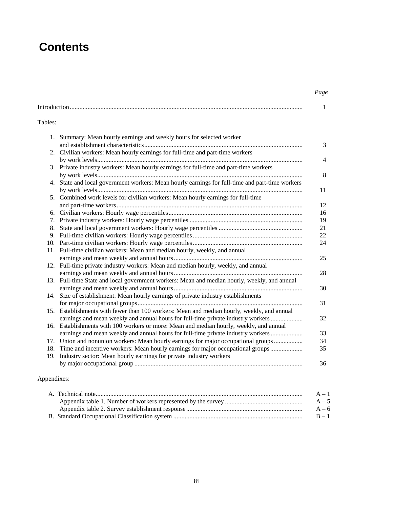# **Contents**

### *Page*

|         |                                                                                                                                                                                | 1              |
|---------|--------------------------------------------------------------------------------------------------------------------------------------------------------------------------------|----------------|
| Tables: |                                                                                                                                                                                |                |
|         | 1. Summary: Mean hourly earnings and weekly hours for selected worker                                                                                                          | 3              |
|         | 2. Civilian workers: Mean hourly earnings for full-time and part-time workers                                                                                                  |                |
|         | 3. Private industry workers: Mean hourly earnings for full-time and part-time workers                                                                                          | $\overline{4}$ |
|         | 4. State and local government workers: Mean hourly earnings for full-time and part-time workers                                                                                | 8              |
|         |                                                                                                                                                                                | 11             |
|         | 5. Combined work levels for civilian workers: Mean hourly earnings for full-time                                                                                               | 12             |
|         |                                                                                                                                                                                | 16             |
|         |                                                                                                                                                                                | 19             |
| 8.      |                                                                                                                                                                                | 21             |
|         |                                                                                                                                                                                | 22             |
|         |                                                                                                                                                                                | 24             |
|         | 11. Full-time civilian workers: Mean and median hourly, weekly, and annual                                                                                                     |                |
|         |                                                                                                                                                                                | 25             |
|         | 12. Full-time private industry workers: Mean and median hourly, weekly, and annual                                                                                             | 28             |
|         | 13. Full-time State and local government workers: Mean and median hourly, weekly, and annual                                                                                   | 30             |
|         | 14. Size of establishment: Mean hourly earnings of private industry establishments                                                                                             |                |
|         |                                                                                                                                                                                | 31             |
|         | 15. Establishments with fewer than 100 workers: Mean and median hourly, weekly, and annual<br>earnings and mean weekly and annual hours for full-time private industry workers | 32             |
|         | 16. Establishments with 100 workers or more: Mean and median hourly, weekly, and annual                                                                                        |                |
|         | earnings and mean weekly and annual hours for full-time private industry workers                                                                                               | 33             |
|         | 17. Union and nonunion workers: Mean hourly earnings for major occupational groups                                                                                             | 34             |
|         | 18. Time and incentive workers: Mean hourly earnings for major occupational groups                                                                                             | 35             |
|         | 19. Industry sector: Mean hourly earnings for private industry workers                                                                                                         | 36             |
|         |                                                                                                                                                                                |                |

## Appendixes:

|  | $A - 1$ |
|--|---------|
|  | $A - 5$ |
|  | $A - 6$ |
|  | $B-1$   |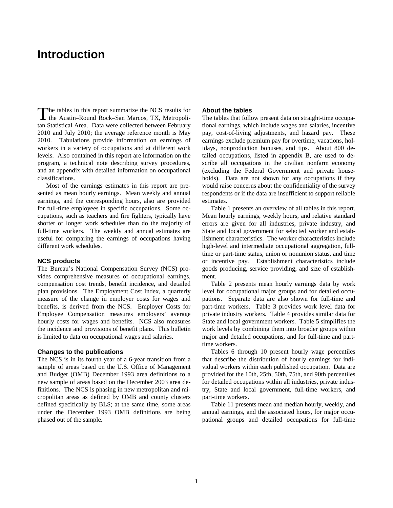# **Introduction**

The tables in this report summarize the NCS results for The tables in this report summarize the NCS results for<br>the Austin–Round Rock–San Marcos, TX, Metropolitan Statistical Area. Data were collected between February 2010 and July 2010; the average reference month is May 2010. Tabulations provide information on earnings of workers in a variety of occupations and at different work levels. Also contained in this report are information on the program, a technical note describing survey procedures, and an appendix with detailed information on occupational classifications.

 Most of the earnings estimates in this report are presented as mean hourly earnings. Mean weekly and annual earnings, and the corresponding hours, also are provided for full-time employees in specific occupations. Some occupations, such as teachers and fire fighters, typically have shorter or longer work schedules than do the majority of full-time workers. The weekly and annual estimates are useful for comparing the earnings of occupations having different work schedules.

### **NCS products**

The Bureau's National Compensation Survey (NCS) provides comprehensive measures of occupational earnings, compensation cost trends, benefit incidence, and detailed plan provisions. The Employment Cost Index, a quarterly measure of the change in employer costs for wages and benefits, is derived from the NCS. Employer Costs for Employee Compensation measures employers' average hourly costs for wages and benefits. NCS also measures the incidence and provisions of benefit plans. This bulletin is limited to data on occupational wages and salaries.

### **Changes to the publications**

The NCS is in its fourth year of a 6-year transition from a sample of areas based on the U.S. Office of Management and Budget (OMB) December 1993 area definitions to a new sample of areas based on the December 2003 area definitions. The NCS is phasing in new metropolitan and micropolitan areas as defined by OMB and county clusters defined specifically by BLS; at the same time, some areas under the December 1993 OMB definitions are being phased out of the sample.

### **About the tables**

The tables that follow present data on straight-time occupational earnings, which include wages and salaries, incentive pay, cost-of-living adjustments, and hazard pay. These earnings exclude premium pay for overtime, vacations, holidays, nonproduction bonuses, and tips. About 800 detailed occupations, listed in appendix B, are used to describe all occupations in the civilian nonfarm economy (excluding the Federal Government and private households). Data are not shown for any occupations if they would raise concerns about the confidentiality of the survey respondents or if the data are insufficient to support reliable estimates.

 Table 1 presents an overview of all tables in this report. Mean hourly earnings, weekly hours, and relative standard errors are given for all industries, private industry, and State and local government for selected worker and establishment characteristics. The worker characteristics include high-level and intermediate occupational aggregation, fulltime or part-time status, union or nonunion status, and time or incentive pay. Establishment characteristics include goods producing, service providing, and size of establishment.

 Table 2 presents mean hourly earnings data by work level for occupational major groups and for detailed occupations. Separate data are also shown for full-time and part-time workers. Table 3 provides work level data for private industry workers. Table 4 provides similar data for State and local government workers. Table 5 simplifies the work levels by combining them into broader groups within major and detailed occupations, and for full-time and parttime workers.

Tables 6 through 10 present hourly wage percentiles that describe the distribution of hourly earnings for individual workers within each published occupation. Data are provided for the 10th, 25th, 50th, 75th, and 90th percentiles for detailed occupations within all industries, private industry, State and local government, full-time workers, and part-time workers.

 Table 11 presents mean and median hourly, weekly, and annual earnings, and the associated hours, for major occupational groups and detailed occupations for full-time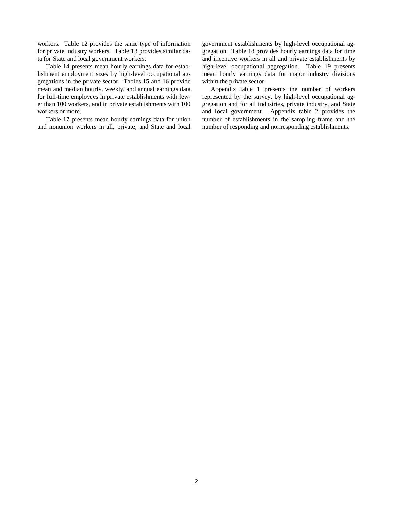workers. Table 12 provides the same type of information for private industry workers. Table 13 provides similar data for State and local government workers.

 Table 14 presents mean hourly earnings data for establishment employment sizes by high-level occupational aggregations in the private sector. Tables 15 and 16 provide mean and median hourly, weekly, and annual earnings data for full-time employees in private establishments with fewer than 100 workers, and in private establishments with 100 workers or more.

 Table 17 presents mean hourly earnings data for union and nonunion workers in all, private, and State and local government establishments by high-level occupational aggregation. Table 18 provides hourly earnings data for time and incentive workers in all and private establishments by high-level occupational aggregation. Table 19 presents mean hourly earnings data for major industry divisions within the private sector.

 Appendix table 1 presents the number of workers represented by the survey, by high-level occupational aggregation and for all industries, private industry, and State and local government. Appendix table 2 provides the number of establishments in the sampling frame and the number of responding and nonresponding establishments.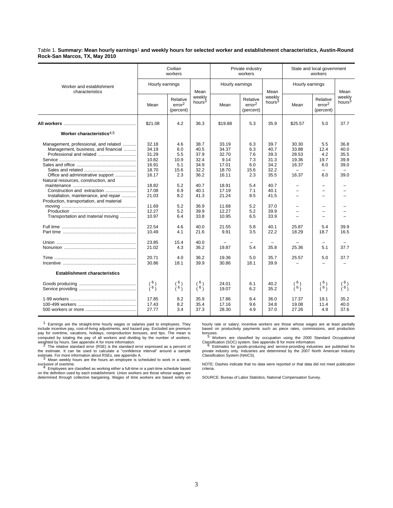Table 1. **Summary: Mean hourly earnings**1 **and weekly hours for selected worker and establishment characteristics, Austin-Round Rock-San Marcos, TX, May 2010**

|                                                                                                                                                                                                                                                                                                                  | Civilian<br>workers                                                                                                                 |                                                                                                         |                                                                                                                      |                                                                                                                                   | Private industry<br>workers                                                                            |                                                                                                                      | State and local government<br>workers                                                                                                                                  |                                                                                                                       |                                                              |  |
|------------------------------------------------------------------------------------------------------------------------------------------------------------------------------------------------------------------------------------------------------------------------------------------------------------------|-------------------------------------------------------------------------------------------------------------------------------------|---------------------------------------------------------------------------------------------------------|----------------------------------------------------------------------------------------------------------------------|-----------------------------------------------------------------------------------------------------------------------------------|--------------------------------------------------------------------------------------------------------|----------------------------------------------------------------------------------------------------------------------|------------------------------------------------------------------------------------------------------------------------------------------------------------------------|-----------------------------------------------------------------------------------------------------------------------|--------------------------------------------------------------|--|
| Worker and establishment<br>characteristics                                                                                                                                                                                                                                                                      | Hourly earnings                                                                                                                     |                                                                                                         | Mean                                                                                                                 | Hourly earnings                                                                                                                   |                                                                                                        | Mean                                                                                                                 | Hourly earnings                                                                                                                                                        |                                                                                                                       | Mean                                                         |  |
|                                                                                                                                                                                                                                                                                                                  | Mean                                                                                                                                | Relative<br>error <sup>2</sup><br>(percent)                                                             | weekly<br>hours <sup>3</sup>                                                                                         | Mean                                                                                                                              | Relative<br>error <sup>2</sup><br>(percent)                                                            | weekly<br>hours <sup>3</sup>                                                                                         | Mean                                                                                                                                                                   | Relative<br>error <sup>2</sup><br>(percent)                                                                           | weekly<br>hours <sup>3</sup>                                 |  |
|                                                                                                                                                                                                                                                                                                                  | \$21.08                                                                                                                             | 4.2                                                                                                     | 36.3                                                                                                                 | \$19.88                                                                                                                           | 5.3                                                                                                    | 35.9                                                                                                                 | \$25.57                                                                                                                                                                | 5.0                                                                                                                   | 37.7                                                         |  |
| Worker characteristics <sup>4,5</sup>                                                                                                                                                                                                                                                                            |                                                                                                                                     |                                                                                                         |                                                                                                                      |                                                                                                                                   |                                                                                                        |                                                                                                                      |                                                                                                                                                                        |                                                                                                                       |                                                              |  |
| Management, professional, and related<br>Management, business, and financial<br>Professional and related<br>Office and administrative support<br>Natural resources, construction, and<br>Installation, maintenance, and repair<br>Production, transportation, and material<br>Transportation and material moving | 32.18<br>34.19<br>31.29<br>10.82<br>16.91<br>18.70<br>16.17<br>18.82<br>17.08<br>21.03<br>11.69<br>12.27<br>10.97<br>22.54<br>10.49 | 4.6<br>6.0<br>5.5<br>10.9<br>5.1<br>15.6<br>2.3<br>5.2<br>6.9<br>8.2<br>5.2<br>5.2<br>6.4<br>4.6<br>4.1 | 38.7<br>40.5<br>37.9<br>32.4<br>34.9<br>32.2<br>36.2<br>40.7<br>40.1<br>41.3<br>36.9<br>39.9<br>33.8<br>40.0<br>21.6 | 33.19<br>34.37<br>32.70<br>9.14<br>17.01<br>18.70<br>16.11<br>18.91<br>17.19<br>21.24<br>11.68<br>12.27<br>10.95<br>21.55<br>9.91 | 6.3<br>6.3<br>7.6<br>7.3<br>6.0<br>15.6<br>2.3<br>5.4<br>7.1<br>8.5<br>5.2<br>5.2<br>6.5<br>5.8<br>3.5 | 39.7<br>40.7<br>39.3<br>31.3<br>34.2<br>32.2<br>35.5<br>40.7<br>40.1<br>41.5<br>37.0<br>39.9<br>33.9<br>40.1<br>22.2 | 30.30<br>33.88<br>28.53<br>19.36<br>16.37<br>16.37<br>$\overline{\phantom{0}}$<br>$\qquad \qquad -$<br>$\qquad \qquad -$<br>$\overline{\phantom{0}}$<br>25.87<br>18.29 | 5.5<br>12.4<br>4.2<br>19.7<br>6.0<br>$\equiv$<br>6.0<br>$\overline{\phantom{0}}$<br>$\equiv$<br>-<br>-<br>5.4<br>18.7 | 36.8<br>40.0<br>35.5<br>39.9<br>39.0<br>39.0<br>39.9<br>16.5 |  |
|                                                                                                                                                                                                                                                                                                                  | 23.85<br>21.02<br>20.71                                                                                                             | 15.4<br>4.3<br>4.0                                                                                      | 40.0<br>36.2<br>36.2                                                                                                 | 19.87<br>19.36                                                                                                                    | 5.4<br>5.0                                                                                             | 35.8<br>35.7                                                                                                         | 25.36<br>25.57                                                                                                                                                         | 5.1<br>5.0                                                                                                            | 37.7<br>37.7                                                 |  |
| <b>Establishment characteristics</b>                                                                                                                                                                                                                                                                             | 30.86                                                                                                                               | 18.1                                                                                                    | 39.9                                                                                                                 | 30.86                                                                                                                             | 18.1                                                                                                   | 39.9                                                                                                                 |                                                                                                                                                                        |                                                                                                                       |                                                              |  |
|                                                                                                                                                                                                                                                                                                                  | $\binom{6}{6}$                                                                                                                      | $\binom{6}{6}$                                                                                          | (6)<br>(6)                                                                                                           | 24.01<br>19.07                                                                                                                    | 6.1<br>6.2                                                                                             | 40.2<br>35.2                                                                                                         | (6)<br>(6)                                                                                                                                                             | $\binom{6}{6}$                                                                                                        | $\binom{6}{6}$                                               |  |
|                                                                                                                                                                                                                                                                                                                  | 17.85<br>17.43<br>27.77                                                                                                             | 8.2<br>8.2<br>3.4                                                                                       | 35.9<br>35.4<br>37.3                                                                                                 | 17.86<br>17.16<br>28.30                                                                                                           | 8.4<br>9.6<br>4.9                                                                                      | 36.0<br>34.8<br>37.0                                                                                                 | 17.37<br>19.08<br>27.26                                                                                                                                                | 19.1<br>11.4<br>4.9                                                                                                   | 35.2<br>40.0<br>37.6                                         |  |

<sup>1</sup> Earnings are the straight-time hourly wages or salaries paid to employees. They<br>include incentive pay, cost-of-living adjustments, and hazard pay. Excluded are premium pay for overtime, vacations, holidays, nonproduction bonuses, and tips. The mean is computed by totaling the pay of all workers and dividing by the number of workers,<br>weighted by hours. See appendix A for more information.<br>2 The relative standard error (RSE) is the standard error expressed as a percent of

The relative standard error (RSE) is the standard error expressed as a percent of the estimate. It can be used to calculate a "confidence interval" around a sample

estimate. For more information about RSEs, see appendix A.<br>3 Mean weekly hours are the hours an employee is scheduled to work in a week,<br>exclusive of overtime.

exclusive of overtime. <sup>4</sup> Employees are classified as working either a full-time or a part-time schedule based on the definition used by each establishment. Union workers are those whose wages are determined through collective bargaining. Wages of time workers are based solely on hourly rate or salary; incentive workers are those whose wages are at least partially based on productivity payments such as piece rates, commissions, and production bonuses. <sup>5</sup> Workers are classified by occupation using the 2000 Standard Occupational

Classification (SOC) system. See appendix B for more information.<br><sup>6</sup> Estimates for goods-producing and service-providing industries are published for

 $6$  Estimates for goods-producing and service-providing industries are published for private industry only. Industries are determined by the 2007 North American Industry Classification System (NAICS).

NOTE: Dashes indicate that no data were reported or that data did not meet publication criteria.

SOURCE: Bureau of Labor Statistics, National Compensation Survey.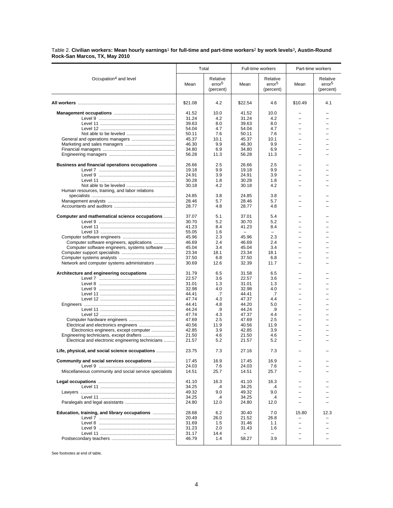Table 2. **Civilian workers: Mean hourly earnings**1 **for full-time and part-time workers**2 **by work levels**3**, Austin-Round Rock-San Marcos, TX, May 2010**

|                                                        | Total          |                                             |                          | Full-time workers                           | Part-time workers        |                                             |
|--------------------------------------------------------|----------------|---------------------------------------------|--------------------------|---------------------------------------------|--------------------------|---------------------------------------------|
| Occupation <sup>4</sup> and level                      | Mean           | Relative<br>error <sup>5</sup><br>(percent) | Mean                     | Relative<br>error <sup>5</sup><br>(percent) | Mean                     | Relative<br>error <sup>5</sup><br>(percent) |
|                                                        | \$21.08        | 4.2                                         | \$22.54                  | 4.6                                         | \$10.49                  | 4.1                                         |
|                                                        | 41.52          | 10.0                                        | 41.52                    | 10.0                                        |                          |                                             |
|                                                        | 31.24          | 4.2                                         | 31.24                    | 4.2                                         | $\overline{\phantom{0}}$ |                                             |
|                                                        | 39.63          | 8.0                                         | 39.63                    | 8.0                                         |                          |                                             |
|                                                        | 54.04          | 4.7                                         | 54.04                    | 4.7                                         | $\overline{\phantom{0}}$ |                                             |
|                                                        | 50.11          | 7.6                                         | 50.11                    | 7.6                                         | $\overline{\phantom{0}}$ |                                             |
|                                                        | 45.37          | 10.1                                        | 45.37                    | 10.1                                        |                          |                                             |
|                                                        | 46.30          | 9.9                                         | 46.30                    | 9.9                                         | $\overline{\phantom{0}}$ |                                             |
|                                                        | 34.80          | 6.9                                         | 34.80                    | 6.9                                         | $\equiv$                 |                                             |
|                                                        | 56.28          | 11.3                                        | 56.28                    | 11.3                                        |                          |                                             |
|                                                        |                |                                             |                          |                                             |                          |                                             |
| Business and financial operations occupations          | 26.66          | 2.5                                         | 26.66                    | 2.5                                         |                          |                                             |
|                                                        | 19.18          | 9.9                                         | 19.18                    | 9.9                                         |                          |                                             |
|                                                        | 24.91<br>30.28 | 3.9<br>1.8                                  | 24.91<br>30.28           | 3.9<br>1.8                                  | $\overline{\phantom{0}}$ |                                             |
|                                                        | 30.18          | 4.2                                         |                          | 4.2                                         | $\overline{\phantom{0}}$ |                                             |
| Human resources, training, and labor relations         |                |                                             | 30.18                    |                                             |                          |                                             |
|                                                        | 24.85          | 3.8                                         | 24.85                    | 3.8                                         |                          |                                             |
|                                                        | 28.46          | 5.7                                         | 28.46                    | 5.7                                         | $\overline{\phantom{0}}$ |                                             |
|                                                        | 28.77          | 4.8                                         | 28.77                    | 4.8                                         |                          |                                             |
|                                                        |                |                                             |                          |                                             |                          |                                             |
| Computer and mathematical science occupations          | 37.07          | 5.1                                         | 37.01                    | 5.4                                         |                          |                                             |
|                                                        | 30.70          | 5.2                                         | 30.70                    | 5.2                                         |                          |                                             |
|                                                        | 41.23          | 8.4                                         | 41.23                    | 8.4                                         |                          |                                             |
|                                                        | 55.05          | 1.6                                         | $\overline{\phantom{0}}$ | $\overline{\phantom{0}}$                    | $\equiv$                 |                                             |
|                                                        | 45.96          | 2.3                                         | 45.96                    | 2.3                                         |                          |                                             |
| Computer software engineers, applications              | 46.69          | 2.4                                         | 46.69                    | 2.4                                         |                          |                                             |
| Computer software engineers, systems software          | 45.04          | 3.4                                         | 45.04                    | 3.4                                         | $\overline{\phantom{0}}$ |                                             |
|                                                        | 23.34          | 18.1                                        | 23.34                    | 18.1                                        |                          |                                             |
|                                                        | 37.50          | 6.8                                         | 37.50                    | 6.8                                         | $\equiv$                 |                                             |
| Network and computer systems administrators            | 30.69          | 12.6                                        | 32.39                    | 11.7                                        | $\overline{\phantom{0}}$ |                                             |
| Architecture and engineering occupations               | 31.79          | 6.5                                         | 31.58                    | 6.5                                         |                          |                                             |
|                                                        | 22.57          | 3.6                                         | 22.57                    | 3.6                                         |                          |                                             |
|                                                        | 31.01          | 1.3                                         | 31.01                    | 1.3                                         | $\overline{\phantom{0}}$ |                                             |
|                                                        | 32.98          | 4.0                                         | 32.98                    | 4.0                                         |                          |                                             |
|                                                        | 44.41          | .7                                          | 44.41                    | .7                                          | $\overline{\phantom{0}}$ |                                             |
|                                                        | 47.74          | 4.3                                         | 47.37                    | 4.4                                         | $\overline{\phantom{0}}$ |                                             |
|                                                        | 44.41          | 4.8                                         | 44.20                    | 5.0                                         | $\equiv$                 |                                             |
|                                                        | 44.24          | .9                                          | 44.24                    | .9                                          | $\overline{\phantom{0}}$ |                                             |
|                                                        | 47.74          | 4.3                                         | 47.37                    | 4.4                                         | $\overline{\phantom{0}}$ |                                             |
|                                                        | 47.69          | 2.5                                         | 47.69                    | 2.5                                         |                          |                                             |
|                                                        | 40.56          | 11.9                                        | 40.56                    | 11.9                                        | $\overline{\phantom{0}}$ |                                             |
| Electronics engineers, except computer                 | 42.85          | 3.9                                         | 42.85                    | 3.9                                         | $\equiv$                 |                                             |
|                                                        | 21.50          | 4.6                                         | 21.50                    | 4.6                                         |                          |                                             |
| Electrical and electronic engineering technicians      | 21.57          | 5.2                                         | 21.57                    | 5.2                                         | $\equiv$                 |                                             |
| Life, physical, and social science occupations         | 23.75          | 7.3                                         | 27.16                    | $7.3$                                       |                          |                                             |
| Community and social services occupations              | 17.45          | 16.9                                        | 17.45                    | 16.9                                        |                          |                                             |
|                                                        | 24.03          | 7.6                                         | 24.03                    | 7.6                                         |                          |                                             |
| Miscellaneous community and social service specialists | 14.51          | 25.7                                        | 14.51                    | 25.7                                        |                          |                                             |
|                                                        | 41.10          | 16.3                                        | 41.10                    | 16.3                                        |                          |                                             |
|                                                        | 34.25          | $\cdot$                                     | 34.25                    | $\cdot$                                     |                          |                                             |
|                                                        | 49.32          | 9.0                                         | 49.32                    | 9.0                                         |                          |                                             |
|                                                        | 34.25<br>24.80 | .4<br>12.0                                  | 34.25<br>24.80           | .4<br>12.0                                  | $\overline{\phantom{0}}$ |                                             |
|                                                        |                |                                             |                          |                                             |                          |                                             |
| Education, training, and library occupations           | 28.68          | 6.2                                         | 30.40                    | 7.0                                         | 15.80                    | 12.3                                        |
|                                                        | 20.49          | 26.0                                        | 21.52                    | 26.8                                        |                          |                                             |
|                                                        | 31.69          | 1.5                                         | 31.46                    | 1.1                                         |                          |                                             |
|                                                        | 31.23          | 2.0                                         | 31.43                    | 1.6                                         |                          |                                             |
|                                                        | 31.17          | 14.4                                        |                          |                                             |                          |                                             |
|                                                        | 46.79          | 1.4                                         | 58.27                    | 3.9                                         |                          |                                             |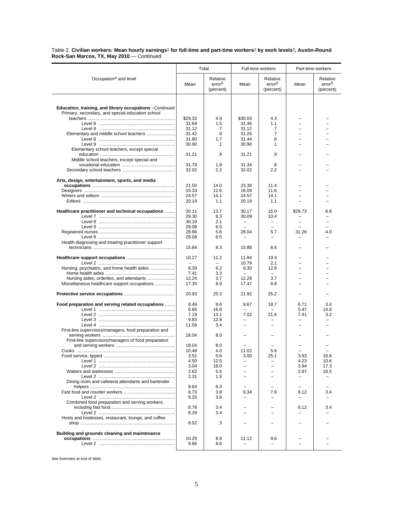Table 2. **Civilian workers: Mean hourly earnings**1 **for full-time and part-time workers**2 **by work levels**3**, Austin-Round Rock-San Marcos, TX, May 2010** — Continued l,

|                                                                                                             |                   | Total                                       | Full-time workers                |                                             | Part-time workers                |                                             |
|-------------------------------------------------------------------------------------------------------------|-------------------|---------------------------------------------|----------------------------------|---------------------------------------------|----------------------------------|---------------------------------------------|
| Occupation <sup>4</sup> and level                                                                           | Mean              | Relative<br>error <sup>5</sup><br>(percent) | Mean                             | Relative<br>error <sup>5</sup><br>(percent) | Mean                             | Relative<br>error <sup>5</sup><br>(percent) |
|                                                                                                             |                   |                                             |                                  |                                             |                                  |                                             |
| Education, training, and library occupations -Continued<br>Primary, secondary, and special education school |                   |                                             |                                  |                                             |                                  |                                             |
|                                                                                                             | \$29.32           | 4.9                                         | \$30.03                          | 4.3                                         |                                  |                                             |
|                                                                                                             | 31.69             | 1.5                                         | 31.46                            | 1.1                                         | $\equiv$                         |                                             |
|                                                                                                             | 31.12             | .7                                          | 31.12                            | .7                                          |                                  |                                             |
|                                                                                                             | 31.42             | .9                                          | 31.26                            | .7                                          |                                  |                                             |
|                                                                                                             | 31.80             | 1.7                                         | 31.44                            | .6                                          |                                  |                                             |
| Elementary school teachers, except special                                                                  | 30.90             | $\cdot$ 1                                   | 30.90                            | $\cdot$ 1                                   |                                  |                                             |
|                                                                                                             | 31.21             | .9                                          | 31.21                            | .9                                          |                                  |                                             |
| Middle school teachers, except special and                                                                  |                   |                                             |                                  |                                             |                                  |                                             |
|                                                                                                             | 31.79             | 1.9                                         | 31.34                            | .6                                          |                                  |                                             |
|                                                                                                             | 32.02             | 2.2                                         | 32.02                            | 2.2                                         |                                  |                                             |
| Arts, design, entertainment, sports, and media                                                              |                   |                                             |                                  |                                             |                                  |                                             |
|                                                                                                             | 21.50             | 14.0                                        | 23.38                            | 11.4                                        |                                  |                                             |
|                                                                                                             | 15.33<br>24.57    | 12.6<br>14.1                                | 16.09<br>24.57                   | 11.6<br>14.1                                |                                  |                                             |
|                                                                                                             | 20.19             | 1.1                                         | 20.19                            | 1.1                                         |                                  |                                             |
|                                                                                                             |                   |                                             |                                  |                                             |                                  |                                             |
| Healthcare practitioner and technical occupations                                                           | 30.11             | 13.7                                        | 30.17                            | 16.0                                        | \$29.73                          | 6.8                                         |
|                                                                                                             | 29.30             | 8.3                                         | 30.09                            | 10.4                                        |                                  |                                             |
|                                                                                                             | 30.19             | 2.1<br>6.5                                  | $\overline{\phantom{0}}$         | $\overline{\phantom{0}}$                    | $\equiv$                         | $\equiv$                                    |
|                                                                                                             | 29.08<br>28.96    | 5.6                                         | 28.04                            | 5.7                                         | 31.26                            | 4.0                                         |
|                                                                                                             | 29.08             | 6.5                                         | $\overline{\phantom{0}}$         | -                                           |                                  |                                             |
| Health diagnosing and treating practitioner support                                                         | 15.84             | 8.3                                         | 15.88                            | 8.6                                         |                                  |                                             |
|                                                                                                             |                   |                                             |                                  |                                             |                                  |                                             |
|                                                                                                             | 10.27<br>$\equiv$ | 11.2<br>$\equiv$                            | 11.84<br>10.79                   | 19.3<br>2.1                                 | $\overline{\phantom{0}}$         |                                             |
| Nursing, psychiatric, and home health aides                                                                 | 8.39              | 6.2                                         | 9.30                             | 12.6                                        | $\equiv$                         |                                             |
|                                                                                                             | 7.41              | 3.3                                         |                                  | $=$                                         |                                  |                                             |
| Miscellaneous healthcare support occupations                                                                | 12.24<br>17.35    | 3.7<br>8.9                                  | 12.29<br>17.47                   | 3.7<br>8.8                                  |                                  |                                             |
|                                                                                                             |                   |                                             |                                  |                                             |                                  |                                             |
|                                                                                                             | 20.93             | 25.3                                        | 21.92                            | 25.2                                        |                                  |                                             |
| Food preparation and serving related occupations                                                            | 8.49              | 9.6                                         | 9.67                             | 18.7                                        | 6.71                             | 3.4                                         |
|                                                                                                             | 6.66              | 16.6                                        | $\overline{\phantom{0}}$         |                                             | 5.47                             | 14.8                                        |
| Level 2 …………………………………………………                                                                                 | 7.19<br>9.83      | 13.1<br>12.8                                | 7.02<br>$\overline{\phantom{0}}$ | 21.6                                        | 7.41<br>$\overline{\phantom{0}}$ | 3.2                                         |
|                                                                                                             | 11.56             | 3.4                                         |                                  |                                             |                                  |                                             |
| First-line supervisors/managers, food preparation and                                                       |                   |                                             |                                  |                                             |                                  |                                             |
|                                                                                                             | 18.04             | 8.0                                         |                                  |                                             |                                  |                                             |
| First-line supervisors/managers of food preparation                                                         |                   |                                             |                                  |                                             |                                  |                                             |
|                                                                                                             | 18.04             | 8.0                                         |                                  |                                             |                                  |                                             |
|                                                                                                             | 10.48<br>3.51     | 4.0<br>5.6                                  | 11.02<br>3.00                    | 5.6<br>25.1                                 | 3.93                             | 18.8                                        |
|                                                                                                             | 4.50              | 12.5                                        |                                  |                                             | 4.23                             | 10.6                                        |
|                                                                                                             | 3.04              | 18.0                                        |                                  |                                             | 3.94                             | 17.3                                        |
|                                                                                                             | 2.62              | 5.5                                         |                                  |                                             | 2.97                             | 16.5                                        |
|                                                                                                             | 2.31              | 1.9                                         |                                  |                                             |                                  |                                             |
| Dining room and cafeteria attendants and bartender                                                          | 8.64              | 6.3                                         |                                  |                                             |                                  |                                             |
|                                                                                                             | 8.73              | 3.8                                         | 9.34                             | 7.9                                         | 8.12                             | 3.4                                         |
| Level 2 …………………………………………………                                                                                 | 8.25              | 3.6                                         |                                  |                                             |                                  |                                             |
| Combined food preparation and serving workers,                                                              |                   |                                             |                                  |                                             |                                  |                                             |
|                                                                                                             | 8.78              | 3.4                                         |                                  |                                             | 8.12                             | 3.4                                         |
| Hosts and hostesses, restaurant, lounge, and coffee                                                         | 8.29              | 3.4                                         |                                  |                                             |                                  |                                             |
|                                                                                                             | 8.52              | .3                                          |                                  |                                             |                                  |                                             |
| Building and grounds cleaning and maintenance                                                               |                   |                                             |                                  |                                             |                                  |                                             |
|                                                                                                             | 10.29             | 8.9                                         | 11.12                            | 9.6                                         |                                  |                                             |
|                                                                                                             | 9.66              | 8.6                                         |                                  |                                             |                                  |                                             |
|                                                                                                             |                   |                                             |                                  |                                             |                                  |                                             |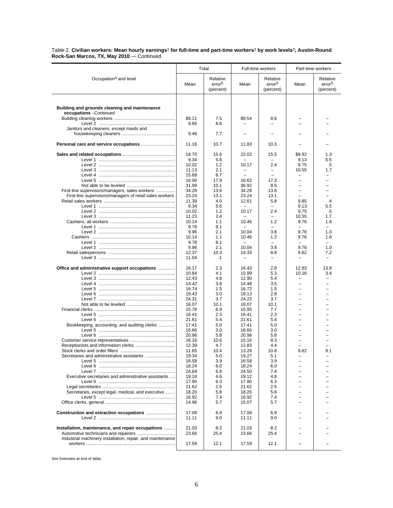Table 2. **Civilian workers: Mean hourly earnings**1 **for full-time and part-time workers**2 **by work levels**3**, Austin-Round Rock-San Marcos, TX, May 2010** — Continued

|                                                                          | Total          |                                | Full-time workers                 |                                 | Part-time workers        |                                |
|--------------------------------------------------------------------------|----------------|--------------------------------|-----------------------------------|---------------------------------|--------------------------|--------------------------------|
| Occupation <sup>4</sup> and level                                        | Mean           | Relative<br>error <sup>5</sup> | Mean                              | Relative<br>error <sup>5</sup>  | Mean                     | Relative<br>error <sup>5</sup> |
|                                                                          |                | (percent)                      |                                   | (percent)                       |                          | (percent)                      |
|                                                                          |                |                                |                                   |                                 |                          |                                |
| Building and grounds cleaning and maintenance<br>occupations - Continued |                |                                |                                   |                                 |                          |                                |
|                                                                          | \$9.11<br>9.66 | 7.5<br>8.6                     | \$9.54                            | 8.6<br>-                        |                          |                                |
| Janitors and cleaners, except maids and                                  |                |                                |                                   |                                 |                          |                                |
|                                                                          | 9.48           | 7.7                            |                                   |                                 |                          |                                |
|                                                                          | 11.16          | 10.7                           | 11.83                             | 10.3                            |                          |                                |
|                                                                          | 18.70          | 15.6                           | 22.02                             | 15.5                            | \$9.92                   | 1.3                            |
|                                                                          | 9.34           | 5.6                            |                                   |                                 | 9.13                     | 5.5                            |
|                                                                          | 10.02<br>11.13 | 1.2<br>2.1                     | 10.17<br>$\overline{\phantom{0}}$ | 2.4<br>$\overline{\phantom{0}}$ | 9.75<br>10.55            | .5<br>1.7                      |
|                                                                          | 15.88          | 6.7                            |                                   |                                 |                          |                                |
|                                                                          | 16.06          | 17.9                           | 16.62                             | 17.3                            | $\overline{\phantom{0}}$ |                                |
|                                                                          | 31.99          | 10.1                           | 36.92                             | 8.5                             |                          |                                |
| First-line supervisors/managers, sales workers                           | 34.28          | 13.6                           | 34.28                             | 13.6                            |                          |                                |
| First-line supervisors/managers of retail sales workers                  | 23.24          | 13.1                           | 23.24                             | 13.1                            | $\equiv$                 |                                |
|                                                                          | 11.39          | 4.0                            | 12.61                             | 5.8                             | 9.85                     | $\mathcal{A}$                  |
|                                                                          | 9.34           | 5.6                            |                                   | $\overline{\phantom{0}}$        | 9.13                     | 5.5                            |
|                                                                          | 10.02          | 1.2                            | 10.17                             | 2.4                             | 9.75                     | .5                             |
|                                                                          | 11.23<br>10.14 | 2.4<br>1.1                     | 10.46                             | $\overline{\phantom{0}}$<br>1.2 | 10.55<br>9.76            | 1.7<br>1.8                     |
|                                                                          | 9.78           | 8.1                            |                                   | $\overline{\phantom{0}}$        |                          | $\overline{\phantom{0}}$       |
| Level 2 ……………………………………………………                                             | 9.96           | 2.1                            | 10.04                             | 3.8                             | 9.76                     | 1.0                            |
|                                                                          | 10.14          | 1.1                            | 10.46                             | 1.2                             | 9.76                     | 1.8                            |
|                                                                          | 9.78           | 8.1                            |                                   | $\overline{\phantom{0}}$        |                          | $\overline{\phantom{0}}$       |
| Level 2 ……………………………………………………                                             | 9.96           | 2.1                            | 10.04                             | 3.8                             | 9.76                     | 1.0                            |
|                                                                          | 12.37          | 10.3                           | 14.33                             | 8.8                             | 9.62                     | 7.2                            |
|                                                                          | 11.04          | $\cdot$ 1                      |                                   | -                               |                          | $\overline{\phantom{0}}$       |
| Office and administrative support occupations                            | 16.17          | 2.3                            | 16.43                             | 2.8                             | 12.93                    | 13.8                           |
| Level 2 …………………………………………………                                              | 10.84          | 4.1                            | 10.99                             | 5.3                             | 10.16                    | 3.4                            |
|                                                                          | 12.43          | 4.8                            | 12.90                             | 5.4                             |                          |                                |
| Level 4 …………………………………………………                                              | 14.42          | 3.8                            | 14.48<br>16.72                    | 3.5<br>1.5                      |                          |                                |
|                                                                          | 16.74<br>19.43 | 1.5<br>3.0                     | 19.13                             | 2.8                             | $\equiv$                 |                                |
|                                                                          | 24.31          | 3.7                            | 24.22                             | 3.7                             |                          |                                |
|                                                                          | 16.07          | 10.1                           | 16.07                             | 10.1                            |                          |                                |
|                                                                          | 15.78          | 6.9                            | 15.95                             | 7.7                             | $\equiv$                 |                                |
|                                                                          | 16.41          | 2.3                            | 16.41                             | 2.3                             | $\overline{\phantom{0}}$ |                                |
|                                                                          | 21.61          | 5.4                            | 21.61                             | 5.4                             | $\overline{\phantom{0}}$ |                                |
| Bookkeeping, accounting, and auditing clerks                             | 17.41          | 5.0                            | 17.41                             | 5.0                             |                          |                                |
|                                                                          | 16.66          | 3.0                            | 16.66                             | 3.0                             |                          |                                |
|                                                                          | 20.98<br>16.16 | 5.8<br>10.6                    | 20.98<br>15.16                    | 5.8<br>8.3                      | $\overline{\phantom{0}}$ |                                |
|                                                                          | 12.39          | 4.7                            | 12.83                             | 4.4                             |                          |                                |
|                                                                          | 11.65          | 10.4                           | 13.28                             | 10.8                            | 9.62                     | 9.1                            |
|                                                                          | 19.34          | 5.0                            | 19.27                             | 5.1                             |                          |                                |
| Level 5 ……………………………………………………                                             | 16.58          | 3.9                            | 16.58                             | 3.9                             |                          |                                |
|                                                                          | 18.24          | 6.0                            | 18.24                             | 6.0                             | $\equiv$                 |                                |
|                                                                          | 24.69          | 6.8                            | 24.50                             | 7.4                             |                          |                                |
| Executive secretaries and administrative assistants                      | 19.24          | 4.6                            | 19.12                             | 4.8                             | -                        |                                |
|                                                                          | 17.90<br>21.62 | 6.3<br>2.5                     | 17.90<br>21.62                    | 6.3<br>2.5                      | $\equiv$                 |                                |
| Secretaries, except legal, medical, and executive                        | 18.20          | 5.8                            | 18.20                             | 5.8                             | $=$                      |                                |
|                                                                          | 16.92          | 7.4                            | 16.92                             | 7.4                             |                          |                                |
|                                                                          | 14.96          | 5.7                            | 15.07                             | 5.7                             |                          |                                |
|                                                                          | 17.08          | 6.9                            | 17.08                             | 6.9                             |                          |                                |
|                                                                          | 11.11          | 9.0                            | 11.11                             | 9.0                             |                          |                                |
| Installation, maintenance, and repair occupations                        | 21.03          | 8.2                            | 21.03                             | 8.2                             |                          |                                |
|                                                                          | 23.66          | 25.4                           | 23.66                             | 25.4                            |                          |                                |
| Industrial machinery installation, repair, and maintenance               | 17.59          | 12.1                           | 17.59                             | 12.1                            |                          |                                |
|                                                                          |                |                                |                                   |                                 |                          |                                |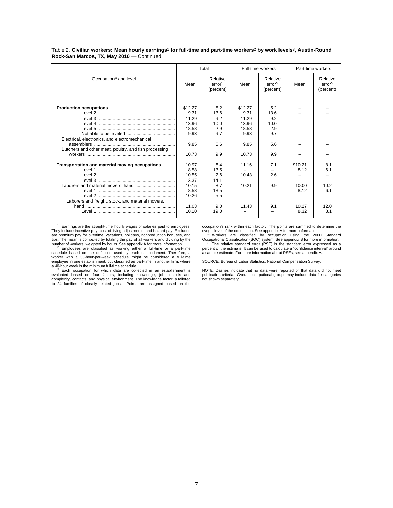Table 2. **Civilian workers: Mean hourly earnings**1 **for full-time and part-time workers**2 **by work levels**3**, Austin-Round Rock-San Marcos, TX, May 2010** — Continued

|                                                                                                                                         |                                                                             | Total                                                           |                                                            | Full-time workers                               | Part-time workers                                 |                                             |
|-----------------------------------------------------------------------------------------------------------------------------------------|-----------------------------------------------------------------------------|-----------------------------------------------------------------|------------------------------------------------------------|-------------------------------------------------|---------------------------------------------------|---------------------------------------------|
| Occupation <sup>4</sup> and level                                                                                                       | Mean                                                                        | Relative<br>error <sup>5</sup><br>(percent)                     | Mean                                                       | Relative<br>error <sup>5</sup><br>(percent)     | Mean                                              | Relative<br>error <sup>5</sup><br>(percent) |
|                                                                                                                                         |                                                                             |                                                                 |                                                            |                                                 |                                                   |                                             |
| Level 3 ……………………………………………………<br>Electrical, electronics, and electromechanical<br>Butchers and other meat, poultry, and fish processing | \$12.27<br>9.31<br>11.29<br>13.96<br>18.58<br>9.93<br>9.85                  | 5.2<br>13.6<br>9.2<br>10.0<br>2.9<br>9.7<br>5.6                 | \$12.27<br>9.31<br>11.29<br>13.96<br>18.58<br>9.93<br>9.85 | 5.2<br>13.6<br>9.2<br>10.0<br>2.9<br>9.7<br>5.6 |                                                   |                                             |
|                                                                                                                                         | 10.73                                                                       | 9.9                                                             | 10.73                                                      | 9.9                                             |                                                   |                                             |
| Transportation and material moving occupations<br>Laborers and freight, stock, and material movers,                                     | 10.97<br>8.58<br>10.55<br>13.37<br>10.15<br>8.58<br>10.26<br>11.03<br>10.10 | 6.4<br>13.5<br>2.6<br>14.1<br>8.7<br>13.5<br>5.5<br>9.0<br>19.0 | 11.16<br>10.43<br>10.21<br>11.43                           | 7.1<br>2.6<br>9.9<br>9.1                        | \$10.21<br>8.12<br>10.00<br>8.12<br>10.27<br>8.32 | 8.1<br>6.1<br>10.2<br>6.1<br>12.0<br>8.1    |

1 Earnings are the straight-time hourly wages or salaries paid to employees. They include incentive pay, cost-of-living adjustments, and hazard pay. Excluded are premium pay for overtime, vacations, holidays, nonproduction bonuses, and

tips. The mean is computed by totaling the pay of all workers and dividing by the number of workers, weighted by hours. See appendix A for more information.<br>  $2 \text{ Employeess}$  are classified as working either a full-time or a employee in one establishment, but classified as part-time in another firm, where<br>a 40-hour week is the minimum full-time schedule.<br><sup>3</sup> Each occupation for which data are collected in an establishment is

evaluated based on four factors, including knowledge, job controls and complexity, contacts, and physical environment. The knowledge factor is tailored to 24 families of closely related jobs. Points are assigned based on the occupation's rank within each factor. The points are summed to determine the<br>overall level of the occupation. See appendix A for more information.<br>4 Workers are classified by occupation using the 2000 Standard

Occupational Classification (SOC) system. See appendix B for more information. <sup>5</sup> The relative standard error (RSE) is the standard error expressed as a percent of the estimate. It can be used to calculate a "confidence interval" around a sample estimate. For more information about RSEs, see appendix A.

SOURCE: Bureau of Labor Statistics, National Compensation Survey.

NOTE: Dashes indicate that no data were reported or that data did not meet publication criteria. Overall occupational groups may include data for categories not shown separately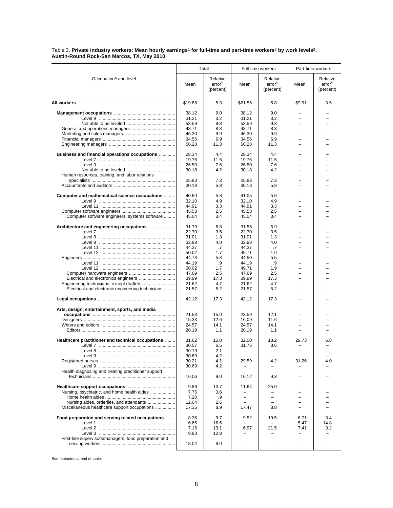#### Table 3. **Private industry workers: Mean hourly earnings**1 **for full-time and part-time workers**2 **by work levels**3**, Austin-Round Rock-San Marcos, TX, May 2010**

|                                                       | Total          |                                             |                          | Full-time workers                           | Part-time workers        |                                             |
|-------------------------------------------------------|----------------|---------------------------------------------|--------------------------|---------------------------------------------|--------------------------|---------------------------------------------|
| Occupation <sup>4</sup> and level                     | Mean           | Relative<br>error <sup>5</sup><br>(percent) | Mean                     | Relative<br>error <sup>5</sup><br>(percent) | Mean                     | Relative<br>error <sup>5</sup><br>(percent) |
|                                                       | \$19.88        | 5.3                                         | \$21.55                  | 5.8                                         | \$9.91                   | 3.5                                         |
|                                                       | 38.12          | 9.0                                         | 38.12                    | 9.0                                         |                          |                                             |
|                                                       | 31.21          | 3.2                                         | 31.21                    | 3.2                                         |                          |                                             |
|                                                       | 53.59          | 9.3                                         | 53.59                    | 9.3                                         |                          |                                             |
|                                                       | 48.71          | 8.3                                         | 48.71                    | 8.3                                         | $=$                      |                                             |
|                                                       | 46.30          | 9.9                                         | 46.30                    | 9.9                                         | L,                       |                                             |
|                                                       | 34.56          | 6.9                                         | 34.56                    | 6.9                                         | -                        |                                             |
|                                                       | 56.28          | 11.3                                        | 56.28                    | 11.3                                        | $=$                      |                                             |
| Business and financial operations occupations         | 28.34          | 4.4                                         | 28.34                    | 4.4                                         |                          |                                             |
|                                                       | 19.76          | 11.5                                        | 19.76                    | 11.5                                        |                          |                                             |
|                                                       | 26.50          | 7.6                                         | 26.50                    | 7.6                                         |                          |                                             |
|                                                       | 30.18          | 4.2                                         | 30.18                    | 4.2                                         | -                        |                                             |
| Human resources, training, and labor relations        |                |                                             |                          |                                             |                          |                                             |
|                                                       | 25.83<br>30.18 | 7.3<br>5.8                                  | 25.83<br>30.18           | 7.3<br>5.8                                  | -                        |                                             |
|                                                       |                |                                             |                          |                                             |                          |                                             |
| Computer and mathematical science occupations         | 40.60          | 5.8                                         | 41.05                    | 5.6                                         |                          |                                             |
|                                                       | 32.10          | 4.9                                         | 32.10                    | 4.9                                         | -                        |                                             |
|                                                       | 44.91          | 3.3                                         | 44.91                    | 3.3                                         |                          |                                             |
|                                                       | 45.53          | 2.5                                         | 45.53                    | 2.5                                         | $=$                      |                                             |
| Computer software engineers, systems software         | 45.04          | 3.4                                         | 45.04                    | 3.4                                         |                          |                                             |
|                                                       | 31.79          | 6.8                                         | 31.56                    | 6.9                                         |                          |                                             |
|                                                       | 22.70          | 3.5                                         | 22.70                    | 3.5                                         | -                        |                                             |
|                                                       | 31.01          | 1.3                                         | 31.01                    | 1.3                                         | -                        |                                             |
|                                                       | 32.98          | 4.0                                         | 32.98                    | 4.0                                         | $=$                      |                                             |
|                                                       | 44.37          | .7                                          | 44.37                    | .7                                          | -                        |                                             |
|                                                       | 50.02          | 1.7                                         | 49.71                    | 1.9                                         | -                        |                                             |
|                                                       | 44.73          | 5.3                                         | 44.50                    | 5.5                                         |                          |                                             |
|                                                       | 44.19          | .9                                          | 44.19                    | .9                                          | $\overline{\phantom{0}}$ |                                             |
|                                                       | 50.02          | 1.7                                         | 49.71                    | 1.9                                         | $\overline{\phantom{0}}$ |                                             |
|                                                       | 47.69<br>39.99 | 2.5<br>17.3                                 | 47.69                    | 2.5                                         | L,                       |                                             |
|                                                       | 21.62          | 4.7                                         | 39.99<br>21.62           | 17.3<br>4.7                                 | $\equiv$                 |                                             |
| Electrical and electronic engineering technicians     | 21.57          | 5.2                                         | 21.57                    | 5.2                                         |                          |                                             |
|                                                       | 42.12          | 17.3                                        | 42.12                    | 17.3                                        |                          |                                             |
| Arts, design, entertainment, sports, and media        |                |                                             |                          |                                             |                          |                                             |
|                                                       | 21.53          | 15.0                                        | 23.59                    | 12.1                                        |                          |                                             |
|                                                       | 15.33          | 12.6                                        | 16.09                    | 11.6                                        |                          |                                             |
|                                                       | 24.57          | 14.1                                        | 24.57                    | 14.1                                        | $\overline{\phantom{0}}$ |                                             |
|                                                       | 20.19          | 1.1                                         | 20.19                    | 1.1                                         | $\overline{\phantom{0}}$ |                                             |
| Healthcare practitioner and technical occupations     | 31.62          | 15.0                                        | 32.00                    | 18.2                                        | 29.73                    | 6.8                                         |
|                                                       | 30.57          | 6.5                                         | 31.76                    | 8.6                                         |                          |                                             |
|                                                       | 30.19          | 2.1                                         | $\overline{\phantom{m}}$ | -                                           |                          |                                             |
|                                                       | 30.69          | 4.2                                         | $\overline{\phantom{0}}$ |                                             |                          |                                             |
|                                                       | 30.21          | 4.1                                         | 29.59                    | 4.2                                         | 31.26                    | 4.0                                         |
|                                                       | 30.69          | 4.2                                         |                          |                                             |                          |                                             |
| Health diagnosing and treating practitioner support   | 16.06          | 9.0                                         | 16.12                    | 9.3                                         |                          |                                             |
|                                                       | 9.86           | 13.7                                        | 11.64                    | 25.0                                        |                          |                                             |
| Nursing, psychiatric, and home health aides           | 7.75           | 3.6                                         |                          |                                             |                          |                                             |
|                                                       | 7.20           | .9                                          | $\overline{\phantom{0}}$ | $\overline{\phantom{0}}$                    |                          |                                             |
| Nursing aides, orderlies, and attendants              | 12.04          | 2.6                                         |                          |                                             |                          |                                             |
| Miscellaneous healthcare support occupations          | 17.35          | 8.9                                         | 17.47                    | 8.8                                         |                          |                                             |
| Food preparation and serving related occupations      | 8.36           | 9.7                                         | 9.52                     | 19.5                                        | 6.71                     | 3.4                                         |
|                                                       | 6.66           | 16.6                                        |                          |                                             | 5.47                     | 14.8                                        |
|                                                       | 7.16           | 13.1                                        | 6.97                     | 21.5                                        | 7.41                     | 3.2                                         |
|                                                       | 9.83           | 12.8                                        |                          |                                             | -                        |                                             |
| First-line supervisors/managers, food preparation and |                |                                             |                          |                                             |                          |                                             |
|                                                       | 18.04          | 8.0                                         |                          |                                             |                          |                                             |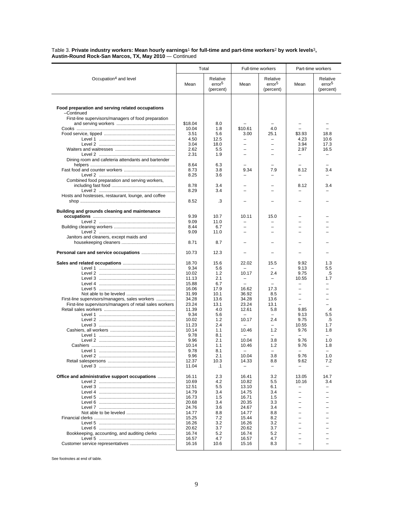#### Table 3. **Private industry workers: Mean hourly earnings**1 **for full-time and part-time workers**2 **by work levels**3**, Austin-Round Rock-San Marcos, TX, May 2010** — Continued

|                                                                                    |                | Total                                       | Full-time workers                 |                                             | Part-time workers        |                                             |
|------------------------------------------------------------------------------------|----------------|---------------------------------------------|-----------------------------------|---------------------------------------------|--------------------------|---------------------------------------------|
| Occupation <sup>4</sup> and level                                                  | Mean           | Relative<br>error <sup>5</sup><br>(percent) | Mean                              | Relative<br>error <sup>5</sup><br>(percent) | Mean                     | Relative<br>error <sup>5</sup><br>(percent) |
| Food preparation and serving related occupations                                   |                |                                             |                                   |                                             |                          |                                             |
| -Continued                                                                         |                |                                             |                                   |                                             |                          |                                             |
| First-line supervisors/managers of food preparation                                | \$18.04        | 8.0                                         |                                   |                                             |                          |                                             |
|                                                                                    | 10.04          | 1.8                                         | \$10.61                           | 4.0                                         |                          |                                             |
|                                                                                    | 3.51           | 5.6                                         | 3.00                              | 25.1                                        | \$3.93                   | 18.8                                        |
|                                                                                    | 4.50           | 12.5                                        |                                   |                                             | 4.23                     | 10.6                                        |
|                                                                                    | 3.04           | 18.0                                        | $\equiv$                          | $\overline{\phantom{0}}$                    | 3.94                     | 17.3                                        |
|                                                                                    | 2.62           | 5.5                                         |                                   |                                             | 2.97                     | 16.5                                        |
| Level 2 ……………………………………………………<br>Dining room and cafeteria attendants and bartender | 2.31           | 1.9                                         |                                   |                                             | $\overline{\phantom{0}}$ |                                             |
|                                                                                    | 8.64           | 6.3                                         |                                   |                                             |                          |                                             |
|                                                                                    | 8.73           | 3.8                                         | 9.34                              | 7.9                                         | 8.12                     | 3.4                                         |
| Combined food preparation and serving workers,                                     | 8.25           | 3.6                                         |                                   |                                             |                          |                                             |
|                                                                                    | 8.78           | 3.4                                         |                                   |                                             | 8.12                     | 3.4                                         |
|                                                                                    | 8.29           | 3.4                                         |                                   |                                             |                          |                                             |
| Hosts and hostesses, restaurant, lounge, and coffee                                |                |                                             |                                   |                                             |                          |                                             |
|                                                                                    | 8.52           | .3                                          |                                   |                                             |                          |                                             |
| Building and grounds cleaning and maintenance                                      |                |                                             |                                   |                                             |                          |                                             |
|                                                                                    | 9.39           | 10.7                                        | 10.11                             | 15.0                                        |                          |                                             |
|                                                                                    | 9.09           | 11.0                                        |                                   |                                             |                          |                                             |
|                                                                                    | 8.44           | 6.7                                         |                                   | L                                           |                          |                                             |
| Janitors and cleaners, except maids and                                            | 9.09           | 11.0                                        |                                   | L.                                          | $\equiv$                 |                                             |
|                                                                                    | 8.71           | 8.7                                         |                                   |                                             |                          |                                             |
| Personal care and service occupations                                              | 10.73          | 12.3                                        |                                   |                                             |                          |                                             |
|                                                                                    |                |                                             |                                   |                                             |                          |                                             |
|                                                                                    | 18.70          | 15.6                                        | 22.02                             | 15.5                                        | 9.92                     | 1.3                                         |
|                                                                                    | 9.34           | 5.6                                         |                                   |                                             | 9.13                     | 5.5                                         |
|                                                                                    | 10.02<br>11.13 | 1.2<br>2.1                                  | 10.17<br>$\overline{\phantom{m}}$ | 2.4<br>$\overline{\phantom{0}}$             | 9.75<br>10.55            | .5<br>1.7                                   |
|                                                                                    | 15.88          | 6.7                                         |                                   | $\equiv$                                    | $\overline{\phantom{0}}$ |                                             |
|                                                                                    | 16.06          | 17.9                                        | 16.62                             | 17.3                                        |                          |                                             |
|                                                                                    | 31.99          | 10.1                                        | 36.92                             | 8.5                                         | $\overline{\phantom{0}}$ | $\overline{\phantom{0}}$                    |
| First-line supervisors/managers, sales workers                                     | 34.28          | 13.6                                        | 34.28                             | 13.6                                        | $\equiv$                 | $\equiv$                                    |
| First-line supervisors/managers of retail sales workers                            | 23.24          | 13.1                                        | 23.24                             | 13.1                                        |                          |                                             |
|                                                                                    | 11.39<br>9.34  | 4.0<br>5.6                                  | 12.61<br>$\overline{\phantom{0}}$ | 5.8<br>$\overline{\phantom{0}}$             | 9.85<br>9.13             | $\cdot$<br>5.5                              |
| Level 2 ……………………………………………………                                                       | 10.02          | 1.2                                         | 10.17                             | 2.4                                         | 9.75                     | .5                                          |
|                                                                                    | 11.23          | 2.4                                         | $\sim$                            | $\overline{\phantom{0}}$                    | 10.55                    | 1.7                                         |
|                                                                                    | 10.14          | 1.1                                         | 10.46                             | 1.2                                         | 9.76                     | 1.8                                         |
|                                                                                    | 9.78           | 8.1                                         |                                   |                                             |                          |                                             |
|                                                                                    | 9.96           | 2.1                                         | 10.04                             | 3.8                                         | 9.76                     | 1.0                                         |
|                                                                                    | 10.14<br>9.78  | 1.1<br>8.1                                  | 10.46<br>$\overline{\phantom{0}}$ | 1.2                                         | 9.76                     | 1.8                                         |
|                                                                                    | 9.96           | 2.1                                         | 10.04                             | 3.8                                         | 9.76                     | 1.0                                         |
|                                                                                    | 12.37          | 10.3                                        | 14.33                             | 8.8                                         | 9.62                     | 7.2                                         |
|                                                                                    | 11.04          | $\cdot$ 1                                   |                                   | -                                           |                          |                                             |
| Office and administrative support occupations                                      | 16.11          | 2.3                                         | 16.41                             | 3.2                                         | 13.05                    | 14.7                                        |
|                                                                                    | 10.69          | 4.2                                         | 10.82                             | 5.5                                         | 10.16                    | 3.4                                         |
|                                                                                    | 12.51          | 5.5                                         | 13.10                             | 6.1                                         |                          |                                             |
|                                                                                    | 14.79          | 3.4                                         | 14.75                             | 3.4                                         |                          |                                             |
|                                                                                    | 16.73          | 1.5                                         | 16.71                             | 1.5                                         | -                        |                                             |
|                                                                                    | 20.68          | 3.4<br>3.6                                  | 20.35                             | 3.3                                         |                          |                                             |
|                                                                                    | 24.76<br>14.77 | 8.8                                         | 24.67<br>14.77                    | 3.4<br>8.8                                  | $\overline{\phantom{0}}$ |                                             |
|                                                                                    | 15.25          | 7.2                                         | 15.44                             | 8.2                                         |                          |                                             |
|                                                                                    | 16.26          | 3.2                                         | 16.26                             | 3.2                                         |                          |                                             |
|                                                                                    | 20.62          | 3.7                                         | 20.62                             | 3.7                                         |                          |                                             |
| Bookkeeping, accounting, and auditing clerks                                       | 16.74          | 5.2                                         | 16.74                             | 5.2                                         |                          |                                             |
|                                                                                    | 16.57          | 4.7                                         | 16.57                             | 4.7                                         |                          |                                             |
|                                                                                    | 16.16          | 10.6                                        | 15.16                             | 8.3                                         | -                        |                                             |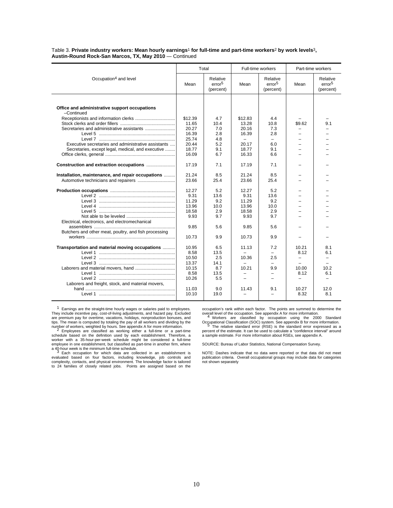#### Table 3. **Private industry workers: Mean hourly earnings**1 **for full-time and part-time workers**2 **by work levels**3**, Austin-Round Rock-San Marcos, TX, May 2010** — Continued

|                                                       |         | Total                                       |         | Full-time workers                           |                          | Part-time workers                           |
|-------------------------------------------------------|---------|---------------------------------------------|---------|---------------------------------------------|--------------------------|---------------------------------------------|
| Occupation <sup>4</sup> and level                     | Mean    | Relative<br>error <sup>5</sup><br>(percent) | Mean    | Relative<br>error <sup>5</sup><br>(percent) | Mean                     | Relative<br>error <sup>5</sup><br>(percent) |
| Office and administrative support occupations         |         |                                             |         |                                             |                          |                                             |
| -Continued                                            | \$12.39 | 4.7                                         | \$12.83 | 4.4                                         |                          |                                             |
|                                                       | 11.65   | 10.4                                        | 13.28   | 10.8                                        | \$9.62                   | 9.1                                         |
|                                                       | 20.27   | 7.0                                         | 20.16   | 7.3                                         |                          |                                             |
|                                                       | 16.39   | 2.8                                         | 16.39   | 2.8                                         |                          |                                             |
|                                                       | 25.74   | 4.8                                         |         | $\overline{\phantom{0}}$                    |                          |                                             |
| Executive secretaries and administrative assistants   | 20.44   | 5.2                                         | 20.17   | 6.0                                         |                          |                                             |
| Secretaries, except legal, medical, and executive     | 18.77   | 9.1                                         | 18.77   | 9.1                                         |                          |                                             |
|                                                       | 16.09   | 6.7                                         | 16.33   | 6.6                                         |                          |                                             |
|                                                       |         |                                             |         |                                             |                          |                                             |
| Construction and extraction occupations               | 17.19   | 7.1                                         | 17.19   | 7.1                                         |                          |                                             |
| Installation, maintenance, and repair occupations     | 21.24   | 8.5                                         | 21.24   | 8.5                                         |                          |                                             |
|                                                       | 23.66   | 25.4                                        | 23.66   | 25.4                                        |                          |                                             |
|                                                       |         |                                             |         |                                             |                          |                                             |
|                                                       | 12.27   | 5.2                                         | 12.27   | 5.2                                         |                          |                                             |
|                                                       | 9.31    | 13.6                                        | 9.31    | 13.6                                        |                          |                                             |
|                                                       | 11.29   | 9.2                                         | 11.29   | 9.2                                         |                          |                                             |
|                                                       | 13.96   | 10.0                                        | 13.96   | 10.0                                        |                          |                                             |
|                                                       | 18.58   | 2.9                                         | 18.58   | 2.9                                         |                          |                                             |
|                                                       | 9.93    | 9.7                                         | 9.93    | 9.7                                         |                          |                                             |
| Electrical, electronics, and electromechanical        |         |                                             |         |                                             |                          |                                             |
|                                                       | 9.85    | 5.6                                         | 9.85    | 5.6                                         |                          |                                             |
| Butchers and other meat, poultry, and fish processing |         |                                             |         |                                             |                          |                                             |
|                                                       | 10.73   | 9.9                                         | 10.73   | 9.9                                         |                          |                                             |
|                                                       |         |                                             |         |                                             |                          |                                             |
| Transportation and material moving occupations        | 10.95   | 6.5                                         | 11.13   | 7.2                                         | 10.21                    | 8.1                                         |
|                                                       | 8.58    | 13.5                                        |         |                                             | 8.12                     | 6.1                                         |
|                                                       | 10.50   | 2.5                                         | 10.36   | 2.5                                         | $\equiv$                 | $\overline{\phantom{0}}$                    |
|                                                       | 13.37   | 14.1                                        |         |                                             |                          |                                             |
|                                                       | 10.15   | 8.7                                         | 10.21   | 9.9                                         | 10.00                    | 10.2                                        |
|                                                       | 8.58    | 13.5                                        |         |                                             | 8.12                     | 6.1                                         |
|                                                       | 10.26   | 5.5                                         |         |                                             | $\overline{\phantom{0}}$ |                                             |
|                                                       |         |                                             |         |                                             |                          |                                             |
| Laborers and freight, stock, and material movers,     |         |                                             |         |                                             |                          |                                             |
|                                                       | 11.03   | 9.0                                         | 11.43   | 9.1                                         | 10.27                    | 12.0                                        |
|                                                       | 10.10   | 19.0                                        |         |                                             | 8.32                     | 8.1                                         |

1 Earnings are the straight-time hourly wages or salaries paid to employees. They include incentive pay, cost-of-living adjustments, and hazard pay. Excluded are premium pay for overtime, vacations, holidays, nonproduction bonuses, and<br>tips. The mean is computed by totaling the pay of all workers and dividing by the<br>number of workers, weighted by hours. See appendix A for more

schedule based on the definition used by each establishment. Therefore, a worker with a 35-hour-per-week schedule might be considered a full-time employee in one establishment, but classified as part-time in another firm, where

a 40-hour week is the minimum full-time schedule.<br>3 Each occupation for which data are collected in an establishment is<br>evaluated based on four factors, including knowledge, job controls and<br>complexity, contacts, and physi to 24 families of closely related jobs. Points are assigned based on the occupation's rank within each factor. The points are summed to determine the

overall level of the occupation. See appendix A for more information.<br><sup>4</sup> Workers are classified by occupation using the 2000 Standard Occupational Classification (SOC) system. See appendix B for more information. <sup>5</sup> The relative standard error (RSE) is the standard error expressed as a percent of the estimate. It can be used to calculate a "confidence interval" around a sample estimate. For more information about RSEs, see appendix A.

SOURCE: Bureau of Labor Statistics, National Compensation Survey.

NOTE: Dashes indicate that no data were reported or that data did not meet publication criteria. Overall occupational groups may include data for categories not shown separately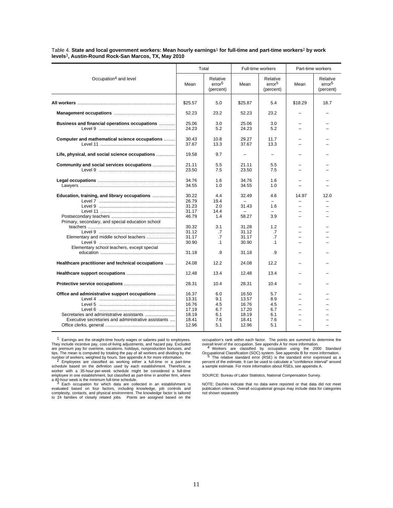|                                                     | Total          |                                             |                | Full-time workers                           | Part-time workers |                                             |
|-----------------------------------------------------|----------------|---------------------------------------------|----------------|---------------------------------------------|-------------------|---------------------------------------------|
| Occupation <sup>4</sup> and level                   | Mean           | Relative<br>error <sup>5</sup><br>(percent) | Mean           | Relative<br>error <sup>5</sup><br>(percent) | Mean              | Relative<br>error <sup>5</sup><br>(percent) |
|                                                     | \$25.57        | 5.0                                         | \$25.87        | 5.4                                         | \$18.29           | 18.7                                        |
|                                                     | 52.23          | 23.2                                        | 52.23          | 23.2                                        |                   |                                             |
| Business and financial operations occupations       | 25.06<br>24.23 | 3.0<br>5.2                                  | 25.06<br>24.23 | 3.0<br>5.2                                  |                   |                                             |
| Computer and mathematical science occupations       | 30.43<br>37.67 | 10.8<br>13.3                                | 29.27<br>37.67 | 11.7<br>13.3                                |                   |                                             |
| Life, physical, and social science occupations      | 19.58          | 9.7                                         |                | $=$                                         |                   |                                             |
| Community and social services occupations           | 21.11<br>23.50 | 5.5<br>7.5                                  | 21.11<br>23.50 | 5.5<br>7.5                                  |                   |                                             |
|                                                     | 34.76<br>34.55 | 1.6<br>1.0                                  | 34.76<br>34.55 | 1.6<br>1.0                                  |                   |                                             |
| Education, training, and library occupations        | 30.22<br>26.79 | 4.4<br>19.4                                 | 32.49          | 4.6<br>$=$                                  | 14.97             | 12.0                                        |
|                                                     | 31.23<br>31.17 | 2.0<br>14.4                                 | 31.43          | 1.6                                         |                   |                                             |
| Primary, secondary, and special education school    | 46.79          | 1.4                                         | 58.27          | 3.9                                         |                   |                                             |
|                                                     | 30.32<br>31.12 | 3.1<br>.7                                   | 31.28<br>31.12 | 1.2<br>.7                                   |                   |                                             |
|                                                     | 31.17          | .7                                          | 31.17          | .7                                          |                   |                                             |
| Elementary school teachers, except special          | 30.90          | $\cdot$ 1                                   | 30.90          | $\cdot$ 1                                   |                   |                                             |
|                                                     | 31.18          | 9.                                          | 31.18          | .9                                          |                   |                                             |
| Healthcare practitioner and technical occupations   | 24.08          | 12.2                                        | 24.08          | 12.2                                        |                   |                                             |
|                                                     | 12.48          | 13.4                                        | 12.48          | 13.4                                        |                   |                                             |
|                                                     | 28.31          | 10.4                                        | 28.31          | 10.4                                        |                   |                                             |
| Office and administrative support occupations       | 16.37          | 6.0                                         | 16.50          | 5.7                                         |                   |                                             |
|                                                     | 13.31          | 9.1                                         | 13.57          | 8.9                                         |                   |                                             |
|                                                     | 16.76          | 4.5                                         | 16.76          | 4.5                                         |                   |                                             |
|                                                     | 17.19          | 6.7                                         | 17.20          | 6.7                                         |                   |                                             |
| Secretaries and administrative assistants           | 18.19          | 6.1                                         | 18.19          | 6.1                                         |                   |                                             |
| Executive secretaries and administrative assistants | 18.41<br>12.96 | 7.6<br>5.1                                  | 18.41<br>12.96 | 7.6<br>5.1                                  |                   |                                             |

Table 4. **State and local government workers: Mean hourly earnings**1 **for full-time and part-time workers**2 **by work levels**3**, Austin-Round Rock-San Marcos, TX, May 2010**

1 Earnings are the straight-time hourly wages or salaries paid to employees. They include incentive pay, cost-of-living adjustments, and hazard pay. Excluded are premium pay for overtime, vacations, holidays, nonproduction bonuses, and tips. The mean is computed by totaling the pay of all workers and dividing by the<br>number of workers, weighted by hours. See appendix A for more information.<br>A prophyses are classified as working either a full-time or a par

schedule based on the definition used by each establishment. Therefore, a worker with a 35-hour-per-week schedule might be considered a full-time employee in one establishment, but classified as part-time in another firm, where

a 40-hour week is the minimum full-time schedule.<br>3 Each occupation for which data are collected in an establishment is evaluated based on four factors, including knowledge, job controls and complexity, contacts, and physical environment. The knowledge factor is tailored to 24 families of closely related jobs. Points are assigned based on the

occupation's rank within each factor. The points are summed to determine the overall level of the occupation. See appendix A for more information.<br><sup>4</sup> Workers are classified by occupation using the 2000 Standard

Occupational Classification (SOC) system. See appendix B for more information. <sup>5</sup> The relative standard error (RSE) is the standard error expressed as a

percent of the estimate. It can be used to calculate a "confidence interval" around a sample estimate. For more information about RSEs, see appendix A.

SOURCE: Bureau of Labor Statistics, National Compensation Survey.

NOTE: Dashes indicate that no data were reported or that data did not meet publication criteria. Overall occupational groups may include data for categories not shown separately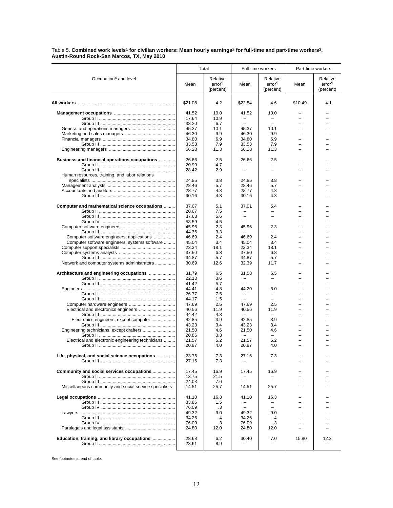#### Table 5. **Combined work levels**1 **for civilian workers: Mean hourly earnings**2 **for full-time and part-time workers**3**, Austin-Round Rock-San Marcos, TX, May 2010**

|                                                        |                | Total                                       |                          | Full-time workers                           |                          | Part-time workers                           |
|--------------------------------------------------------|----------------|---------------------------------------------|--------------------------|---------------------------------------------|--------------------------|---------------------------------------------|
| Occupation <sup>4</sup> and level                      | Mean           | Relative<br>error <sup>5</sup><br>(percent) | Mean                     | Relative<br>error <sup>5</sup><br>(percent) | Mean                     | Relative<br>error <sup>5</sup><br>(percent) |
|                                                        | \$21.08        | 4.2                                         | \$22.54                  | 4.6                                         | \$10.49                  | 4.1                                         |
|                                                        | 41.52          | 10.0                                        | 41.52                    | 10.0                                        |                          |                                             |
|                                                        | 17.64          | 10.9                                        | $\overline{\phantom{0}}$ | $\overline{\phantom{0}}$                    | $\overline{\phantom{0}}$ |                                             |
|                                                        | 38.20          | 6.7                                         |                          |                                             |                          |                                             |
|                                                        | 45.37          | 10.1                                        | 45.37                    | 10.1                                        | L,                       |                                             |
|                                                        | 46.30          | 9.9                                         | 46.30                    | 9.9                                         | $\equiv$                 |                                             |
|                                                        | 34.80          | 6.9                                         | 34.80                    | 6.9                                         |                          |                                             |
|                                                        | 33.53          | 7.9                                         | 33.53                    | 7.9                                         | $=$                      |                                             |
|                                                        | 56.28          | 11.3                                        | 56.28                    | 11.3                                        | $\overline{\phantom{0}}$ |                                             |
| <b>Business and financial operations occupations </b>  | 26.66          | 2.5                                         | 26.66                    | 2.5                                         |                          |                                             |
|                                                        | 20.99          | 4.7                                         |                          | -                                           |                          |                                             |
|                                                        | 28.42          | 2.9                                         |                          |                                             |                          |                                             |
| Human resources, training, and labor relations         |                |                                             |                          |                                             |                          |                                             |
|                                                        | 24.85          | 3.8                                         | 24.85                    | 3.8                                         |                          |                                             |
|                                                        | 28.46          | 5.7                                         | 28.46                    | 5.7                                         |                          |                                             |
|                                                        | 28.77          | 4.8                                         | 28.77                    | 4.8                                         | $=$                      |                                             |
|                                                        | 30.16          | 4.3                                         | 30.16                    | 4.3                                         |                          |                                             |
| Computer and mathematical science occupations          | 37.07          | 5.1                                         | 37.01                    | 5.4                                         |                          |                                             |
|                                                        | 20.67          | 7.5                                         |                          | $\overline{\phantom{0}}$                    |                          |                                             |
|                                                        | 37.63          | 5.6                                         | $\overline{\phantom{0}}$ | $\overline{\phantom{0}}$                    | -                        |                                             |
|                                                        | 58.59          | 4.5                                         | $\overline{\phantom{0}}$ |                                             |                          |                                             |
|                                                        | 45.96          | 2.3                                         | 45.96                    | 2.3                                         |                          |                                             |
|                                                        | 44.36          | 3.3                                         | $\equiv$                 | $\overline{\phantom{0}}$                    | $=$                      |                                             |
| Computer software engineers, applications              | 46.69          | 2.4                                         | 46.69                    | 2.4                                         | -                        |                                             |
| Computer software engineers, systems software          | 45.04          | 3.4                                         | 45.04                    | 3.4                                         | $\equiv$                 |                                             |
|                                                        | 23.34          | 18.1                                        | 23.34                    | 18.1                                        | -                        |                                             |
|                                                        | 37.50          | 6.8                                         | 37.50                    | 6.8                                         |                          |                                             |
|                                                        | 34.87          | 5.7                                         | 34.87                    | 5.7                                         |                          |                                             |
| Network and computer systems administrators            | 30.69          | 12.6                                        | 32.39                    | 11.7                                        |                          |                                             |
| Architecture and engineering occupations               | 31.79          | 6.5                                         | 31.58                    | 6.5                                         |                          |                                             |
|                                                        | 22.18          | 3.6                                         | $\overline{\phantom{0}}$ | $\overline{\phantom{0}}$                    | -                        |                                             |
|                                                        | 41.42          | 5.7                                         |                          | $\overline{\phantom{0}}$                    | $\overline{\phantom{0}}$ |                                             |
|                                                        | 44.41          | 4.8                                         | 44.20                    | 5.0                                         | $\equiv$                 |                                             |
|                                                        | 26.77          | 7.5                                         | $\overline{\phantom{0}}$ | $\overline{\phantom{a}}$                    |                          |                                             |
|                                                        | 44.17          | 1.5                                         |                          | $\overline{\phantom{0}}$                    | -                        |                                             |
|                                                        | 47.69          | 2.5                                         | 47.69                    | 2.5                                         |                          |                                             |
|                                                        | 40.56          | 11.9                                        | 40.56                    | 11.9                                        |                          |                                             |
|                                                        | 44.42          | 4.3                                         |                          | $\overline{\phantom{0}}$                    | -                        |                                             |
| Electronics engineers, except computer                 | 42.85          | 3.9                                         | 42.85                    | 3.9                                         |                          |                                             |
|                                                        | 43.23          | 3.4                                         | 43.23                    | 3.4                                         | L,                       |                                             |
| Engineering technicians, except drafters               | 21.50          | 4.6                                         | 21.50                    | 4.6                                         | $=$                      |                                             |
|                                                        | 20.86          | 3.3                                         |                          |                                             |                          |                                             |
| Electrical and electronic engineering technicians      | 21.57          | 5.2                                         | 21.57                    | 5.2                                         | $=$                      |                                             |
|                                                        | 20.87          | 4.0                                         | 20.87                    | 4.0                                         |                          |                                             |
| Life, physical, and social science occupations         | 23.75          | 7.3                                         | 27.16                    | 7.3                                         |                          |                                             |
|                                                        | 27.16          | 7.3                                         |                          |                                             |                          |                                             |
| Community and social services occupations              | 17.45          | 16.9                                        | 17.45                    | 16.9                                        |                          |                                             |
|                                                        | 13.75          | 21.5                                        | $\overline{\phantom{0}}$ |                                             |                          |                                             |
|                                                        | 24.03          | 7.6                                         |                          |                                             |                          |                                             |
| Miscellaneous community and social service specialists | 14.51          | 25.7                                        | 14.51                    | 25.7                                        | $=$                      |                                             |
|                                                        | 41.10          | 16.3                                        | 41.10                    | 16.3                                        |                          |                                             |
|                                                        | 33.86          | 1.5                                         |                          |                                             |                          |                                             |
|                                                        | 76.09          | .3                                          | $\overline{\phantom{0}}$ |                                             |                          |                                             |
|                                                        | 49.32          | 9.0                                         | 49.32                    | 9.0                                         | -                        |                                             |
|                                                        | 34.26          | .4                                          | 34.26                    | .4                                          |                          |                                             |
|                                                        | 76.09          | .3                                          | 76.09                    | .3                                          |                          |                                             |
|                                                        | 24.80          | 12.0                                        | 24.80                    | 12.0                                        | $\overline{\phantom{0}}$ |                                             |
|                                                        |                |                                             |                          |                                             |                          |                                             |
| Education, training, and library occupations           | 28.68<br>23.61 | 6.2<br>8.9                                  | 30.40                    | 7.0<br>$\overline{\phantom{0}}$             | 15.80                    | 12.3                                        |
|                                                        |                |                                             |                          |                                             |                          |                                             |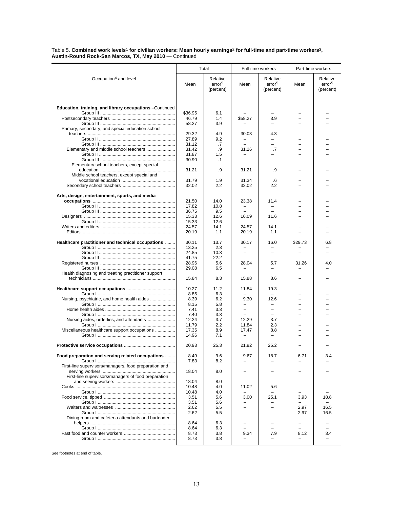Table 5. **Combined work levels**1 **for civilian workers: Mean hourly earnings**2 **for full-time and part-time workers**3**, Austin-Round Rock-San Marcos, TX, May 2010** — Continued

|                                                          | Total          |                                             | Full-time workers        |                                             | Part-time workers        |                                             |
|----------------------------------------------------------|----------------|---------------------------------------------|--------------------------|---------------------------------------------|--------------------------|---------------------------------------------|
| Occupation <sup>4</sup> and level                        | Mean           | Relative<br>error <sup>5</sup><br>(percent) | Mean                     | Relative<br>error <sup>5</sup><br>(percent) | Mean                     | Relative<br>error <sup>5</sup><br>(percent) |
|                                                          |                |                                             |                          |                                             |                          |                                             |
| Education, training, and library occupations - Continued |                |                                             |                          |                                             |                          |                                             |
|                                                          | \$36.95        | 6.1                                         |                          |                                             |                          |                                             |
|                                                          | 46.79          | 1.4                                         | \$58.27                  | 3.9                                         |                          |                                             |
|                                                          | 58.27          | 3.9                                         |                          |                                             |                          |                                             |
| Primary, secondary, and special education school         | 29.32          | 4.9                                         | 30.03                    | 4.3                                         |                          |                                             |
|                                                          | 27.89          | 9.2                                         | $\qquad \qquad -$        |                                             | -                        |                                             |
|                                                          | 31.12          | .7                                          | $\equiv$                 | $=$                                         | $\overline{\phantom{0}}$ |                                             |
| Elementary and middle school teachers                    | 31.42          | .9                                          | 31.26                    | .7                                          | L.                       |                                             |
|                                                          | 31.87          | 1.5                                         |                          |                                             | -                        |                                             |
|                                                          | 30.90          | $\cdot$ 1                                   |                          |                                             |                          |                                             |
| Elementary school teachers, except special               | 31.21          | .9                                          | 31.21                    | .9                                          |                          |                                             |
| Middle school teachers, except special and               |                |                                             |                          |                                             |                          |                                             |
|                                                          | 31.79          | 1.9                                         | 31.34                    | .6                                          |                          |                                             |
|                                                          | 32.02          | 2.2                                         | 32.02                    | 2.2                                         |                          |                                             |
|                                                          |                |                                             |                          |                                             |                          |                                             |
| Arts, design, entertainment, sports, and media           | 21.50          | 14.0                                        | 23.38                    | 11.4                                        |                          |                                             |
|                                                          | 17.82          | 10.8                                        |                          |                                             |                          |                                             |
|                                                          | 36.75          | 9.5                                         |                          |                                             |                          |                                             |
|                                                          | 15.33          | 12.6                                        | 16.09                    | 11.6                                        | L,                       |                                             |
|                                                          | 15.33          | 12.6                                        |                          |                                             |                          |                                             |
|                                                          | 24.57          | 14.1                                        | 24.57                    | 14.1                                        |                          |                                             |
|                                                          | 20.19          | 1.1                                         | 20.19                    | 1.1                                         | L,                       |                                             |
| Healthcare practitioner and technical occupations        | 30.11          | 13.7                                        | 30.17                    | 16.0                                        | \$29.73                  | 6.8                                         |
|                                                          | 13.25          | 2.3                                         | $\overline{\phantom{0}}$ |                                             |                          |                                             |
|                                                          | 24.85          | 10.3                                        | $\qquad \qquad -$        |                                             |                          |                                             |
|                                                          | 41.75          | 22.2                                        |                          |                                             |                          |                                             |
|                                                          | 28.96<br>29.08 | 5.6<br>6.5                                  | 28.04                    | 5.7<br>-                                    | 31.26                    | 4.0                                         |
| Health diagnosing and treating practitioner support      |                |                                             |                          |                                             |                          |                                             |
|                                                          | 15.84          | 8.3                                         | 15.88                    | 8.6                                         |                          |                                             |
|                                                          | 10.27          | 11.2                                        | 11.84                    | 19.3                                        |                          |                                             |
|                                                          | 8.85           | 6.3                                         |                          |                                             |                          |                                             |
| Nursing, psychiatric, and home health aides              | 8.39           | 6.2                                         | 9.30                     | 12.6                                        | $\overline{\phantom{0}}$ |                                             |
|                                                          | 8.15           | 5.8                                         |                          |                                             |                          |                                             |
|                                                          | 7.41           | 3.3                                         | $\equiv$                 | $\equiv$                                    | $\equiv$                 |                                             |
|                                                          | 7.40           | 3.3<br>3.7                                  |                          | $\overline{\phantom{0}}$<br>3.7             | $\overline{\phantom{0}}$ |                                             |
| Nursing aides, orderlies, and attendants                 | 12.24<br>11.79 | 2.2                                         | 12.29<br>11.84           | 2.3                                         | $\overline{\phantom{0}}$ |                                             |
| Miscellaneous healthcare support occupations             | 17.35          | 8.9                                         | 17.47                    | 8.8                                         | L,                       |                                             |
|                                                          | 14.96          | 7.1                                         |                          |                                             |                          |                                             |
|                                                          |                |                                             |                          |                                             |                          |                                             |
|                                                          | 20.93          | 25.3                                        | 21.92                    | 25.2                                        |                          |                                             |
| Food preparation and serving related occupations         | 8.49           | 9.6                                         | 9.67                     | 18.7                                        | 6.71                     | 3.4                                         |
|                                                          | 7.83           | 8.2                                         |                          |                                             |                          |                                             |
| First-line supervisors/managers, food preparation and    |                |                                             |                          |                                             |                          |                                             |
|                                                          | 18.04          | 8.0                                         |                          |                                             |                          |                                             |
| First-line supervisors/managers of food preparation      | 18.04          | 8.0                                         |                          |                                             |                          |                                             |
|                                                          | 10.48          | 4.0                                         | 11.02                    | 5.6                                         |                          |                                             |
|                                                          | 10.48          | 4.0                                         |                          |                                             |                          |                                             |
|                                                          | 3.51           | 5.6                                         | 3.00                     | 25.1                                        | 3.93                     | 18.8                                        |
|                                                          | 3.51           | 5.6                                         |                          |                                             |                          |                                             |
|                                                          | 2.62           | 5.5                                         | $\overline{\phantom{0}}$ | $\overline{\phantom{0}}$                    | 2.97                     | 16.5                                        |
| Dining room and cafeteria attendants and bartender       | 2.62           | 5.5                                         |                          |                                             | 2.97                     | 16.5                                        |
|                                                          | 8.64           | 6.3                                         |                          |                                             |                          |                                             |
|                                                          | 8.64           | 6.3                                         |                          |                                             | L,                       |                                             |
|                                                          | 8.73           | 3.8                                         | 9.34                     | 7.9                                         | 8.12                     | 3.4                                         |
|                                                          | 8.73           | 3.8                                         |                          |                                             |                          |                                             |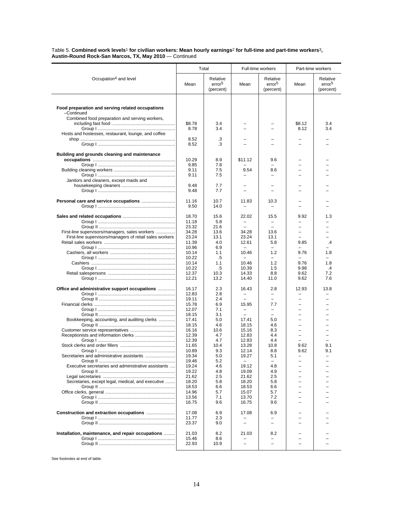Table 5. **Combined work levels**1 **for civilian workers: Mean hourly earnings**2 **for full-time and part-time workers**3**, Austin-Round Rock-San Marcos, TX, May 2010** — Continued

|                                                                                                           |                         | Total                                       | Full-time workers                             |                                                             | Part-time workers                    |                                             |
|-----------------------------------------------------------------------------------------------------------|-------------------------|---------------------------------------------|-----------------------------------------------|-------------------------------------------------------------|--------------------------------------|---------------------------------------------|
| Occupation <sup>4</sup> and level                                                                         | Mean                    | Relative<br>error <sup>5</sup><br>(percent) | Mean                                          | Relative<br>error <sup>5</sup><br>(percent)                 | Mean                                 | Relative<br>error <sup>5</sup><br>(percent) |
| Food preparation and serving related occupations<br>-Continued                                            |                         |                                             |                                               |                                                             |                                      |                                             |
| Combined food preparation and serving workers,                                                            | \$8.78<br>8.78          | 3.4<br>3.4                                  |                                               |                                                             | \$8.12<br>8.12                       | 3.4<br>3.4                                  |
| Hosts and hostesses, restaurant, lounge, and coffee                                                       | 8.52<br>8.52            | .3<br>.3                                    |                                               |                                                             |                                      |                                             |
| Building and grounds cleaning and maintenance                                                             | 10.29                   | 8.9                                         | \$11.12                                       | 9.6                                                         |                                      |                                             |
|                                                                                                           | 9.85<br>9.11<br>9.11    | 7.8<br>7.5<br>7.5                           | 9.54                                          | ÷,<br>8.6                                                   | -<br>L.                              |                                             |
| Janitors and cleaners, except maids and                                                                   | 9.48<br>9.48            | 7.7<br>7.7                                  |                                               |                                                             |                                      |                                             |
|                                                                                                           | 11.16<br>9.50           | 10.7<br>14.0                                | 11.83                                         | 10.3                                                        |                                      |                                             |
|                                                                                                           | 18.70<br>11.18          | 15.6<br>5.8                                 | 22.02                                         | 15.5                                                        | 9.92<br>▃                            | 1.3                                         |
| First-line supervisors/managers, sales workers<br>First-line supervisors/managers of retail sales workers | 23.32<br>34.28<br>23.24 | 21.6<br>13.6<br>13.1                        | $\equiv$<br>34.28<br>23.24                    | $\equiv$<br>13.6<br>13.1                                    | $\equiv$<br>-<br>-                   | -                                           |
|                                                                                                           | 11.39<br>10.96<br>10.14 | 4.0<br>6.9<br>1.1                           | 12.61<br>$\overline{\phantom{m}}$<br>10.46    | 5.8<br>$\overline{\phantom{0}}$<br>1.2                      | 9.85<br>$\equiv$<br>9.76             | $\cdot$<br>1.8                              |
|                                                                                                           | 10.22<br>10.14<br>10.22 | .5<br>1.1<br>.5                             | 10.46<br>10.39                                | 1.2<br>1.5                                                  | 9.76<br>9.98                         | 1.8<br>$\cdot$ 4                            |
|                                                                                                           | 12.37<br>12.21          | 10.3<br>13.2                                | 14.33<br>14.40                                | 8.8<br>11.0                                                 | 9.62<br>9.62                         | 7.2<br>7.6                                  |
| Office and administrative support occupations                                                             | 16.17<br>12.83<br>19.11 | 2.3<br>2.8<br>2.4                           | 16.43<br>$\equiv$                             | 2.8<br>$\overline{\phantom{0}}$<br>$\overline{\phantom{0}}$ | 12.93<br>$\overline{\phantom{0}}$    | 13.8                                        |
|                                                                                                           | 15.78<br>12.07<br>18.15 | 6.9<br>7.1<br>3.1                           | 15.95<br>$\overline{\phantom{0}}$<br>$\equiv$ | 7.7<br>$\overline{\phantom{0}}$<br>$\overline{\phantom{0}}$ | $\overline{\phantom{0}}$<br>$\equiv$ |                                             |
| Bookkeeping, accounting, and auditing clerks                                                              | 17.41<br>18.15          | 5.0<br>4.6<br>10.6                          | 17.41<br>18.15                                | 5.0<br>4.6<br>8.3                                           | $\overline{\phantom{0}}$<br>L,       |                                             |
|                                                                                                           | 16.16<br>12.39<br>12.39 | 4.7<br>4.7                                  | 15.16<br>12.83<br>12.83                       | 4.4<br>4.4                                                  | $\equiv$                             |                                             |
| Secretaries and administrative assistants                                                                 | 11.65<br>10.89<br>19.34 | 10.4<br>9.3<br>5.0                          | 13.28<br>12.14<br>19.27                       | 10.8<br>8.8<br>5.1                                          | 9.62<br>9.62                         | 9.1<br>9.1                                  |
| Executive secretaries and administrative assistants                                                       | 19.46<br>19.24<br>19.22 | 5.2<br>4.6<br>4.8                           | 19.12<br>19.09                                | ÷,<br>4.8<br>4.9                                            | ▃                                    |                                             |
| Secretaries, except legal, medical, and executive                                                         | 21.62<br>18.20<br>18.53 | 2.5<br>5.8<br>6.6                           | 21.62<br>18.20<br>18.53                       | 2.5<br>5.8<br>6.6                                           | -<br>▃                               |                                             |
|                                                                                                           | 14.96<br>13.56<br>16.75 | 5.7<br>7.1<br>9.6                           | 15.07<br>13.70<br>16.75                       | 5.7<br>7.2<br>9.6                                           | -                                    |                                             |
|                                                                                                           | 17.08<br>11.77          | 6.9<br>2.3                                  | 17.08                                         | 6.9                                                         |                                      |                                             |
| Installation, maintenance, and repair occupations                                                         | 23.37<br>21.03          | 9.0<br>8.2                                  | 21.03                                         | 8.2                                                         |                                      |                                             |
|                                                                                                           | 15.46<br>22.93          | 8.6<br>10.9                                 |                                               | L,                                                          |                                      |                                             |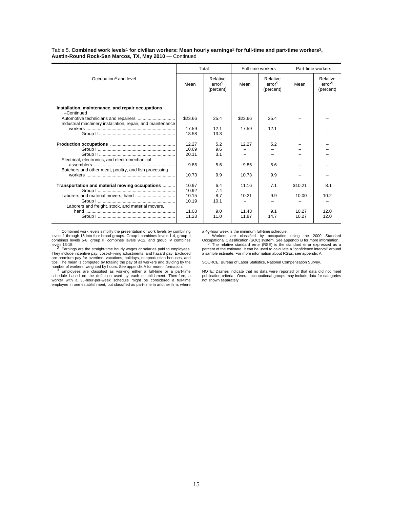Table 5. **Combined work levels**1 **for civilian workers: Mean hourly earnings**2 **for full-time and part-time workers**3**, Austin-Round Rock-San Marcos, TX, May 2010** — Continued

|                                                                 | Total          |                                             | Full-time workers |                                             |         | Part-time workers                           |
|-----------------------------------------------------------------|----------------|---------------------------------------------|-------------------|---------------------------------------------|---------|---------------------------------------------|
| Occupation <sup>4</sup> and level                               | Mean           | Relative<br>error <sup>5</sup><br>(percent) | Mean              | Relative<br>error <sup>5</sup><br>(percent) | Mean    | Relative<br>error <sup>5</sup><br>(percent) |
|                                                                 |                |                                             |                   |                                             |         |                                             |
| Installation, maintenance, and repair occupations<br>-Continued |                |                                             |                   |                                             |         |                                             |
| Industrial machinery installation, repair, and maintenance      | \$23.66        | 25.4                                        | \$23.66           | 25.4                                        |         |                                             |
|                                                                 | 17.59          | 12.1                                        | 17.59             | 12.1                                        |         |                                             |
|                                                                 | 18.58          | 13.3                                        |                   |                                             |         |                                             |
|                                                                 |                |                                             |                   |                                             |         |                                             |
|                                                                 | 12.27<br>10.69 | 5.2                                         | 12.27             | 5.2                                         |         |                                             |
|                                                                 | 20.11          | 9.6<br>3.1                                  |                   |                                             |         |                                             |
| Electrical, electronics, and electromechanical                  |                |                                             |                   |                                             |         |                                             |
|                                                                 | 9.85           | 5.6                                         | 9.85              | 5.6                                         |         |                                             |
| Butchers and other meat, poultry, and fish processing           |                |                                             |                   |                                             |         |                                             |
|                                                                 | 10.73          | 9.9                                         | 10.73             | 9.9                                         |         |                                             |
|                                                                 |                |                                             |                   |                                             |         |                                             |
| Transportation and material moving occupations                  | 10.97          | 6.4                                         | 11.16             | 7.1                                         | \$10.21 | 8.1                                         |
| Group   ………………………………………………………                                   | 10.92          | 7.4                                         |                   |                                             |         |                                             |
|                                                                 | 10.15          | 8.7                                         | 10.21             | 9.9                                         | 10.00   | 10.2                                        |
|                                                                 | 10.19          | 10.1                                        |                   |                                             |         |                                             |
| Laborers and freight, stock, and material movers,               |                |                                             |                   |                                             |         |                                             |
|                                                                 | 11.03          | 9.0                                         | 11.43             | 9.1                                         | 10.27   | 12.0                                        |
|                                                                 | 11.23          | 11.0                                        | 11.87             | 14.7                                        | 10.27   | 12.0                                        |

<sup>1</sup> Combined work levels simplify the presentation of work levels by combining<br>levels 1 through 15 into four broad groups. Group I combines levels 1-4, group II<br>combines levels 5-8, group III combines levels 9-12, and grou

levels 13-15. <sup>2</sup> Earnings are the straight-time hourly wages or salaries paid to employees. They include incentive pay, cost-of-living adjustments, and hazard pay. Excluded<br>are premium pay for overtime, vacations, holidays, nonproduction bonuses, and<br>tips. The mean is computed by totaling the pay of all workers a

number of workers, weighted by hours. See appendix A for more information.<br>3 Employees are classified as working either a full-time or a part-time<br>schedule based on the definition used by each establishment. Therefore, a<br>w

a 40-hour week is the minimum full-time schedule.<br>4 Workers are classified by occupation using the 2000 Standard

Occupational Classification (SOC) system. See appendix B for more information. <sup>5</sup> The relative standard error (RSE) is the standard error expressed as a  $\frac{5}{5}$ . The relative standard error (RSE) is the standard error expressed as a percent of the estimate. It can be used to calculate a "confidence interval" around a sample estimate. For more information about RSEs, see appendix A.

SOURCE: Bureau of Labor Statistics, National Compensation Survey.

NOTE: Dashes indicate that no data were reported or that data did not meet publication criteria. Overall occupational groups may include data for categories not shown separately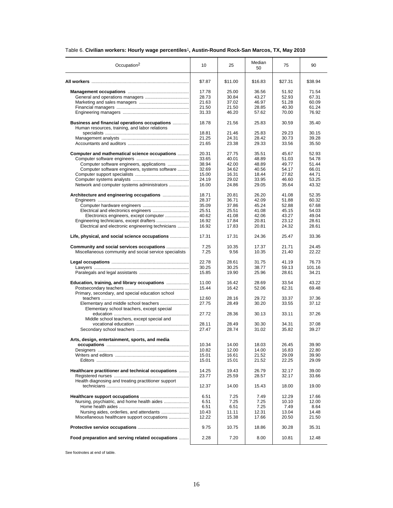| Table 6. Civilian workers: Hourly wage percentiles <sup>1</sup> , Austin-Round Rock-San Marcos, TX, May 2010 |  |  |  |  |  |
|--------------------------------------------------------------------------------------------------------------|--|--|--|--|--|
|--------------------------------------------------------------------------------------------------------------|--|--|--|--|--|

| Occupation <sup>2</sup>                                                                         | 10             | 25             | Median<br>50   | 75             | 90             |
|-------------------------------------------------------------------------------------------------|----------------|----------------|----------------|----------------|----------------|
|                                                                                                 | \$7.87         | \$11.00        | \$16.83        | \$27.31        | \$38.94        |
|                                                                                                 | 17.78          | 25.00          | 36.56          | 51.92          | 71.54          |
|                                                                                                 | 28.73          | 30.84          | 43.27          | 52.93          | 67.31          |
|                                                                                                 | 21.63          | 37.02          | 46.97          | 51.28          | 60.09          |
|                                                                                                 |                |                |                |                |                |
|                                                                                                 | 21.50          | 21.50          | 28.85          | 40.30          | 61.24          |
|                                                                                                 | 31.33          | 46.20          | 57.62          | 70.00          | 76.92          |
| Business and financial operations occupations<br>Human resources, training, and labor relations | 18.78          | 21.56          | 25.83          | 30.59          | 35.40          |
|                                                                                                 | 18.81          | 21.46          | 25.83          | 29.23          | 30.15          |
|                                                                                                 | 21.25          | 24.31          | 28.42          | 30.73          | 39.28          |
|                                                                                                 | 21.65          | 23.38          | 29.33          | 33.56          | 35.50          |
| Computer and mathematical science occupations                                                   |                |                |                | 45.67          | 52.93          |
|                                                                                                 | 20.31          | 27.75          | 35.51          |                |                |
|                                                                                                 | 33.65          | 40.01          | 48.89          | 51.03          | 54.78          |
| Computer software engineers, applications                                                       | 38.94          | 42.00          | 48.89          | 49.77          | 51.44          |
| Computer software engineers, systems software                                                   | 32.69          | 34.62          | 40.56          | 54.17          | 66.01          |
|                                                                                                 | 15.00          | 16.31          | 18.44          | 27.82          | 44.71          |
|                                                                                                 | 24.19          | 29.02          | 33.95          | 46.60          | 53.25          |
| Network and computer systems administrators                                                     | 16.00          | 24.86          | 29.05          | 35.64          | 43.32          |
| Architecture and engineering occupations                                                        | 18.71          | 20.81          | 26.20          | 41.08          | 52.35          |
|                                                                                                 | 28.37          | 36.71          | 42.09          | 51.88          | 60.32          |
|                                                                                                 | 35.09          | 37.86          | 45.24          | 52.88          | 67.68          |
|                                                                                                 |                |                |                |                | 54.03          |
|                                                                                                 | 25.51          | 25.51          | 41.08          | 45.15          |                |
| Electronics engineers, except computer                                                          | 40.62          | 41.08          | 42.06          | 43.27          | 49.04          |
|                                                                                                 | 16.92          | 17.84          | 20.81          | 23.12          | 28.61          |
| Electrical and electronic engineering technicians                                               | 16.92          | 17.83          | 20.81          | 24.32          | 28.61          |
| Life, physical, and social science occupations                                                  | 17.31          | 17.31          | 24.36          | 25.47          | 33.36          |
| Community and social services occupations                                                       | 7.25           | 10.35          | 17.37          | 21.71          | 24.45          |
| Miscellaneous community and social service specialists                                          | 7.25           | 9.56           | 10.35          | 21.40          | 22.22          |
|                                                                                                 | 22.78          | 28.61          | 31.75          | 41.19          | 76.73          |
|                                                                                                 | 30.25          | 30.25          | 38.77          | 59.13          | 101.16         |
|                                                                                                 | 15.85          | 19.90          | 25.96          | 28.61          | 34.21          |
| Education, training, and library occupations                                                    | 11.00<br>15.44 | 16.42<br>16.42 | 28.69<br>52.06 | 33.54<br>62.31 | 43.22<br>69.48 |
| Primary, secondary, and special education school                                                |                |                |                |                |                |
|                                                                                                 | 12.60          | 28.16          | 29.72          | 33.37          | 37.36          |
|                                                                                                 | 27.75          | 28.49          | 30.20          | 33.55          | 37.12          |
| Elementary school teachers, except special                                                      | 27.72          | 28.36          | 30.13          | 33.11          | 37.26          |
| Middle school teachers, except special and                                                      |                |                |                |                |                |
|                                                                                                 | 28.11          | 28.49          | 30.30          | 34.31          | 37.08          |
|                                                                                                 | 27.47          | 28.74          | 31.02          | 35.82          | 39.27          |
| Arts, design, entertainment, sports, and media                                                  |                |                |                |                |                |
|                                                                                                 | 10.34          | 14.00          | 18.03          | 26.45          | 39.90          |
|                                                                                                 | 10.82          | 12.00          | 14.00          | 16.83          | 22.80          |
|                                                                                                 | 15.01<br>15.01 | 16.61<br>15.01 | 21.52<br>21.52 | 29.09<br>22.25 | 39.90<br>29.09 |
|                                                                                                 |                |                |                |                |                |
| Healthcare practitioner and technical occupations                                               | 14.25          | 19.43          | 26.79          | 32.17          | 39.00          |
|                                                                                                 | 23.77          | 25.59          | 28.57          | 32.17          | 33.66          |
| Health diagnosing and treating practitioner support                                             | 12.37          | 14.00          | 15.43          | 18.00          | 19.00          |
|                                                                                                 | 6.51           | 7.25           | 7.49           | 12.29          | 17.66          |
|                                                                                                 | 6.51           | 7.25           | 7.25           | 10.10          | 12.00          |
| Nursing, psychiatric, and home health aides                                                     |                |                |                |                |                |
|                                                                                                 | 6.51           | 6.51           | 7.25           | 7.49           | 8.64           |
| Nursing aides, orderlies, and attendants                                                        | 10.43          | 11.11          | 12.31          | 13.04          | 14.48          |
| Miscellaneous healthcare support occupations                                                    | 12.22          | 15.38          | 17.66          | 20.50          | 21.50          |
|                                                                                                 | 9.75           | 10.75          | 18.86          | 30.28          | 35.31          |
| Food preparation and serving related occupations                                                | 2.28           | 7.20           | 8.00           | 10.81          | 12.48          |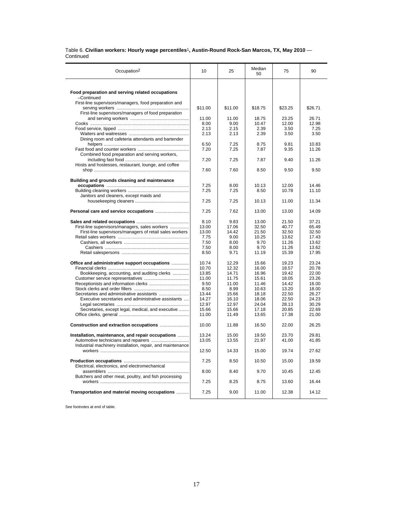### Table 6. **Civilian workers: Hourly wage percentiles**1**, Austin-Round Rock-San Marcos, TX, May 2010** — Continued

| Occupation <sup>2</sup>                                             | 10      | 25      | Median<br>50 | 75      | 90      |
|---------------------------------------------------------------------|---------|---------|--------------|---------|---------|
|                                                                     |         |         |              |         |         |
| Food preparation and serving related occupations                    |         |         |              |         |         |
| -Continued<br>First-line supervisors/managers, food preparation and |         |         |              |         |         |
|                                                                     | \$11.00 | \$11.00 | \$18.75      | \$23.25 | \$26.71 |
| First-line supervisors/managers of food preparation                 |         |         |              |         |         |
|                                                                     | 11.00   | 11.00   | 18.75        | 23.25   | 26.71   |
|                                                                     | 8.00    | 9.00    | 10.47        | 12.00   | 12.98   |
|                                                                     | 2.13    | 2.15    | 2.39         | 3.50    | 7.25    |
|                                                                     | 2.13    | 2.13    | 2.39         | 3.50    | 3.50    |
| Dining room and cafeteria attendants and bartender                  |         |         |              |         |         |
|                                                                     | 6.50    | 7.25    | 8.75         | 9.81    | 10.83   |
|                                                                     | 7.20    | 7.25    | 7.87         | 9.35    | 11.26   |
| Combined food preparation and serving workers,                      |         |         |              |         |         |
|                                                                     | 7.20    | 7.25    | 7.87         | 9.40    | 11.26   |
| Hosts and hostesses, restaurant, lounge, and coffee                 |         |         |              |         |         |
|                                                                     | 7.60    | 7.60    | 8.50         | 9.50    | 9.50    |
| Building and grounds cleaning and maintenance                       |         |         |              |         |         |
|                                                                     | 7.25    | 8.00    | 10.13        | 12.00   | 14.46   |
|                                                                     | 7.25    | 7.25    | 8.50         | 10.78   | 11.10   |
| Janitors and cleaners, except maids and                             |         |         |              |         |         |
|                                                                     | 7.25    | 7.25    | 10.13        | 11.00   | 11.34   |
|                                                                     | 7.25    | 7.62    | 13.00        | 13.00   | 14.09   |
|                                                                     | 8.10    | 9.83    | 13.00        | 21.50   | 37.21   |
| First-line supervisors/managers, sales workers                      | 13.00   | 17.06   | 32.50        | 40.77   | 65.49   |
| First-line supervisors/managers of retail sales workers             | 13.00   | 14.42   | 21.50        | 32.50   | 32.50   |
|                                                                     | 7.75    | 9.00    | 10.25        | 13.62   | 17.43   |
|                                                                     | 7.50    | 8.00    | 9.70         | 11.26   | 13.62   |
|                                                                     | 7.50    | 8.00    | 9.70         | 11.26   | 13.62   |
|                                                                     | 8.50    | 9.71    | 11.19        | 15.39   | 17.95   |
| Office and administrative support occupations                       | 10.74   | 12.29   | 15.66        | 19.23   | 23.24   |
|                                                                     | 10.70   | 12.32   | 16.00        | 18.57   | 20.78   |
| Bookkeeping, accounting, and auditing clerks                        | 13.85   | 14.71   | 16.96        | 19.42   | 22.00   |
|                                                                     | 11.00   | 11.75   | 15.61        | 18.05   | 23.26   |
|                                                                     | 9.50    | 11.00   | 11.46        | 14.42   | 16.00   |
|                                                                     | 8.50    | 8.99    | 10.63        | 13.20   | 18.00   |
|                                                                     | 13.44   | 15.66   | 18.18        | 22.50   | 26.27   |
| Executive secretaries and administrative assistants                 | 14.27   | 16.10   | 18.06        | 22.50   | 24.23   |
|                                                                     | 12.97   | 12.97   | 24.04        | 28.13   | 30.29   |
| Secretaries, except legal, medical, and executive                   | 15.66   | 15.66   | 17.18        | 20.85   | 22.69   |
|                                                                     | 11.00   | 11.49   | 13.65        | 17.38   | 21.00   |
|                                                                     | 10.00   | 11.88   | 16.50        | 22.00   | 26.25   |
| Installation, maintenance, and repair occupations                   | 13.24   | 15.00   | 19.50        | 23.70   | 29.81   |
|                                                                     | 13.05   | 13.55   | 21.97        | 41.00   | 41.85   |
| Industrial machinery installation, repair, and maintenance          |         |         |              |         |         |
|                                                                     | 12.50   | 14.33   | 15.00        | 19.74   | 27.62   |
|                                                                     | 7.25    | 8.50    | 10.50        | 15.00   | 19.59   |
| Electrical, electronics, and electromechanical                      |         |         |              |         |         |
|                                                                     | 8.00    | 8.40    | 9.70         | 10.45   | 12.45   |
| Butchers and other meat, poultry, and fish processing               |         |         |              |         |         |
|                                                                     | 7.25    | 8.25    | 8.75         | 13.60   | 16.44   |
| Transportation and material moving occupations                      | 7.25    | 9.00    | 11.00        | 12.38   | 14.12   |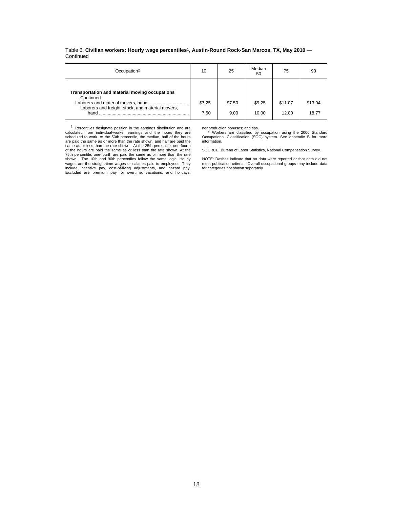|           | Table 6. Civilian workers: Hourly wage percentiles <sup>1</sup> , Austin-Round Rock-San Marcos, TX, May 2010 - |  |  |  |
|-----------|----------------------------------------------------------------------------------------------------------------|--|--|--|
| Continued |                                                                                                                |  |  |  |

| Occupation <sup>2</sup>                                                                                                   | 10             | 25             | Median<br>50    | 75               | 90               |
|---------------------------------------------------------------------------------------------------------------------------|----------------|----------------|-----------------|------------------|------------------|
| Transportation and material moving occupations<br>-Continued<br>Laborers and freight, stock, and material movers,<br>hand | \$7.25<br>7.50 | \$7.50<br>9.00 | \$9.25<br>10.00 | \$11.07<br>12.00 | \$13.04<br>18.77 |

1 Percentiles designate position in the earnings distribution and are calculated from individual-worker earnings and the hours they are scheduled to work. At the 50th percentile, the median, half of the hours are paid the same as or more than the rate shown, and half are paid the<br>same as or less than the rate shown. At the 25th percentile, one-fourth<br>of the hours are paid the same as or less than the rate shown. At the<br>75th per shown. The 10th and 90th percentiles follow the same logic. Hourly wages are the straight-time wages or salaries paid to employees. They include incentive pay, cost-of-living adjustments, and hazard pay. Excluded are premium pay for overtime, vacations, and holidays;

nonproduction bonuses; and tips. <sup>2</sup> Workers are classified by occupation using the 2000 Standard Occupational Classification (SOC) system. See appendix B for more information.

SOURCE: Bureau of Labor Statistics, National Compensation Survey.

NOTE: Dashes indicate that no data were reported or that data did not meet publication criteria. Overall occupational groups may include data for categories not shown separately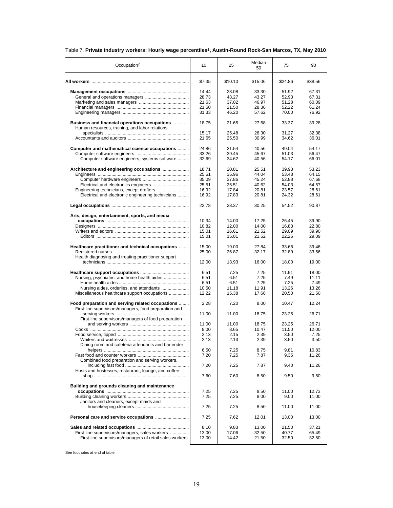| Occupation <sup>2</sup>                                                                                   | 10     | 25      | Median<br>50 | 75      | 90      |
|-----------------------------------------------------------------------------------------------------------|--------|---------|--------------|---------|---------|
|                                                                                                           | \$7.35 | \$10.10 | \$15.06      | \$24.86 | \$38.56 |
|                                                                                                           | 14.44  | 23.08   | 33.30        | 51.92   | 67.31   |
|                                                                                                           | 28.73  | 43.27   | 43.27        | 52.93   | 67.31   |
|                                                                                                           | 21.63  | 37.02   | 46.97        | 51.28   | 60.09   |
|                                                                                                           | 21.50  | 21.50   | 28.36        | 52.22   | 61.24   |
|                                                                                                           | 31.33  | 46.20   | 57.62        | 70.00   | 76.92   |
| Business and financial operations occupations<br>Human resources, training, and labor relations           | 18.75  | 21.65   | 27.68        | 33.37   | 39.28   |
|                                                                                                           | 15.17  | 25.48   | 26.30        | 31.27   | 32.38   |
|                                                                                                           | 21.65  | 25.50   | 30.99        | 34.62   | 36.01   |
| Computer and mathematical science occupations                                                             | 24.86  | 31.54   | 40.56        | 49.04   | 54.17   |
|                                                                                                           | 33.26  | 39.45   | 45.67        | 51.03   | 56.47   |
| Computer software engineers, systems software                                                             | 32.69  | 34.62   | 40.56        | 54.17   | 66.01   |
| Architecture and engineering occupations                                                                  | 18.71  | 20.81   | 25.51        | 39.93   | 53.23   |
|                                                                                                           | 25.51  | 35.96   | 44.04        | 53.48   | 64.15   |
|                                                                                                           | 35.09  | 37.86   | 45.24        | 52.88   | 67.68   |
|                                                                                                           | 25.51  | 25.51   | 40.62        | 54.03   | 64.57   |
|                                                                                                           | 16.92  | 17.84   | 20.81        | 23.57   | 28.61   |
| Electrical and electronic engineering technicians                                                         | 16.92  | 17.83   | 20.81        | 24.32   | 28.61   |
|                                                                                                           | 22.78  | 28.37   | 30.25        | 54.52   | 90.87   |
| Arts, design, entertainment, sports, and media                                                            |        |         |              |         |         |
|                                                                                                           | 10.34  | 14.00   | 17.25        | 26.45   | 39.90   |
|                                                                                                           | 10.82  | 12.00   | 14.00        | 16.83   | 22.80   |
|                                                                                                           | 15.01  | 16.61   | 21.52        | 29.09   | 39.90   |
|                                                                                                           | 15.01  | 15.01   | 21.52        | 22.25   | 29.09   |
| Healthcare practitioner and technical occupations                                                         | 15.00  | 19.00   | 27.84        | 33.66   | 39.46   |
|                                                                                                           | 25.00  | 26.87   | 32.17        | 32.89   | 33.66   |
| Health diagnosing and treating practitioner support                                                       | 12.00  | 13.93   | 16.00        | 18.00   | 19.00   |
|                                                                                                           |        |         |              |         |         |
|                                                                                                           | 6.51   | 7.25    | 7.25         | 11.91   | 18.00   |
| Nursing, psychiatric, and home health aides                                                               | 6.51   | 6.51    | 7.25         | 7.49    | 11.11   |
|                                                                                                           | 6.51   | 6.51    | 7.25         | 7.25    | 7.49    |
|                                                                                                           | 10.50  | 11.18   | 11.91        | 13.26   | 13.26   |
| Miscellaneous healthcare support occupations                                                              | 12.22  | 15.38   | 17.66        | 20.50   | 21.50   |
| Food preparation and serving related occupations<br>First-line supervisors/managers, food preparation and | 2.28   | 7.20    | 8.00         | 10.47   | 12.24   |
| First-line supervisors/managers of food preparation                                                       | 11.00  | 11.00   | 18.75        | 23.25   | 26.71   |
|                                                                                                           | 11.00  | 11.00   | 18.75        | 23.25   | 26.71   |
|                                                                                                           | 8.00   | 8.65    | 10.47        | 11.50   | 12.00   |
|                                                                                                           | 2.13   | 2.15    | 2.39         | 3.50    | 7.25    |
|                                                                                                           | 2.13   | 2.13    | 2.39         | 3.50    | 3.50    |
| Dining room and cafeteria attendants and bartender                                                        |        |         |              |         |         |
|                                                                                                           | 6.50   | 7.25    | 8.75         | 9.81    | 10.83   |
|                                                                                                           | 7.20   | 7.25    | 7.87         | 9.35    | 11.26   |
| Combined food preparation and serving workers,                                                            |        |         |              |         |         |
| Hosts and hostesses, restaurant, lounge, and coffee                                                       | 7.20   | 7.25    | 7.87         | 9.40    | 11.26   |
|                                                                                                           | 7.60   | 7.60    | 8.50         | 9.50    | 9.50    |
| Building and grounds cleaning and maintenance                                                             |        |         |              |         |         |
|                                                                                                           | 7.25   | 7.25    | 8.50         | 11.00   | 12.73   |
|                                                                                                           | 7.25   | 7.25    | 8.00         | 9.00    | 11.00   |
| Janitors and cleaners, except maids and                                                                   |        |         |              |         |         |
|                                                                                                           | 7.25   | 7.25    | 8.50         | 11.00   | 11.00   |
|                                                                                                           | 7.25   | 7.62    | 12.01        | 13.00   | 13.00   |
|                                                                                                           | 8.10   | 9.83    | 13.00        | 21.50   | 37.21   |
| First-line supervisors/managers, sales workers                                                            | 13.00  | 17.06   | 32.50        | 40.77   | 65.49   |
| First-line supervisors/managers of retail sales workers                                                   | 13.00  | 14.42   | 21.50        | 32.50   | 32.50   |
|                                                                                                           |        |         |              |         |         |

### Table 7. **Private industry workers: Hourly wage percentiles**1**, Austin-Round Rock-San Marcos, TX, May 2010**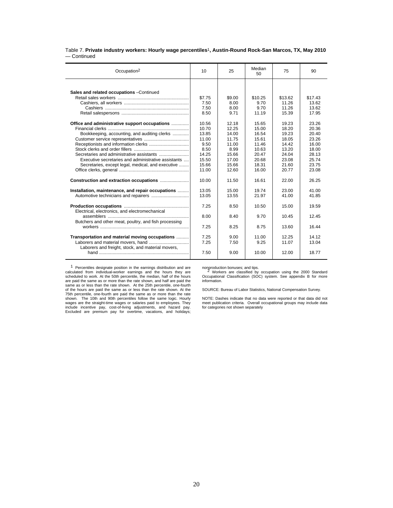#### Table 7. **Private industry workers: Hourly wage percentiles**1**, Austin-Round Rock-San Marcos, TX, May 2010** — Continued  $\overline{a}$

| Occupation <sup>2</sup>                               | 10     | 25     | Median<br>50 | 75      | 90      |
|-------------------------------------------------------|--------|--------|--------------|---------|---------|
|                                                       |        |        |              |         |         |
| Sales and related occupations -Continued              |        |        |              |         |         |
|                                                       | \$7.75 | \$9.00 | \$10.25      | \$13.62 | \$17.43 |
|                                                       | 7.50   | 8.00   | 9.70         | 11.26   | 13.62   |
|                                                       | 7.50   | 8.00   | 9.70         | 11.26   | 13.62   |
|                                                       | 8.50   | 9.71   | 11.19        | 15.39   | 17.95   |
| Office and administrative support occupations         | 10.56  | 12.18  | 15.65        | 19.23   | 23.26   |
|                                                       | 10.70  | 12.25  | 15.00        | 18.20   | 20.36   |
| Bookkeeping, accounting, and auditing clerks          | 13.85  | 14.00  | 16.54        | 19.23   | 20.40   |
|                                                       | 11.00  | 11.75  | 15.61        | 18.05   | 23.26   |
|                                                       | 9.50   | 11.00  | 11.46        | 14.42   | 16.00   |
|                                                       | 8.50   | 8.99   | 10.63        | 13.20   | 18.00   |
|                                                       | 14.25  | 15.66  | 20.47        | 24.04   | 28.13   |
| Executive secretaries and administrative assistants   | 15.50  | 17.00  | 20.68        | 23.08   | 25.74   |
| Secretaries, except legal, medical, and executive     | 15.66  | 15.66  | 18.31        | 21.60   | 23.75   |
|                                                       | 11.00  | 12.60  | 16.00        | 20.77   | 23.08   |
|                                                       | 10.00  | 11.50  | 16.61        | 22.00   | 26.25   |
| Installation, maintenance, and repair occupations     | 13.05  | 15.00  | 19.74        | 23.00   | 41.00   |
|                                                       | 13.05  | 13.55  | 21.97        | 41.00   | 41.85   |
| Electrical, electronics, and electromechanical        | 7.25   | 8.50   | 10.50        | 15.00   | 19.59   |
|                                                       | 8.00   | 8.40   | 9.70         | 10.45   | 12.45   |
| Butchers and other meat, poultry, and fish processing | 7.25   | 8.25   | 8.75         | 13.60   | 16.44   |
| Transportation and material moving occupations        | 7.25   | 9.00   | 11.00        | 12.25   | 14 12   |
| Laborers and freight, stock, and material movers,     | 7.25   | 7.50   | 9.25         | 11.07   | 13.04   |
|                                                       | 7.50   | 9.00   | 10.00        | 12.00   | 18.77   |

1 Percentiles designate position in the earnings distribution and are calculated from individual-worker earnings and the hours they are scheduled to work. At the 50th percentile, the median, half of the hours are paid the same as or more than the rate shown, and half are paid the same as or less than the rate shown. At the 25th percentile, one-fourth<br>of the hours are paid the same as or less than the rate shown. At the<br>75th percentile, one-fourth are paid the same as or more than the rate<br>shown. Th wages are the straight-time wages or salaries paid to employees. They include incentive pay, cost-of-living adjustments, and hazard pay. Excluded are premium pay for overtime, vacations, and holidays;

nonproduction bonuses; and tips.<br><sup>2</sup> Workers are classified by occupation using the 2000 Standard<br>Occupational Classification (SOC) system. See appendix B for more information.

SOURCE: Bureau of Labor Statistics, National Compensation Survey.

NOTE: Dashes indicate that no data were reported or that data did not meet publication criteria. Overall occupational groups may include data for categories not shown separately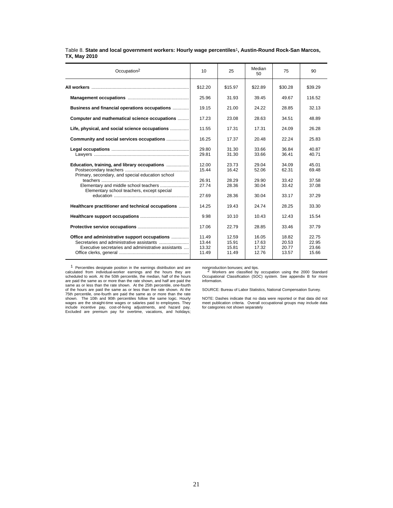| Occupation <sup>2</sup>                                                                              | 10                               | 25                               | Median<br>50                     | 75                               | 90                               |
|------------------------------------------------------------------------------------------------------|----------------------------------|----------------------------------|----------------------------------|----------------------------------|----------------------------------|
|                                                                                                      | \$12.20                          | \$15.97                          | \$22.89                          | \$30.28                          | \$39.29                          |
|                                                                                                      | 25.96                            | 31.93                            | 39.45                            | 49.67                            | 116.52                           |
| Business and financial operations occupations                                                        | 19.15                            | 21.00                            | 24.22                            | 28.85                            | 32.13                            |
| Computer and mathematical science occupations                                                        | 17.23                            | 23.08                            | 28.63                            | 34.51                            | 48.89                            |
| Life, physical, and social science occupations                                                       | 11.55                            | 17.31                            | 17.31                            | 24.09                            | 26.28                            |
| Community and social services occupations                                                            | 16.25                            | 17.37                            | 20.48                            | 22.24                            | 25.83                            |
|                                                                                                      | 29.80<br>29.81                   | 31.30<br>31.30                   | 33.66<br>33.66                   | 36.84<br>36.41                   | 40.87<br>40.71                   |
| Education, training, and library occupations<br>Primary, secondary, and special education school     | 12.00<br>15.44<br>26.91          | 23.73<br>16.42<br>28.29          | 29.04<br>52.06<br>29.90          | 34.09<br>62.31<br>33.42          | 45.01<br>69.48<br>37.58          |
| Elementary and middle school teachers<br>Elementary school teachers, except special                  | 27.74                            | 28.36                            | 30.04                            | 33.42                            | 37.08                            |
|                                                                                                      | 27.69                            | 28.36                            | 30.04                            | 33.17                            | 37.29                            |
| Healthcare practitioner and technical occupations                                                    | 14.25                            | 19.43                            | 24.74                            | 28.25                            | 33.30                            |
|                                                                                                      | 9.98                             | 10.10                            | 10.43                            | 12.43                            | 15.54                            |
|                                                                                                      | 17.06                            | 22.79                            | 28.85                            | 33.46                            | 37.79                            |
| Office and administrative support occupations<br>Executive secretaries and administrative assistants | 11.49<br>13.44<br>13.32<br>11.49 | 12.59<br>15.91<br>15.81<br>11.49 | 16.05<br>17.63<br>17.32<br>12.76 | 18.82<br>20.53<br>20.77<br>13.57 | 22.75<br>22.95<br>23.66<br>15.66 |

### Table 8. **State and local government workers: Hourly wage percentiles**1**, Austin-Round Rock-San Marcos, TX, May 2010**

1 Percentiles designate position in the earnings distribution and are calculated from individual-worker earnings and the hours they are scheduled to work. At the 50th percentile, the median, half of the hours are paid the same as or more than the rate shown, and half are paid the same as or less than the rate shown. At the 25th percentile, one-fourth<br>of the hours are paid the same as or less than the rate shown. At the<br>75th percentile, one-fourth are paid the same as or more than the rate<br>shown. Th wages are the straight-time wages or salaries paid to employees. They include incentive pay, cost-of-living adjustments, and hazard pay. Excluded are premium pay for overtime, vacations, and holidays;

nonproduction bonuses; and tips.<br><sup>2</sup> Workers are classified by occupation using the 2000 Standard<br>Occupational Classification (SOC) system. See appendix B for more information.

SOURCE: Bureau of Labor Statistics, National Compensation Survey.

NOTE: Dashes indicate that no data were reported or that data did not meet publication criteria. Overall occupational groups may include data for categories not shown separately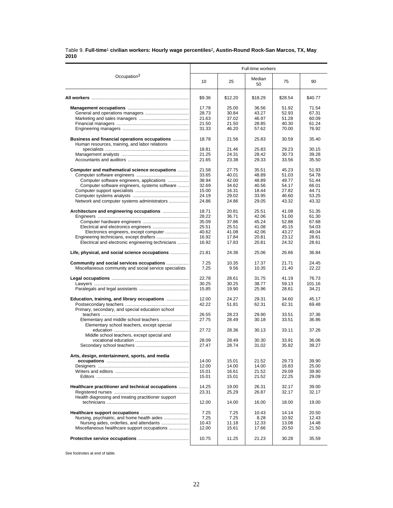### Table 9. **Full-time**1 **civilian workers: Hourly wage percentiles**2**, Austin-Round Rock-San Marcos, TX, May 2010**

|                                                                                                     | Full-time workers |                |                |                |                |  |  |
|-----------------------------------------------------------------------------------------------------|-------------------|----------------|----------------|----------------|----------------|--|--|
| Occupation <sup>3</sup>                                                                             | 10                | 25             | Median<br>50   | 75             | 90             |  |  |
|                                                                                                     | \$9.36            | \$12.20        | \$18.29        | \$28.54        | \$40.77        |  |  |
|                                                                                                     | 17.78             | 25.00          | 36.56          | 51.92          | 71.54          |  |  |
|                                                                                                     | 28.73             | 30.84          | 43.27          | 52.93          | 67.31          |  |  |
|                                                                                                     | 21.63             | 37.02          | 46.97          | 51.28          | 60.09          |  |  |
|                                                                                                     | 21.50             | 21.50          | 28.85          | 40.30          | 61.24          |  |  |
|                                                                                                     | 31.33             | 46.20          | 57.62          | 70.00          | 76.92          |  |  |
| Business and financial operations occupations<br>Human resources, training, and labor relations     | 18.78             | 21.56          | 25.83          | 30.59          | 35.40          |  |  |
|                                                                                                     | 18.81             | 21.46          | 25.83          | 29.23          | 30.15          |  |  |
|                                                                                                     | 21.25             | 24.31          | 28.42          | 30.73          | 39.28          |  |  |
|                                                                                                     | 21.65             | 23.38          | 29.33          | 33.56          | 35.50          |  |  |
| Computer and mathematical science occupations                                                       | 21.58             | 27.75          | 35.51          | 45.23          | 51.93          |  |  |
|                                                                                                     | 33.65             | 40.01          | 48.89          | 51.03          | 54.78          |  |  |
| Computer software engineers, applications                                                           | 38.94             | 42.00          | 48.89          | 49.77          | 51.44          |  |  |
| Computer software engineers, systems software                                                       | 32.69             | 34.62          | 40.56          | 54.17          | 66.01          |  |  |
|                                                                                                     | 15.00             | 16.31          | 18.44          | 27.82          | 44.71          |  |  |
|                                                                                                     | 24.19             | 29.02          | 33.95          | 46.60          | 53.25          |  |  |
| Network and computer systems administrators                                                         | 24.86             | 24.86          | 29.05          | 43.32          | 43.32          |  |  |
| Architecture and engineering occupations                                                            | 18.71             | 20.81          | 25.51          | 41.08          | 51.35          |  |  |
|                                                                                                     | 28.22             | 36.71          | 42.06          | 51.00          | 61.30          |  |  |
|                                                                                                     | 35.09             | 37.86          | 45.24          | 52.88          | 67.68          |  |  |
|                                                                                                     | 25.51             | 25.51          | 41.08          | 45.15          | 54.03          |  |  |
| Electronics engineers, except computer                                                              | 40.62             | 41.08          | 42.06          | 43.27          | 49.04          |  |  |
|                                                                                                     | 16.92             | 17.84          | 20.81          | 23.12          | 28.61          |  |  |
| Electrical and electronic engineering technicians                                                   | 16.92             | 17.83          | 20.81          | 24.32          | 28.61          |  |  |
| Life, physical, and social science occupations                                                      | 21.81             | 24.36          | 25.06          | 26.66          | 36.84          |  |  |
| Community and social services occupations<br>Miscellaneous community and social service specialists | 7.25<br>7.25      | 10.35<br>9.56  | 17.37<br>10.35 | 21.71<br>21.40 | 24.45<br>22.22 |  |  |
|                                                                                                     | 22.78             | 28.61          | 31.75          | 41.19          | 76.73          |  |  |
|                                                                                                     | 30.25             | 30.25          | 38.77          | 59.13          | 101.16         |  |  |
|                                                                                                     | 15.85             | 19.90          | 25.96          | 28.61          | 34.21          |  |  |
| Education, training, and library occupations                                                        | 12.00<br>42.22    | 24.27<br>51.81 | 29.31<br>62.31 | 34.60<br>62.31 | 45.17<br>69.48 |  |  |
| Primary, secondary, and special education school                                                    |                   |                |                |                |                |  |  |
|                                                                                                     | 26.55<br>27.75    | 28.23<br>28.49 | 29.90<br>30.18 | 33.51<br>33.51 | 37.36<br>36.86 |  |  |
| Elementary school teachers, except special                                                          | 27.72             | 28.36          | 30.13          | 33.11          | 37.26          |  |  |
| Middle school teachers, except special and                                                          |                   |                |                |                |                |  |  |
|                                                                                                     | 28.09             | 28.49          | 30.30          | 33.91          | 36.06          |  |  |
|                                                                                                     | 27.47             | 28.74          | 31.02          | 35.82          | 39.27          |  |  |
| Arts, design, entertainment, sports, and media                                                      |                   |                |                |                |                |  |  |
|                                                                                                     | 14.00             | 15.01          | 21.52          | 29.73          | 39.90          |  |  |
|                                                                                                     | 12.00             | 14.00          | 14.00          | 16.83<br>29.09 | 25.00          |  |  |
|                                                                                                     | 15.01<br>15.01    | 16.61<br>15.01 | 21.52<br>21.52 | 22.25          | 39.90<br>29.09 |  |  |
|                                                                                                     |                   |                |                |                |                |  |  |
| Healthcare practitioner and technical occupations                                                   | 14.25             | 19.00          | 26.31          | 32.17          | 39.00          |  |  |
|                                                                                                     | 23.31             | 25.29          | 26.87          | 32.17          | 32.17          |  |  |
| Health diagnosing and treating practitioner support                                                 | 12.00             | 14.00          | 16.00          | 18.00          | 19.00          |  |  |
|                                                                                                     |                   |                |                |                |                |  |  |
|                                                                                                     | 7.25              | 7.25           | 10.43          | 14.14          | 20.50          |  |  |
| Nursing, psychiatric, and home health aides                                                         | 7.25              | 7.25           | 8.28           | 10.92          | 12.43          |  |  |
| Nursing aides, orderlies, and attendants                                                            | 10.43             | 11.18          | 12.33          | 13.08          | 14.48          |  |  |
| Miscellaneous healthcare support occupations                                                        | 12.00             | 15.61          | 17.66          | 20.50          | 21.50          |  |  |
|                                                                                                     | 10.75             | 11.25          | 21.23          | 30.28          | 35.59          |  |  |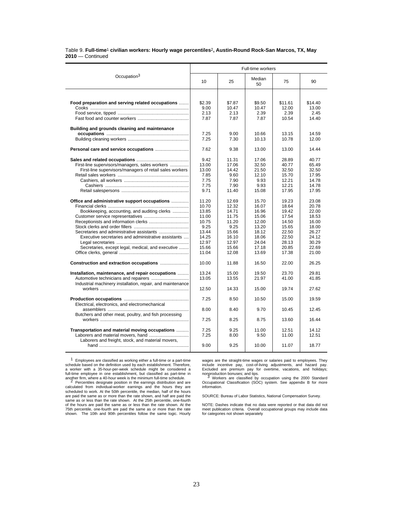### Table 9. **Full-time**1 **civilian workers: Hourly wage percentiles**2**, Austin-Round Rock-San Marcos, TX, May 2010** — Continued

|                                                            | Full-time workers |                 |                 |                  |                  |  |  |  |
|------------------------------------------------------------|-------------------|-----------------|-----------------|------------------|------------------|--|--|--|
| Occupation <sup>3</sup>                                    | 10                | 25              | Median<br>50    | 75               | 90               |  |  |  |
|                                                            |                   |                 |                 |                  |                  |  |  |  |
| Food preparation and serving related occupations           | \$2.39<br>9.00    | \$7.87<br>10.47 | \$9.50<br>10.47 | \$11.61<br>12.00 | \$14.40<br>13.00 |  |  |  |
|                                                            |                   |                 | 2.39            | 2.39             | 2.45             |  |  |  |
|                                                            | 2.13<br>7.87      | 2.13<br>7.87    | 7.87            | 10.54            | 14.40            |  |  |  |
| Building and grounds cleaning and maintenance              |                   |                 |                 |                  |                  |  |  |  |
|                                                            | 7.25              | 9.00            | 10.66           | 13.15            | 14.59            |  |  |  |
|                                                            | 7.25              | 7.30            | 10.13           | 10.78            | 12.00            |  |  |  |
|                                                            | 7.62              | 9.38            | 13.00           | 13.00            | 14.44            |  |  |  |
|                                                            | 9.42              | 11.31           | 17.06           | 28.89            | 40.77            |  |  |  |
| First-line supervisors/managers, sales workers             | 13.00             | 17.06           | 32.50           | 40.77            | 65.49            |  |  |  |
| First-line supervisors/managers of retail sales workers    | 13.00             | 14.42           | 21.50           | 32.50            | 32.50            |  |  |  |
|                                                            | 7.85              | 9.60            | 12.10           | 15.70            | 17.95            |  |  |  |
|                                                            | 7.75              | 7.90            | 9.93            | 12.21            | 14.78            |  |  |  |
|                                                            | 7.75              | 7.90            | 9.93            | 12.21            | 14.78            |  |  |  |
|                                                            | 9.71              | 11.40           | 15.08           | 17.95            | 17.95            |  |  |  |
| Office and administrative support occupations              | 11.20             | 12.69           | 15.70           | 19.23            | 23.08            |  |  |  |
|                                                            | 10.70             | 12.32           | 16.07           | 18.64            | 20.78            |  |  |  |
| Bookkeeping, accounting, and auditing clerks               | 13.85             | 14.71           | 16.96           | 19.42            | 22.00            |  |  |  |
|                                                            | 11.00             | 11.75           | 15.06           | 17.54            | 18.53            |  |  |  |
|                                                            | 10.75             | 11.20           | 12.00           | 14.50            | 16.00            |  |  |  |
|                                                            | 9.25              | 9.25            | 13.20           | 15.65            | 18.00            |  |  |  |
|                                                            | 13.44             | 15.66           | 18.12           | 22.50            | 26.27            |  |  |  |
| Executive secretaries and administrative assistants        | 14.25             | 16.10           | 18.06           | 22.50            | 24.12            |  |  |  |
|                                                            | 12.97             | 12.97           | 24.04           | 28.13            | 30.29            |  |  |  |
| Secretaries, except legal, medical, and executive          | 15.66             | 15.66           | 17.18           | 20.85            | 22.69            |  |  |  |
|                                                            | 11.04             | 12.08           | 13.69           | 17.38            | 21.00            |  |  |  |
| Construction and extraction occupations                    | 10.00             | 11.88           | 16.50           | 22.00            | 26.25            |  |  |  |
| Installation, maintenance, and repair occupations          | 13.24             | 15.00           | 19.50           | 23.70            | 29.81            |  |  |  |
|                                                            | 13.05             | 13.55           | 21.97           | 41.00            | 41.85            |  |  |  |
| Industrial machinery installation, repair, and maintenance |                   |                 |                 |                  |                  |  |  |  |
|                                                            | 12.50             | 14.33           | 15.00           | 19.74            | 27.62            |  |  |  |
| Electrical, electronics, and electromechanical             | 7.25              | 8.50            | 10.50           | 15.00            | 19.59            |  |  |  |
| Butchers and other meat, poultry, and fish processing      | 8.00              | 8.40            | 9.70            | 10.45            | 12.45            |  |  |  |
|                                                            | 7.25              | 8.25            | 8.75            | 13.60            | 16.44            |  |  |  |
| Transportation and material moving occupations             | 7.25              | 9.25            | 11.00           | 12.51            | 14.12            |  |  |  |
|                                                            | 7.25              | 8.00            | 9.50            | 11.00            | 12.51            |  |  |  |
| Laborers and freight, stock, and material movers,          | 9.00              | 9.25            | 10.00           | 11.07            | 18.77            |  |  |  |

1 Employees are classified as working either a full-time or a part-time schedule based on the definition used by each establishment. Therefore, a worker with a 35-hour-per-week schedule might be considered a full-time employee in one establishment, but classified as part-time in<br>another firm, where a 40-hour week is the minimum full-time schedule.<br><sup>2</sup> Percentiles designate position in the earnings distribution and are

calculated from individual-worker earnings and the hours they are scheduled to work. At the 50th percentile, the median, half of the hours are paid the same as or more than the rate shown, and half are paid the same as or less than the rate shown. At the 25th percentile, one-fourth of the hours are paid the same as or less than the rate shown. At the 75th percentile, one-fourth are paid the same as or more than the rate shown. The 10th and 90th percentiles follow the same logic. Hourly

wages are the straight-time wages or salaries paid to employees. They include incentive pay, cost-of-living adjustments, and hazard pay. Excluded are premium pay for overtime, vacations, and holidays; nonproduction bonuses; and tips.<br><sup>3</sup> Workers are classified by occupation using the 2000 Standard

Occupational Classification (SOC) system. See appendix B for more information.

SOURCE: Bureau of Labor Statistics, National Compensation Survey.

NOTE: Dashes indicate that no data were reported or that data did not meet publication criteria. Overall occupational groups may include data for categories not shown separately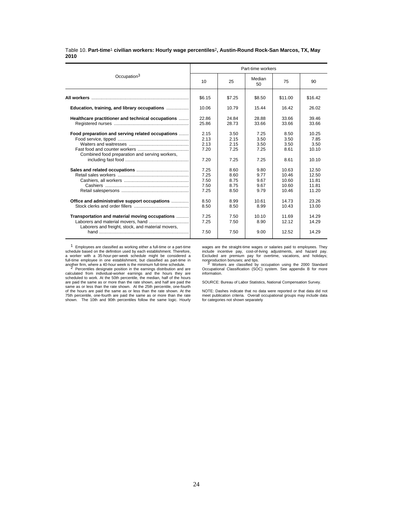### Table 10. **Part-time**1 **civilian workers: Hourly wage percentiles**2**, Austin-Round Rock-San Marcos, TX, May 2010**

|                                                                                                    |                                                                              |                                                                              | Part-time workers                                                            |                                                                                   |                                                                                      |
|----------------------------------------------------------------------------------------------------|------------------------------------------------------------------------------|------------------------------------------------------------------------------|------------------------------------------------------------------------------|-----------------------------------------------------------------------------------|--------------------------------------------------------------------------------------|
| Occupation <sup>3</sup>                                                                            | 10                                                                           | 25                                                                           | Median<br>50                                                                 | 75                                                                                | 90                                                                                   |
|                                                                                                    | \$6.15                                                                       | \$7.25                                                                       | \$8.50                                                                       | \$11.00                                                                           | \$16.42                                                                              |
| Education, training, and library occupations                                                       | 10.06                                                                        | 10.79                                                                        | 15.44                                                                        | 16.42                                                                             | 26.02                                                                                |
| Healthcare practitioner and technical occupations                                                  | 22.86<br>25.86                                                               | 24.84<br>28.73                                                               | 28.88<br>33.66                                                               | 33.66<br>33.66                                                                    | 39.46<br>33.66                                                                       |
| Food preparation and serving related occupations<br>Combined food preparation and serving workers, | 2.15<br>2.13<br>2.13<br>7.20<br>7.20<br>7.25<br>7.25<br>7.50<br>7.50<br>7.25 | 3.50<br>2.15<br>2.15<br>7.25<br>7.25<br>8.60<br>8.60<br>8.75<br>8.75<br>8.50 | 7.25<br>3.50<br>3.50<br>7.25<br>7.25<br>9.80<br>9.77<br>9.67<br>9.67<br>9.79 | 8.50<br>3.50<br>3.50<br>8.61<br>8.61<br>10.63<br>10.46<br>10.60<br>10.60<br>10.46 | 10.25<br>7.85<br>3.50<br>10.10<br>10.10<br>12.50<br>12.50<br>11.81<br>11.81<br>11.20 |
| Office and administrative support occupations<br>Transportation and material moving occupations    | 8.50<br>8.50<br>7.25                                                         | 8.99<br>8.50<br>7.50                                                         | 10.61<br>8.99<br>10.10                                                       | 14.73<br>10.43<br>11.69                                                           | 23.26<br>13.00<br>14.29                                                              |
| Laborers and freight, stock, and material movers,                                                  | 7.25<br>7.50                                                                 | 7.50<br>7.50                                                                 | 8.90<br>9.00                                                                 | 12.12<br>12.52                                                                    | 14.29<br>14.29                                                                       |

1 Employees are classified as working either a full-time or a part-time schedule based on the definition used by each establishment. Therefore, a worker with a 35-hour-per-week schedule might be considered a

wages are the straight-time wages or salaries paid to employees. They include incentive pay, cost-of-living adjustments, and hazard pay. Excluded are premium pay for overtime, vacations, and holidays;

nonproduction bonuses; and tips.<br>3 Workers are classified by occupation using the 2000 Standard<br>Occupational Classification (SOC) system. See appendix B for more information.

SOURCE: Bureau of Labor Statistics, National Compensation Survey.

NOTE: Dashes indicate that no data were reported or that data did not meet publication criteria. Overall occupational groups may include data for categories not shown separately

full-time employee in one establishment, but classified as part-time in<br>another firm, where a 40-hour week is the minimum full-time schedule.<br> $2$  Percentilies designate position in the earnings distribution and are<br>calcul are paid the same as or more than the rate shown, and half are paid the same as or less than the rate shown. At the 25th percentile, one-fourth of the hours are paid the same as or less than the rate shown. At the

75th percentile, one-fourth are paid the same as or more than the rate shown. The 10th and 90th percentiles follow the same logic. Hourly

24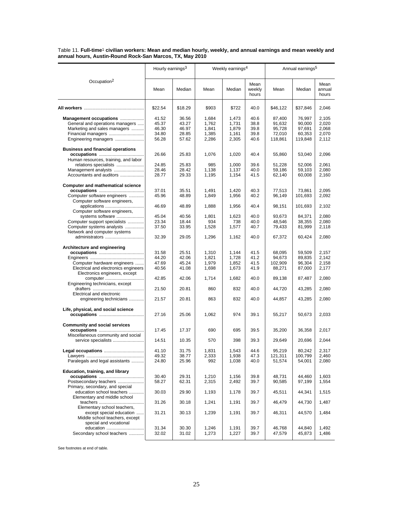Table 11. **Full-time**1 **civilian workers: Mean and median hourly, weekly, and annual earnings and mean weekly and annual hours, Austin-Round Rock-San Marcos, TX, May 2010**

|                                                           | Hourly earnings <sup>3</sup><br>Weekly earnings <sup>4</sup> |         |                | Annual earnings <sup>5</sup> |                         |                   |          |                         |
|-----------------------------------------------------------|--------------------------------------------------------------|---------|----------------|------------------------------|-------------------------|-------------------|----------|-------------------------|
| Occupation <sup>2</sup>                                   | Mean                                                         | Median  | Mean           | Median                       | Mean<br>weekly<br>hours | Mean              | Median   | Mean<br>annual<br>hours |
|                                                           | \$22.54                                                      | \$18.29 | \$903          | \$722                        | 40.0                    | \$46,122          | \$37,846 | 2,046                   |
| Management occupations                                    | 41.52                                                        | 36.56   | 1,684          | 1,473                        | 40.6                    | 87,400            | 76,997   | 2,105                   |
| General and operations managers                           | 45.37                                                        | 43.27   | 1,762          | 1,731                        | 38.8                    | 91,632            | 90,000   | 2,020                   |
| Marketing and sales managers                              | 46.30                                                        | 46.97   | 1,841          | 1,879                        | 39.8                    | 95,728            | 97,691   | 2,068                   |
| Financial managers                                        | 34.80                                                        | 28.85   | 1,385          | 1,161                        | 39.8                    | 72,010            | 60,353   | 2,070                   |
| Engineering managers                                      | 56.28                                                        | 57.62   | 2,286          | 2,305                        | 40.6                    | 118,861           | 119,848  | 2,112                   |
| <b>Business and financial operations</b>                  |                                                              |         |                |                              |                         |                   |          |                         |
|                                                           | 26.66                                                        | 25.83   | 1,076          | 1,020                        | 40.4                    | 55,860            | 53,040   | 2,096                   |
| Human resources, training, and labor                      |                                                              |         |                |                              |                         |                   |          |                         |
| relations specialists                                     | 24.85                                                        | 25.83   | 985            | 1,000                        | 39.6                    | 51,228            | 52,006   | 2,061                   |
| Management analysts                                       | 28.46                                                        | 28.42   | 1,138          | 1,137                        | 40.0                    | 59,186            | 59,103   | 2,080                   |
| Accountants and auditors                                  | 28.77                                                        | 29.33   | 1,195          | 1,154                        | 41.5                    | 62,140            | 60,008   | 2,160                   |
| <b>Computer and mathematical science</b>                  |                                                              |         |                |                              |                         |                   |          |                         |
|                                                           | 37.01                                                        | 35.51   | 1,491          | 1,420                        | 40.3                    | 77,513            | 73,861   | 2,095                   |
| Computer software engineers                               | 45.96                                                        | 48.89   | 1,849          | 1,956                        | 40.2                    | 96,149            | 101,693  | 2,092                   |
| Computer software engineers,                              |                                                              |         |                |                              |                         |                   |          |                         |
| applications                                              | 46.69                                                        | 48.89   | 1,888          | 1,956                        | 40.4                    | 98,151            | 101,693  | 2,102                   |
| Computer software engineers,                              |                                                              |         |                |                              |                         |                   |          |                         |
| systems software                                          | 45.04                                                        | 40.56   | 1,801          | 1,623                        | 40.0                    | 93.673            | 84,371   | 2,080                   |
| Computer support specialists                              | 23.34                                                        | 18.44   | 934            | 738                          | 40.0                    | 48,546            | 38,355   | 2,080                   |
| Computer systems analysts                                 | 37.50                                                        | 33.95   | 1,528          | 1,577                        | 40.7                    | 79,433            | 81,999   | 2,118                   |
| Network and computer systems                              |                                                              |         |                |                              |                         |                   |          |                         |
| administrators                                            | 32.39                                                        | 29.05   | 1,296          | 1,162                        | 40.0                    | 67,372            | 60,424   | 2,080                   |
| Architecture and engineering                              |                                                              |         |                |                              |                         |                   |          |                         |
|                                                           | 31.58                                                        | 25.51   | 1,310          | 1,144                        | 41.5                    | 68,095            | 59,509   | 2,157                   |
|                                                           | 44.20                                                        | 42.06   | 1,821          | 1,728                        | 41.2                    | 94,673            | 89,835   | 2,142                   |
| Computer hardware engineers                               | 47.69                                                        | 45.24   | 1,979          | 1,852                        | 41.5                    | 102,909           | 96,304   | 2,158                   |
| Electrical and electronics engineers                      | 40.56                                                        | 41.08   | 1,698          | 1,673                        | 41.9                    | 88,271            | 87,000   | 2,177                   |
| Electronics engineers, except                             |                                                              |         |                |                              |                         |                   |          |                         |
| computer                                                  | 42.85                                                        | 42.06   | 1,714          | 1,682                        | 40.0                    | 89,138            | 87,487   | 2,080                   |
| Engineering technicians, except                           |                                                              |         |                |                              |                         |                   |          |                         |
|                                                           | 21.50                                                        | 20.81   | 860            | 832                          | 40.0                    | 44,720            | 43,285   | 2,080                   |
| Electrical and electronic                                 |                                                              |         |                |                              |                         |                   |          |                         |
| engineering technicians                                   | 21.57                                                        | 20.81   | 863            | 832                          | 40.0                    | 44,857            | 43,285   | 2,080                   |
| Life, physical, and social science                        |                                                              |         |                |                              |                         |                   |          |                         |
|                                                           | 27.16                                                        | 25.06   | 1,062          | 974                          | 39.1                    | 55,217            | 50,673   | 2,033                   |
| <b>Community and social services</b>                      |                                                              |         |                |                              |                         |                   |          |                         |
|                                                           | 17.45                                                        | 17.37   | 690            | 695                          | 39.5                    | 35,200            | 36,358   | 2,017                   |
| Miscellaneous community and social                        |                                                              |         |                |                              |                         |                   |          |                         |
| service specialists                                       | 14.51                                                        | 10.35   | 570            | 398                          | 39.3                    | 29,649            | 20,696   | 2,044                   |
| Legal occupations                                         | 41.10                                                        | 31.75   |                | 1,543                        | 44.6                    |                   | 80,242   | 2,317                   |
|                                                           | 49.32                                                        | 38.77   | 1,831<br>2,333 | 1,938                        | 47.3                    | 95,219            | 100,799  | 2,460                   |
| Paralegals and legal assistants                           | 24.80                                                        | 25.96   | 992            | 1,038                        | 40.0                    | 121,311<br>51,574 | 54,001   | 2,080                   |
|                                                           |                                                              |         |                |                              |                         |                   |          |                         |
| Education, training, and library                          |                                                              |         |                |                              |                         |                   |          |                         |
|                                                           | 30.40                                                        | 29.31   | 1,210          | 1,156                        | 39.8                    | 48,731            | 44,460   | 1,603                   |
| Postsecondary teachers                                    | 58.27                                                        | 62.31   | 2,315          | 2,492                        | 39.7                    | 90,585            | 97,199   | 1,554                   |
| Primary, secondary, and special                           |                                                              |         |                |                              |                         |                   |          |                         |
| education school teachers<br>Elementary and middle school | 30.03                                                        | 29.90   | 1,193          | 1,178                        | 39.7                    | 45,511            | 44,341   | 1,515                   |
|                                                           | 31.26                                                        | 30.18   | 1,241          | 1,191                        | 39.7                    | 46,479            | 44,730   | 1,487                   |
| Elementary school teachers,                               |                                                              |         |                |                              |                         |                   |          |                         |
| except special education                                  | 31.21                                                        | 30.13   | 1,239          | 1,191                        | 39.7                    | 46,311            | 44,570   | 1,484                   |
| Middle school teachers, except                            |                                                              |         |                |                              |                         |                   |          |                         |
| special and vocational                                    |                                                              |         |                |                              |                         |                   |          |                         |
| education                                                 | 31.34                                                        | 30.30   | 1,246          | 1,191                        | 39.7                    | 46,768            | 44.840   | 1,492                   |
| Secondary school teachers                                 | 32.02                                                        | 31.02   | 1,273          | 1,227                        | 39.7                    | 47,579            | 45,873   | 1,486                   |
|                                                           |                                                              |         |                |                              |                         |                   |          |                         |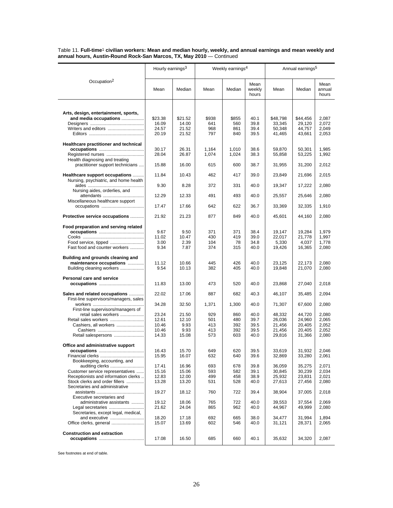Table 11. **Full-time**1 **civilian workers: Mean and median hourly, weekly, and annual earnings and mean weekly and annual hours, Austin-Round Rock-San Marcos, TX, May 2010** — Continued

|                                                                         | Hourly earnings <sup>3</sup> |                |            | Weekly earnings <sup>4</sup> |                         | Annual earnings <sup>5</sup> |                  |                         |  |
|-------------------------------------------------------------------------|------------------------------|----------------|------------|------------------------------|-------------------------|------------------------------|------------------|-------------------------|--|
| Occupation <sup>2</sup>                                                 | Mean                         | Median         | Mean       | Median                       | Mean<br>weekly<br>hours | Mean                         | Median           | Mean<br>annual<br>hours |  |
|                                                                         |                              |                |            |                              |                         |                              |                  |                         |  |
| Arts, design, entertainment, sports,<br>and media occupations           | \$23.38                      | \$21.52        | \$938      | \$855                        | 40.1                    | \$48,798                     | \$44,456         | 2,087                   |  |
|                                                                         | 16.09                        | 14.00          | 641        | 560                          | 39.8                    | 33,345                       | 29,120           | 2,072                   |  |
|                                                                         | 24.57                        | 21.52          | 968        | 861                          | 39.4                    | 50,348                       | 44,757           | 2,049                   |  |
|                                                                         | 20.19                        | 21.52          | 797        | 840                          | 39.5                    | 41,465                       | 43,661           | 2,053                   |  |
| Healthcare practitioner and technical                                   |                              |                |            |                              |                         |                              |                  |                         |  |
| Registered nurses                                                       | 30.17<br>28.04               | 26.31<br>26.87 | 1,164      | 1,010                        | 38.6<br>38.3            | 59,870                       | 50,301           | 1,985                   |  |
| Health diagnosing and treating                                          |                              |                | 1,074      | 1,024                        |                         | 55,858                       | 53,225           | 1,992                   |  |
| practitioner support technicians                                        | 15.88                        | 16.00          | 615        | 600                          | 38.7                    | 31,955                       | 31,200           | 2,012                   |  |
| Healthcare support occupations<br>Nursing, psychiatric, and home health | 11.84                        | 10.43          | 462        | 417                          | 39.0                    | 23,849                       | 21,696           | 2,015                   |  |
|                                                                         | 9.30                         | 8.28           | 372        | 331                          | 40.0                    | 19,347                       | 17,222           | 2,080                   |  |
| Nursing aides, orderlies, and<br>attendants                             | 12.29                        | 12.33          | 491        | 493                          | 40.0                    | 25,557                       | 25,646           | 2,080                   |  |
| Miscellaneous healthcare support<br>occupations                         | 17.47                        | 17.66          | 642        | 622                          | 36.7                    | 33,369                       | 32,335           | 1,910                   |  |
|                                                                         |                              |                |            |                              |                         |                              |                  |                         |  |
| Protective service occupations                                          | 21.92                        | 21.23          | 877        | 849                          | 40.0                    | 45,601                       | 44,160           | 2,080                   |  |
| Food preparation and serving related                                    |                              |                |            |                              |                         |                              |                  |                         |  |
|                                                                         | 9.67<br>11.02                | 9.50<br>10.47  | 371<br>430 | 371<br>419                   | 38.4<br>39.0            | 19,147<br>22,017             | 19,284<br>21,778 | 1,979<br>1,997          |  |
|                                                                         | 3.00                         | 2.39           | 104        | 78                           | 34.8                    | 5,330                        | 4,037            | 1,778                   |  |
| Fast food and counter workers                                           | 9.34                         | 7.87           | 374        | 315                          | 40.0                    | 19,426                       | 16,365           | 2,080                   |  |
| Building and grounds cleaning and                                       |                              |                |            |                              |                         |                              |                  |                         |  |
| maintenance occupations<br>Building cleaning workers                    | 11.12<br>9.54                | 10.66<br>10.13 | 445<br>382 | 426<br>405                   | 40.0<br>40.0            | 23,125<br>19,848             | 22,173<br>21,070 | 2,080<br>2,080          |  |
|                                                                         |                              |                |            |                              |                         |                              |                  |                         |  |
| Personal care and service                                               | 11.83                        | 13.00          | 473        | 520                          | 40.0                    | 23,868                       | 27,040           | 2,018                   |  |
|                                                                         |                              |                |            |                              |                         |                              |                  |                         |  |
| Sales and related occupations<br>First-line supervisors/managers, sales | 22.02                        | 17.06          | 887        | 682                          | 40.3                    | 46,107                       | 35,485           | 2,094                   |  |
|                                                                         | 34.28                        | 32.50          | 1,371      | 1,300                        | 40.0                    | 71,307                       | 67,600           | 2,080                   |  |
| First-line supervisors/managers of<br>retail sales workers              | 23.24                        | 21.50          | 929        | 860                          | 40.0                    | 48,332                       | 44,720           | 2,080                   |  |
|                                                                         | 12.61                        | 12.10          | 501        | 480                          | 39.7                    | 26,036                       | 24.960           | 2,065                   |  |
| Cashiers, all workers                                                   | 10.46                        | 9.93           | 413        | 392                          | 39.5                    | 21,456                       | 20,405           | 2,052                   |  |
| Retail salespersons                                                     | 10.46<br>14.33               | 9.93<br>15.08  | 413<br>573 | 392<br>603                   | 39.5<br>40.0            | 21,456<br>29,816             | 20,405<br>31,366 | 2,052<br>2,080          |  |
|                                                                         |                              |                |            |                              |                         |                              |                  |                         |  |
| Office and administrative support                                       |                              |                |            |                              |                         |                              |                  |                         |  |
|                                                                         | 16.43<br>15.95               | 15.70<br>16.07 | 649<br>632 | 620<br>640                   | 39.5<br>39.6            | 33,619<br>32,869             | 31,932<br>33,280 | 2,046<br>2,061          |  |
| Bookkeeping, accounting, and                                            |                              |                |            |                              |                         |                              |                  |                         |  |
| auditing clerks                                                         | 17.41                        | 16.96          | 693        | 678                          | 39.8                    | 36,059                       | 35,275           | 2,071                   |  |
| Customer service representatives                                        | 15.16                        | 15.06          | 593        | 582                          | 39.1                    | 30,845                       | 30,239           | 2,034                   |  |
| Receptionists and information clerks<br>Stock clerks and order fillers  | 12.83<br>13.28               | 12.00<br>13.20 | 499<br>531 | 458<br>528                   | 38.9<br>40.0            | 25,932<br>27,613             | 23,831<br>27,456 | 2,021<br>2,080          |  |
| Secretaries and administrative                                          |                              |                |            |                              |                         |                              |                  |                         |  |
| Executive secretaries and                                               | 19.27                        | 18.12          | 760        | 722                          | 39.4                    | 38,904                       | 37,005           | 2,018                   |  |
| administrative assistants                                               | 19.12                        | 18.06          | 765        | 722                          | 40.0                    | 39,553                       | 37,554           | 2,069                   |  |
|                                                                         | 21.62                        | 24.04          | 865        | 962                          | 40.0                    | 44,967                       | 49,999           | 2,080                   |  |
| Secretaries, except legal, medical,                                     |                              |                |            |                              |                         |                              |                  |                         |  |
| and executive<br>Office clerks, general                                 | 18.20<br>15.07               | 17.18<br>13.69 | 692<br>602 | 665<br>546                   | 38.0<br>40.0            | 34,477<br>31,121             | 31,994<br>28,371 | 1,894<br>2,065          |  |
| <b>Construction and extraction</b>                                      |                              |                |            |                              |                         |                              |                  |                         |  |
|                                                                         | 17.08                        | 16.50          | 685        | 660                          | 40.1                    | 35,632                       | 34,320           | 2,087                   |  |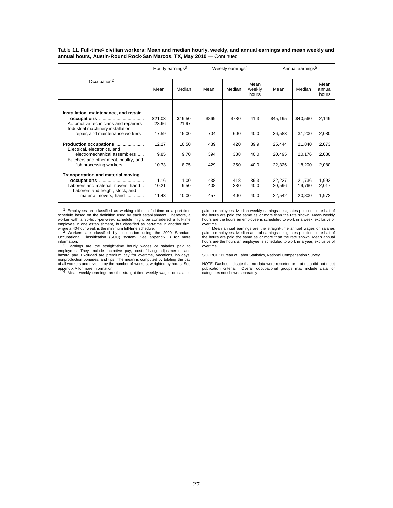Table 11. **Full-time**1 **civilian workers: Mean and median hourly, weekly, and annual earnings and mean weekly and annual hours, Austin-Round Rock-San Marcos, TX, May 2010** — Continued

|                                                           | Hourly earnings <sup>3</sup> |         |       | Weekly earnings <sup>4</sup> |                         | Annual earnings <sup>5</sup> |          |                         |
|-----------------------------------------------------------|------------------------------|---------|-------|------------------------------|-------------------------|------------------------------|----------|-------------------------|
| Occupation <sup>2</sup>                                   | Mean                         | Median  | Mean  | Median                       | Mean<br>weekly<br>hours | Mean                         | Median   | Mean<br>annual<br>hours |
|                                                           |                              |         |       |                              |                         |                              |          |                         |
| Installation, maintenance, and repair                     |                              |         |       |                              |                         |                              |          |                         |
|                                                           | \$21.03                      | \$19.50 | \$869 | \$780                        | 41.3                    | \$45,195                     | \$40,560 | 2,149                   |
| Automotive technicians and repairers                      | 23.66                        | 21.97   |       |                              |                         |                              |          |                         |
| Industrial machinery installation,                        |                              |         |       |                              |                         |                              |          |                         |
| repair, and maintenance workers                           | 17.59                        | 15.00   | 704   | 600                          | 40.0                    | 36,583                       | 31,200   | 2,080                   |
| Production occupations<br>Electrical, electronics, and    | 12.27                        | 10.50   | 489   | 420                          | 39.9                    | 25,444                       | 21,840   | 2,073                   |
| electromechanical assemblers                              | 9.85                         | 9.70    | 394   | 388                          | 40.0                    | 20,495                       | 20,176   | 2,080                   |
| Butchers and other meat, poultry, and                     |                              |         |       |                              |                         |                              |          |                         |
| fish processing workers                                   | 10.73                        | 8.75    | 429   | 350                          | 40.0                    | 22,326                       | 18,200   | 2,080                   |
|                                                           |                              |         |       |                              |                         |                              |          |                         |
| Transportation and material moving                        |                              |         |       |                              |                         |                              |          |                         |
|                                                           | 11.16                        | 11.00   | 438   | 418                          | 39.3                    | 22,227                       | 21,736   | 1,992                   |
| Laborers and material movers, hand                        | 10.21                        | 9.50    | 408   | 380                          | 40.0                    | 20,596                       | 19,760   | 2,017                   |
| Laborers and freight, stock, and<br>material movers, hand | 11.43                        | 10.00   | 457   | 400                          | 40.0                    | 22,542                       | 20,800   | 1,972                   |
|                                                           |                              |         |       |                              |                         |                              |          |                         |

1 Employees are classified as working either a full-time or a part-time schedule based on the definition used by each establishment. Therefore, a worker with a 35-hour-per-week schedule might be considered a full-time employee in one establishment, but classified as part-time in another firm,

where a 40-hour week is the minimum full-time schedule.<br>- 2 Workers are classified by occupation using the 2000 Standard<br>Occupational Classification (SOC) system. See appendix B for more

information.<br><sup>3</sup> Earnings are the straight-time hourly wages or salaries paid to<br>employees. They include incentive pay, cost-of-living adjustments, and<br>hazard pay. Excluded are premium pay for overtime, vacations, holidays of all workers and dividing by the number of workers, weighted by hours. See appendix A for more information. <sup>4</sup> Mean weekly earnings are the straight-time weekly wages or salaries

paid to employees. Median weekly earnings designates position - one-half of the hours are paid the same as or more than the rate shown. Mean weekly hours are the hours an employee is scheduled to work in a week, exclusive of overtime.<br>  $\frac{5}{2}$  Mean annual earnings are the straight-time annual wages or salaries

.......<br>Mean annual earnings are the straight-time annual wages or salaries paid to employees. Median annual earnings designates position - one-half of the hours are paid the same as or more than the rate shown. Mean annual hours are the hours an employee is scheduled to work in a year, exclusive of overtime.

SOURCE: Bureau of Labor Statistics, National Compensation Survey.

NOTE: Dashes indicate that no data were reported or that data did not meet publication criteria. Overall occupational groups may include data for categories not shown separately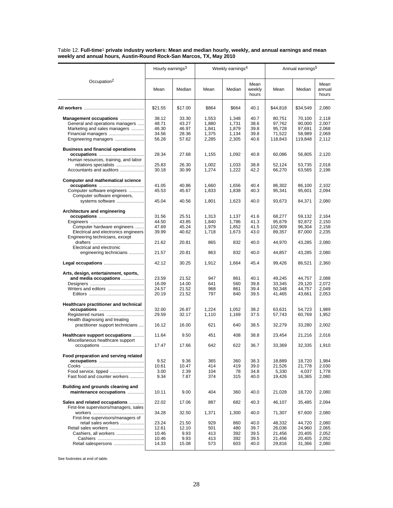Table 12. **Full-time**1 **private industry workers: Mean and median hourly, weekly, and annual earnings and mean weekly and annual hours, Austin-Round Rock-San Marcos, TX, May 2010**

|                                                              | Hourly earnings <sup>3</sup> |                |                | Weekly earnings <sup>4</sup> |                         |                   | Annual earnings <sup>5</sup> |                         |  |
|--------------------------------------------------------------|------------------------------|----------------|----------------|------------------------------|-------------------------|-------------------|------------------------------|-------------------------|--|
| Occupation <sup>2</sup>                                      | Mean                         | Median         | Mean           | Median                       | Mean<br>weekly<br>hours | Mean              | Median                       | Mean<br>annual<br>hours |  |
|                                                              | \$21.55                      | \$17.00        | \$864          | \$664                        | 40.1                    | \$44,818          | \$34,549                     | 2,080                   |  |
| Management occupations                                       | 38.12                        | 33.30          | 1,553          | 1,348                        | 40.7                    | 80,751            | 70,100                       | 2,118                   |  |
| General and operations managers                              | 48.71                        | 43.27          | 1,880          | 1,731                        | 38.6                    | 97,762            | 90,000                       | 2,007                   |  |
| Marketing and sales managers                                 | 46.30                        | 46.97          | 1,841          | 1,879                        | 39.8                    | 95,728            | 97,691                       | 2,068                   |  |
| Financial managers                                           | 34.56                        | 28.36          | 1,375          | 1,134                        | 39.8                    | 71,522            | 58,989                       | 2,069                   |  |
| Engineering managers                                         | 56.28                        | 57.62          | 2,285          | 2,305                        | 40.6                    | 118,843           | 119,848                      | 2,112                   |  |
| <b>Business and financial operations</b>                     | 28.34                        | 27.68          | 1,155          | 1,092                        | 40.8                    | 60,086            | 56,805                       | 2,120                   |  |
| Human resources, training, and labor                         |                              |                |                |                              |                         |                   |                              |                         |  |
| relations specialists                                        | 25.83                        | 26.30          | 1,002          | 1,033                        | 38.8                    | 52,124            | 53,735                       | 2,018                   |  |
| Accountants and auditors                                     | 30.18                        | 30.99          | 1,274          | 1,222                        | 42.2                    | 66,270            | 63,565                       | 2,196                   |  |
|                                                              |                              |                |                |                              |                         |                   |                              |                         |  |
| <b>Computer and mathematical science</b>                     | 41.05                        | 40.86          | 1,660          | 1,656                        | 40.4                    | 86,302            | 86,100                       | 2,102                   |  |
| Computer software engineers                                  | 45.53                        | 45.67          | 1,833          | 1,838                        | 40.3                    | 95,341            | 95,601                       | 2,094                   |  |
| Computer software engineers,                                 |                              |                |                |                              |                         |                   |                              |                         |  |
| systems software                                             | 45.04                        | 40.56          | 1,801          | 1,623                        | 40.0                    | 93,673            | 84,371                       | 2,080                   |  |
|                                                              |                              |                |                |                              |                         |                   |                              |                         |  |
| Architecture and engineering                                 |                              |                |                |                              |                         |                   |                              |                         |  |
|                                                              | 31.56                        | 25.51          | 1,313          | 1,137                        | 41.6                    | 68,277            | 59,132                       | 2,164                   |  |
| Computer hardware engineers                                  | 44.50<br>47.69               | 43.85<br>45.24 | 1.840<br>1,979 | 1,786<br>1,852               | 41.3<br>41.5            | 95,679<br>102,909 | 92.872<br>96,304             | 2,150<br>2,158          |  |
| Electrical and electronics engineers                         | 39.99                        | 40.62          | 1,718          | 1,673                        | 43.0                    | 89,357            | 87,000                       | 2,235                   |  |
| Engineering technicians, except                              |                              |                |                |                              |                         |                   |                              |                         |  |
|                                                              | 21.62                        | 20.81          | 865            | 832                          | 40.0                    | 44,970            | 43,285                       | 2,080                   |  |
| Electrical and electronic                                    |                              |                |                |                              |                         |                   |                              |                         |  |
| engineering technicians                                      | 21.57                        | 20.81          | 863            | 832                          | 40.0                    | 44,857            | 43,285                       | 2,080                   |  |
|                                                              | 42.12                        | 30.25          | 1,912          | 1,664                        | 45.4                    | 99,426            | 86,521                       | 2,360                   |  |
| Arts, design, entertainment, sports,                         |                              |                |                |                              |                         |                   |                              |                         |  |
| and media occupations                                        | 23.59                        | 21.52          | 947            | 861                          | 40.1                    | 49,245            | 44,757                       | 2,088                   |  |
|                                                              | 16.09                        | 14.00          | 641            | 560                          | 39.8                    | 33,345            | 29,120                       | 2,072                   |  |
|                                                              | 24.57                        | 21.52          | 968            | 861                          | 39.4                    | 50,348            | 44,757                       | 2,049                   |  |
|                                                              | 20.19                        | 21.52          | 797            | 840                          | 39.5                    | 41,465            | 43,661                       | 2,053                   |  |
| Healthcare practitioner and technical                        |                              |                |                | 1,052                        | 38.2                    | 63,631            | 54,723                       |                         |  |
| Registered nurses                                            | 32.00<br>29.59               | 26.87<br>32.17 | 1,224<br>1,110 | 1,169                        | 37.5                    | 57,743            | 60,769                       | 1,989<br>1,952          |  |
| Health diagnosing and treating                               |                              |                |                |                              |                         |                   |                              |                         |  |
| practitioner support technicians                             | 16.12                        | 16.00          | 621            | 640                          | 38.5                    | 32,279            | 33,280                       | 2,002                   |  |
| Healthcare support occupations                               | 11.64                        | 9.50           | 451            | 408                          | 38.8                    | 23,454            | 21,216                       | 2,016                   |  |
| Miscellaneous healthcare support<br>occupations              | 17.47                        | 17.66          | 642            | 622                          | 36.7                    | 33,369            | 32,335                       | 1,910                   |  |
| Food preparation and serving related                         |                              |                |                |                              |                         |                   |                              |                         |  |
|                                                              | 9.52                         | 9.36           | 365            | 360                          | 38.3                    | 18,889            | 18,720                       | 1,984                   |  |
|                                                              | 10.61                        | 10.47          | 414            | 419                          | 39.0                    | 21,526            | 21,778                       | 2,030                   |  |
| Food service, tipped                                         | 3.00                         | 2.39           | 104            | 78                           | 34.8                    | 5,330             | 4,037                        | 1,778                   |  |
| Fast food and counter workers                                | 9.34                         | 7.87           | 374            | 315                          | 40.0                    | 19,426            | 16,365                       | 2,080                   |  |
| Building and grounds cleaning and<br>maintenance occupations | 10.11                        | 9.00           | 404            | 360                          | 40.0                    | 21,028            | 18,720                       | 2,080                   |  |
| Sales and related occupations                                | 22.02                        | 17.06          | 887            | 682                          | 40.3                    | 46,107            | 35,485                       | 2,094                   |  |
| First-line supervisors/managers, sales                       | 34.28                        | 32.50          | 1,371          | 1,300                        | 40.0                    | 71,307            | 67,600                       | 2,080                   |  |
| First-line supervisors/managers of                           |                              |                |                |                              |                         |                   |                              |                         |  |
| retail sales workers                                         | 23.24                        | 21.50          | 929            | 860                          | 40.0                    | 48,332            | 44,720                       | 2,080                   |  |
| Retail sales workers                                         | 12.61                        | 12.10          | 501            | 480                          | 39.7                    | 26,036            | 24,960                       | 2,065                   |  |
| Cashiers, all workers                                        | 10.46                        | 9.93           | 413            | 392                          | 39.5                    | 21,456            | 20,405                       | 2,052                   |  |
|                                                              | 10.46                        | 9.93           | 413            | 392                          | 39.5                    | 21,456            | 20,405                       | 2,052                   |  |
| Retail salespersons                                          | 14.33                        | 15.08          | 573            | 603                          | 40.0                    | 29,816            | 31,366                       | 2,080                   |  |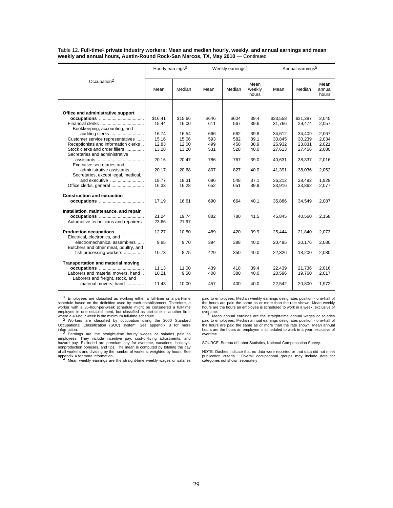Table 12. **Full-time**1 **private industry workers: Mean and median hourly, weekly, and annual earnings and mean weekly and annual hours, Austin-Round Rock-San Marcos, TX, May 2010** — Continued

|                                                                  | Hourly earnings <sup>3</sup> |         |       | Weekly earnings <sup>4</sup> |                         | Annual earnings <sup>5</sup> |          |                         |
|------------------------------------------------------------------|------------------------------|---------|-------|------------------------------|-------------------------|------------------------------|----------|-------------------------|
| Occupation <sup>2</sup>                                          | Mean                         | Median  | Mean  | Median                       | Mean<br>weekly<br>hours | Mean                         | Median   | Mean<br>annual<br>hours |
|                                                                  |                              |         |       |                              |                         |                              |          |                         |
| Office and administrative support                                |                              |         |       |                              |                         |                              |          |                         |
|                                                                  | \$16.41                      | \$15.66 | \$646 | \$604                        | 39.4                    | \$33,558                     | \$31,387 | 2.045                   |
|                                                                  | 15.44                        | 16.00   | 611   | 567                          | 39.6                    | 31,766                       | 29,474   | 2,057                   |
| Bookkeeping, accounting, and                                     |                              |         |       |                              |                         |                              |          |                         |
| auditing clerks                                                  | 16.74                        | 16.54   | 666   | 662                          | 39.8                    | 34,612                       | 34,409   | 2,067                   |
| Customer service representatives                                 | 15.16                        | 15.06   | 593   | 582                          | 39.1                    | 30,845                       | 30,239   | 2,034                   |
| Receptionists and information clerks                             | 12.83                        | 12.00   | 499   | 458                          | 38.9                    | 25.932                       | 23,831   | 2.021                   |
| Stock clerks and order fillers                                   | 13.28                        | 13.20   | 531   | 528                          | 40.0                    | 27,613                       | 27,456   | 2,080                   |
| Secretaries and administrative                                   |                              |         |       |                              |                         |                              |          |                         |
|                                                                  | 20.16                        | 20.47   | 786   | 767                          | 39.0                    | 40.631                       | 38,337   | 2,016                   |
| Executive secretaries and                                        |                              |         |       |                              |                         |                              |          |                         |
| administrative assistants                                        | 20.17                        | 20.68   | 807   | 827                          | 40.0                    | 41,391                       | 38,036   | 2,052                   |
| Secretaries, except legal, medical,                              |                              |         |       |                              |                         |                              |          |                         |
| and executive                                                    | 18.77                        | 18.31   | 696   | 548                          | 37.1                    | 36,212                       | 28,492   | 1.929                   |
| Office clerks, general                                           | 16.33                        | 16.28   | 652   | 651                          | 39.9                    | 33,916                       | 33,862   | 2,077                   |
|                                                                  |                              |         |       |                              |                         |                              |          |                         |
| <b>Construction and extraction</b>                               |                              |         |       |                              |                         |                              |          |                         |
|                                                                  | 17.19                        | 16.61   | 690   | 664                          | 40.1                    | 35,886                       | 34,549   | 2,087                   |
| Installation, maintenance, and repair                            |                              |         |       |                              |                         |                              |          |                         |
|                                                                  | 21.24                        | 19.74   | 882   | 780                          | 41.5                    | 45,845                       | 40,560   | 2,158                   |
| Automotive technicians and repairers                             | 23.66                        | 21.97   |       |                              |                         |                              |          |                         |
| Production occupations<br>Electrical, electronics, and           | 12.27                        | 10.50   | 489   | 420                          | 39.9                    | 25.444                       | 21,840   | 2,073                   |
| electromechanical assemblers                                     | 9.85                         | 9.70    | 394   | 388                          | 40.0                    | 20,495                       | 20,176   | 2,080                   |
| Butchers and other meat, poultry, and<br>fish processing workers | 10.73                        | 8.75    | 429   | 350                          | 40.0                    | 22,326                       | 18,200   | 2,080                   |
|                                                                  |                              |         |       |                              |                         |                              |          |                         |
| <b>Transportation and material moving</b>                        |                              |         |       |                              |                         |                              |          |                         |
|                                                                  | 11.13                        | 11.00   | 439   | 418                          | 39.4                    | 22,439                       | 21,736   | 2,016                   |
| Laborers and material movers, hand                               | 10.21                        | 9.50    | 408   | 380                          | 40.0                    | 20,596                       | 19,760   | 2,017                   |
| Laborers and freight, stock, and                                 |                              |         |       |                              |                         |                              |          |                         |
| material movers, hand                                            | 11.43                        | 10.00   | 457   | 400                          | 40.0                    | 22,542                       | 20,800   | 1,972                   |

1 Employees are classified as working either a full-time or a part-time schedule based on the definition used by each establishment. Therefore, a worker with a 35-hour-per-week schedule might be considered a full-time employee in one establishment, but classified as part-time in another firm,

where a 40-hour week is the minimum full-time schedule.<br><sup>2</sup> Workers are classified by occupation using the 2000 Standard Occupational Classification (SOC) system. See appendix B for more

information.<br><sup>3</sup> Earnings are the straight-time hourly wages or salaries paid to<br>employees. They include incentive pay, cost-of-living adjustments, and<br>hazard pay. Excluded are premium pay for overtime, vacations, holidays of all workers and dividing by the number of workers, weighted by hours. See<br>appendix A for more information.<br><sup>4</sup> Mean weekly earnings are the straight-time weekly wages or salaries

paid to employees. Median weekly earnings designates position - one-half of the hours are paid the same as or more than the rate shown. Mean weekly hours are the hours an employee is scheduled to work in a week, exclusive of

overtime.<br><sup>5</sup> Mean annual earnings are the straight-time annual wages or salaries<br>paid to employees. Median annual earnings designates position - one-half of the hours are paid the same as or more than the rate shown. Mean annual hours are the hours an employee is scheduled to work in a year, exclusive of overtime.

SOURCE: Bureau of Labor Statistics, National Compensation Survey.

NOTE: Dashes indicate that no data were reported or that data did not meet publication criteria. Overall occupational groups may include data for categories not shown separately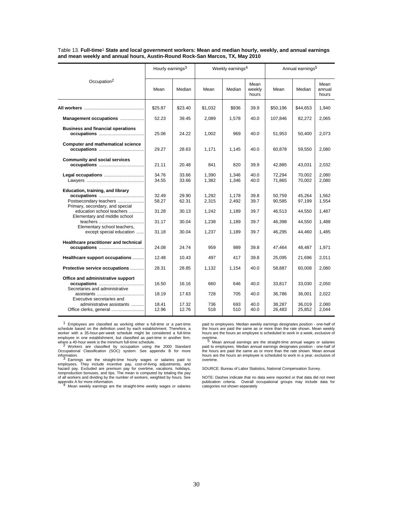| Table 13. Full-time <sup>1</sup> State and local government workers: Mean and median hourly, weekly, and annual earnings |  |
|--------------------------------------------------------------------------------------------------------------------------|--|
| and mean weekly and annual hours, Austin-Round Rock-San Marcos, TX, May 2010                                             |  |

|                                                                                               | Hourly earnings <sup>3</sup> |                         |                   | Weekly earnings <sup>4</sup> |                         | Annual earnings <sup>5</sup> |                            |                         |  |
|-----------------------------------------------------------------------------------------------|------------------------------|-------------------------|-------------------|------------------------------|-------------------------|------------------------------|----------------------------|-------------------------|--|
| Occupation <sup>2</sup>                                                                       | Mean                         | Median                  | Mean              | Median                       | Mean<br>weekly<br>hours | Mean                         | Median                     | Mean<br>annual<br>hours |  |
|                                                                                               | \$25.87                      | \$23.40                 | \$1,032           | \$936                        | 39.9                    | \$50,196                     | \$44,653                   | 1,940                   |  |
| Management occupations                                                                        | 52.23                        | 39.45                   | 2,089             | 1.578                        | 40.0                    | 107,846                      | 82,272                     | 2,065                   |  |
| <b>Business and financial operations</b>                                                      | 25.06                        | 24.22                   | 1,002             | 969                          | 40.0                    | 51,953                       | 50,400                     | 2,073                   |  |
| <b>Computer and mathematical science</b>                                                      | 29.27                        | 28.63                   | 1,171             | 1,145                        | 40.0                    | 60,878                       | 59,550                     | 2,080                   |  |
| <b>Community and social services</b>                                                          | 21.11                        | 20.48                   | 841               | 820                          | 39.9                    | 42,885                       | 43,031                     | 2,032                   |  |
| Legal occupations                                                                             | 34.76<br>34.55               | 33.66<br>33.66          | 1,390<br>1,382    | 1,346<br>1,346               | 40.0<br>40.0            | 72,294<br>71,865             | 70,002<br>70,002           | 2,080<br>2,080          |  |
| Education, training, and library<br>Postsecondary teachers<br>Primary, secondary, and special | 32.49<br>58.27               | 29.90<br>62.31          | 1,292<br>2,315    | 1,178<br>2,492               | 39.8<br>39.7            | 50,759<br>90,585             | 45,264<br>97,199           | 1,562<br>1,554          |  |
| education school teachers<br>Elementary and middle school<br>Elementary school teachers,      | 31.28<br>31.17               | 30.13<br>30.04          | 1,242<br>1,238    | 1,189<br>1,189               | 39.7<br>39.7            | 46.513<br>46,398             | 44.550<br>44,550           | 1,487<br>1,488          |  |
| except special education                                                                      | 31.18                        | 30.04                   | 1.237             | 1,189                        | 39.7                    | 46.295                       | 44,460                     | 1,485                   |  |
| Healthcare practitioner and technical                                                         | 24.08                        | 24.74                   | 959               | 989                          | 39.8                    | 47,464                       | 48,487                     | 1,971                   |  |
| Healthcare support occupations                                                                | 12.48                        | 10.43                   | 497               | 417                          | 39.8                    | 25,095                       | 21,696                     | 2,011                   |  |
| Protective service occupations                                                                | 28.31                        | 28.85                   | 1,132             | 1,154                        | 40.0                    | 58,887                       | 60,008                     | 2,080                   |  |
| Office and administrative support<br>Secretaries and administrative                           | 16.50                        | 16.16                   | 660               | 646                          | 40.0                    | 33,817                       | 33,030                     | 2,050                   |  |
| Executive secretaries and<br>administrative assistants                                        | 18.19<br>18.41<br>12.96      | 17.63<br>17.32<br>12.76 | 728<br>736<br>518 | 705<br>693<br>510            | 40.0<br>40.0<br>40.0    | 36,786<br>38,287<br>26,483   | 36,001<br>36,019<br>25,852 | 2,022<br>2,080<br>2,044 |  |

1 Employees are classified as working either a full-time or a part-time schedule based on the definition used by each establishment. Therefore, a worker with a 35-hour-per-week schedule might be considered a full-time

employee in one establishment, but classified as part-time in another firm,<br>where a 40-hour week is the minimum full-time schedule.<br>2 Workers are classified by occupation using the 2000 Standard<br>Occupational Classification

information.<br><sup>3</sup> Earnings are the straight-time hourly wages or salaries paid to<br>employees. They include incentive pay, cost-of-living adjustments, and<br>hazard pay. Excluded are premium pay for overtime, vacations, holidays of all workers and dividing by the number of workers, weighted by hours. See appendix A for more information. <sup>4</sup> Mean weekly earnings are the straight-time weekly wages or salaries

paid to employees. Median weekly earnings designates position - one-half of the hours are paid the same as or more than the rate shown. Mean weekly hours are the hours an employee is scheduled to work in a week, exclusive of overtime.<br> $\frac{5}{2}$  Moon applied originate are the other time applied waves at astroiding

mer. paid to employees. Median annual earnings designates position - one-half of the hours are paid the same as or more than the rate shown. Mean annual hours are the hours an employee is scheduled to work in a year, exclusive of overtime.

SOURCE: Bureau of Labor Statistics, National Compensation Survey.

NOTE: Dashes indicate that no data were reported or that data did not meet publication criteria. Overall occupational groups may include data for categories not shown separately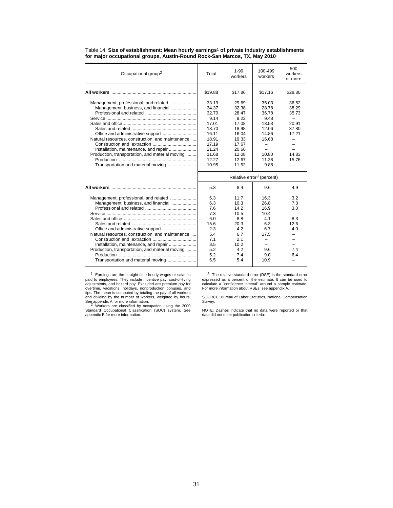| Occupational group <sup>2</sup>                                                                                                                                                                                                                                    | Total                                                                                                            | $1 - 99$<br>workers                                                                                             | 100-499<br>workers                                                                            | 500<br>workers<br>or more                                                              |  |  |  |
|--------------------------------------------------------------------------------------------------------------------------------------------------------------------------------------------------------------------------------------------------------------------|------------------------------------------------------------------------------------------------------------------|-----------------------------------------------------------------------------------------------------------------|-----------------------------------------------------------------------------------------------|----------------------------------------------------------------------------------------|--|--|--|
|                                                                                                                                                                                                                                                                    | \$19.88                                                                                                          | \$17.86                                                                                                         | \$17.16                                                                                       | \$28.30                                                                                |  |  |  |
| Management, professional, and related<br>Management, business, and financial<br>Natural resources, construction, and maintenance<br>Installation, maintenance, and repair<br>Production, transportation, and material moving<br>Transportation and material moving | 33.19<br>34.37<br>32.70<br>9.14<br>17.01<br>18.70<br>16.11<br>18.91<br>17.19<br>21.24<br>11.68<br>12.27<br>10.95 | 29.69<br>32.38<br>28.47<br>922<br>17.08<br>18.98<br>16.04<br>19.33<br>17.67<br>20.66<br>12.08<br>12.67<br>11.52 | 35.03<br>28.78<br>36.78<br>9.48<br>13.53<br>12.06<br>14.86<br>16.68<br>10.80<br>11.38<br>9.88 | 36.52<br>38.29<br>35.73<br>20.91<br>37.80<br>17.21<br>$\equiv$<br>14.83<br>15.76       |  |  |  |
|                                                                                                                                                                                                                                                                    | Relative error <sup>3</sup> (percent)                                                                            |                                                                                                                 |                                                                                               |                                                                                        |  |  |  |
|                                                                                                                                                                                                                                                                    | 5.3                                                                                                              | 8.4                                                                                                             | 9.6                                                                                           | 4.9                                                                                    |  |  |  |
| Management, professional, and related<br>Management, business, and financial<br>Natural resources, construction, and maintenance<br>Installation, maintenance, and repair<br>Production, transportation, and material moving<br>Transportation and material moving | 6.3<br>6.3<br>7.6<br>7.3<br>6.0<br>15.6<br>2.3<br>5.4<br>7.1<br>8.5<br>5.2<br>5.2<br>6.5                         | 11.7<br>10.3<br>142<br>10.5<br>8.8<br>20.3<br>4.2<br>6.7<br>2.1<br>10.2<br>4.2<br>7.4<br>5.4                    | 16.3<br>26.8<br>16.9<br>10.4<br>4.1<br>6.3<br>6.7<br>17.5<br>9.6<br>9.0<br>10.9               | 3.2<br>7.3<br>3.0<br>$\overline{\phantom{0}}$<br>8.3<br>12.6<br>4.0<br>-<br>7.4<br>6.4 |  |  |  |

### Table 14. **Size of establishment: Mean hourly earnings**1 **of private industry establishments for major occupational groups, Austin-Round Rock-San Marcos, TX, May 2010**

1 Earnings are the straight-time hourly wages or salaries paid to employees. They include incentive pay, cost-of-living adjustments, and hazard pay. Excluded are premium pay for<br>overtime, vacations, holidays, nonproduction bonuses, and<br>tips. The mean is computed by totaling the pay of all workers<br>and dividing by the number of workers, weigh

3 The relative standard error (RSE) is the standard error expressed as a percent of the estimate. It can be used to calculate a "confidence interval" around a sample estimate. For more information about RSEs, see appendix A.

SOURCE: Bureau of Labor Statistics, National Compensation Survey.

NOTE: Dashes indicate that no data were reported or that data did not meet publication criteria.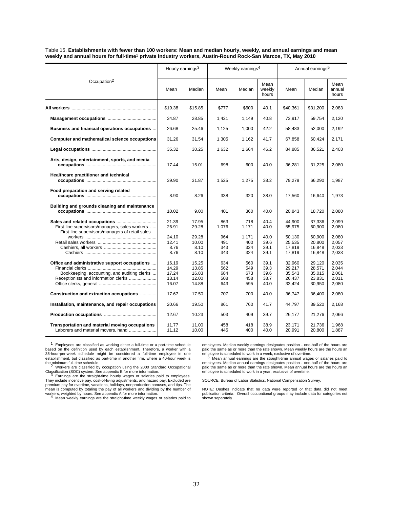| Table 15. Establishments with fewer than 100 workers: Mean and median hourly, weekly, and annual earnings and mean      |
|-------------------------------------------------------------------------------------------------------------------------|
| weekly and annual hours for full-time <sup>1</sup> private industry workers, Austin-Round Rock-San Marcos, TX, May 2010 |

|                                                                                                                                       | Hourly earnings <sup>3</sup>              |                                           |                                 | Weekly earnings <sup>4</sup>    |                                      | Annual earnings <sup>5</sup>                   |                                                |                                           |  |
|---------------------------------------------------------------------------------------------------------------------------------------|-------------------------------------------|-------------------------------------------|---------------------------------|---------------------------------|--------------------------------------|------------------------------------------------|------------------------------------------------|-------------------------------------------|--|
| Occupation <sup>2</sup>                                                                                                               | Mean                                      | Median                                    | Mean                            | Median                          | Mean<br>weekly<br>hours              | Mean                                           | Median                                         | Mean<br>annual<br>hours                   |  |
|                                                                                                                                       | \$19.38                                   | \$15.85                                   | \$777                           | \$600                           | 40.1                                 | \$40,361                                       | \$31,200                                       | 2,083                                     |  |
|                                                                                                                                       | 34.87                                     | 28.85                                     | 1,421                           | 1,149                           | 40.8                                 | 73,917                                         | 59,754                                         | 2,120                                     |  |
| Business and financial operations occupations                                                                                         | 26.68                                     | 25.46                                     | 1,125                           | 1,000                           | 42.2                                 | 58,483                                         | 52,000                                         | 2,192                                     |  |
| Computer and mathematical science occupations                                                                                         | 31.26                                     | 31.54                                     | 1,305                           | 1,162                           | 41.7                                 | 67,858                                         | 60,424                                         | 2,171                                     |  |
|                                                                                                                                       | 35.32                                     | 30.25                                     | 1,632                           | 1,664                           | 46.2                                 | 84,885                                         | 86,521                                         | 2,403                                     |  |
| Arts, design, entertainment, sports, and media                                                                                        | 17.44                                     | 15.01                                     | 698                             | 600                             | 40.0                                 | 36,281                                         | 31,225                                         | 2,080                                     |  |
| Healthcare practitioner and technical                                                                                                 | 39.90                                     | 31.87                                     | 1,525                           | 1,275                           | 38.2                                 | 79,279                                         | 66,290                                         | 1,987                                     |  |
| Food preparation and serving related                                                                                                  | 8.90                                      | 8.26                                      | 338                             | 320                             | 38.0                                 | 17,560                                         | 16,640                                         | 1,973                                     |  |
| Building and grounds cleaning and maintenance                                                                                         | 10.02                                     | 9.00                                      | 401                             | 360                             | 40.0                                 | 20,843                                         | 18,720                                         | 2,080                                     |  |
| First-line supervisors/managers, sales workers<br>First-line supervisors/managers of retail sales                                     | 21.39<br>26.91                            | 17.95<br>29.28                            | 863<br>1,076                    | 718<br>1,171                    | 40.4<br>40.0                         | 44.900<br>55,975                               | 37,336<br>60,900                               | 2.099<br>2,080                            |  |
|                                                                                                                                       | 24.10<br>12.41<br>8.76<br>8.76            | 29.28<br>10.00<br>8.10<br>8.10            | 964<br>491<br>343<br>343        | 1.171<br>400<br>324<br>324      | 40.0<br>39.6<br>39.1<br>39.1         | 50,130<br>25.535<br>17.819<br>17,819           | 60,900<br>20,800<br>16.848<br>16,848           | 2.080<br>2.057<br>2.033<br>2,033          |  |
| Office and administrative support occupations<br>Bookkeeping, accounting, and auditing clerks<br>Receptionists and information clerks | 16.19<br>14.29<br>17.24<br>13.14<br>16.07 | 15.25<br>13.85<br>16.83<br>12.00<br>14.88 | 634<br>562<br>684<br>508<br>643 | 560<br>549<br>673<br>458<br>595 | 39.1<br>39.3<br>39.6<br>38.7<br>40.0 | 32,960<br>29,217<br>35,543<br>26,437<br>33,424 | 29,120<br>28,571<br>35,015<br>23,831<br>30,950 | 2,035<br>2,044<br>2.061<br>2,011<br>2,080 |  |
| Construction and extraction occupations                                                                                               | 17.67                                     | 17.50                                     | 707                             | 700                             | 40.0                                 | 36,747                                         | 36,400                                         | 2,080                                     |  |
| Installation, maintenance, and repair occupations                                                                                     | 20.66                                     | 19.50                                     | 861                             | 760                             | 41.7                                 | 44,797                                         | 39,520                                         | 2,168                                     |  |
|                                                                                                                                       | 12.67                                     | 10.23                                     | 503                             | 409                             | 39.7                                 | 26,177                                         | 21,276                                         | 2,066                                     |  |
| Transportation and material moving occupations<br>Laborers and material movers, hand                                                  | 11.77<br>11.12                            | 11.00<br>10.00                            | 458<br>445                      | 418<br>400                      | 38.9<br>40.0                         | 23.171<br>20,991                               | 21,736<br>20,800                               | 1,968<br>1,887                            |  |

<sup>1</sup> Employees are classified as working either a full-time or a part-time schedule<br>based on the definition used by each establishment. Therefore, a worker with a<br>35-hour-per-week schedule might be considered a full-time em establishment, but classified as part-time in another firm, where a 40-hour week is<br>the minimum full-time schedule.<br><sup>2</sup> Workers are classified by occupation using the 2000 Standard Occupational

employees. Median weekly earnings designates position - one-half of the hours are<br>paid the same as or more than the rate shown. Mean weekly hours are the hours an<br>employee is scheduled to work in a week, exclusive of overt

Classification (SOC) system. See appendix B for more information. <sup>3</sup> Earnings are the straight-time hourly wages or salaries paid to employees. They include incentive pay, cost-of-living adjustments, and hazard pay. Excluded are<br>premium pay for overtime, vacations, holidays, nonproduction bonuses, and tips. The<br>mean is computed by totaling the pay of all workers a

employees. Median annual earnings designates position - one-half of the hours are<br>paid the same as or more than the rate shown. Mean annual hours are the hours an<br>employee is scheduled to work in a year, exclusive of overt

SOURCE: Bureau of Labor Statistics, National Compensation Survey.

NOTE: Dashes indicate that no data were reported or that data did not meet publication criteria. Overall occupational groups may include data for categories not shown separately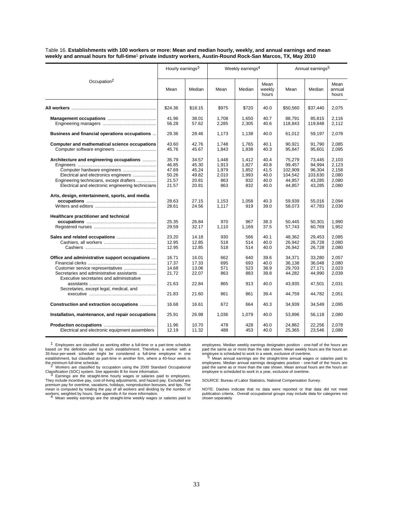Table 16. **Establishments with 100 workers or more: Mean and median hourly, weekly, and annual earnings and mean weekly and annual hours for full-time**1 **private industry workers, Austin-Round Rock-San Marcos, TX, May 2010**

|                                                                                               | Hourly earnings <sup>3</sup> |                |                | Weekly earnings <sup>4</sup> |                         |                  | Annual earnings <sup>5</sup> |                         |
|-----------------------------------------------------------------------------------------------|------------------------------|----------------|----------------|------------------------------|-------------------------|------------------|------------------------------|-------------------------|
| Occupation <sup>2</sup>                                                                       | Mean                         | Median         | Mean           | Median                       | Mean<br>weekly<br>hours | Mean             | Median                       | Mean<br>annual<br>hours |
|                                                                                               | \$24.36                      | \$18.15        | \$975          | \$720                        | 40.0                    | \$50,560         | \$37,440                     | 2,075                   |
|                                                                                               | 41.96                        | 38.01          | 1,708          | 1.650                        | 40.7                    | 88.791           | 85,815                       | 2.116                   |
|                                                                                               | 56.28                        | 57.62          | 2,285          | 2,305                        | 40.6                    | 118,843          | 119,848                      | 2,112                   |
| Business and financial operations occupations                                                 | 29.36                        | 28.46          | 1,173          | 1,138                        | 40.0                    | 61,012           | 59,197                       | 2,078                   |
| Computer and mathematical science occupations                                                 | 43.60<br>45.76               | 42.76<br>45.67 | 1,748<br>1,843 | 1,765<br>1,838               | 40.1<br>40.3            | 90,921<br>95,847 | 91,790<br>95,601             | 2.085<br>2,095          |
| Architecture and engineering occupations                                                      | 35.79<br>46.85               | 34.57<br>45.30 | 1,448<br>1,913 | 1,412<br>1,827               | 40.4<br>40.8            | 75,279<br>99,457 | 73,445<br>94,994             | 2,103<br>2.123          |
| Computer hardware engineers                                                                   | 47.69                        | 45.24          | 1,979          | 1,852                        | 41.5                    | 102.909          | 96.304                       | 2.158                   |
| Electrical and electronics engineers                                                          | 50.26                        | 49.82          | 2,010<br>863   | 1,993                        | 40.0<br>40.0            | 104.542          | 103,630                      | 2.080                   |
| Engineering technicians, except drafters<br>Electrical and electronic engineering technicians | 21.57<br>21.57               | 20.81<br>20.81 | 863            | 832<br>832                   | 40.0                    | 44,857<br>44,857 | 43,285<br>43,285             | 2,080<br>2,080          |
|                                                                                               |                              |                |                |                              |                         |                  |                              |                         |
| Arts, design, entertainment, sports, and media                                                | 28.63                        | 27.15          | 1,153          | 1,058                        | 40.3                    | 59,939           | 55,016                       | 2.094                   |
|                                                                                               | 28.61                        | 24.56          | 1,117          | 919                          | 39.0                    | 58,073           | 47,783                       | 2,030                   |
| Healthcare practitioner and technical                                                         |                              |                |                |                              |                         |                  |                              |                         |
|                                                                                               | 25.35                        | 26.84          | 970            | 967                          | 38.3                    | 50.445           | 50,301                       | 1.990                   |
|                                                                                               | 29.59                        | 32.17          | 1,110          | 1.169                        | 37.5                    | 57,743           | 60,769                       | 1,952                   |
|                                                                                               | 23.20                        | 14.18          | 930            | 566                          | 40.1                    | 48,362           | 29,453                       | 2.085                   |
|                                                                                               | 12.95                        | 12.85          | 518            | 514                          | 40.0                    | 26,942           | 26,728                       | 2.080                   |
|                                                                                               | 12.95                        | 12.85          | 518            | 514                          | 40.0                    | 26,942           | 26,728                       | 2,080                   |
| Office and administrative support occupations                                                 | 16.71                        | 16.01          | 662            | 640                          | 39.6                    | 34,371           | 33,280                       | 2,057                   |
|                                                                                               | 17.37                        | 17.33          | 695            | 693                          | 40.0                    | 36,138           | 36,048                       | 2,080                   |
| Customer service representatives                                                              | 14.68                        | 13.06          | 571            | 523                          | 38.9                    | 29,703           | 27,171                       | 2,023                   |
| Secretaries and administrative assistants                                                     | 21.72                        | 22.07          | 863            | 883                          | 39.8                    | 44,282           | 44,990                       | 2,039                   |
| Executive secretaries and administrative                                                      |                              |                |                |                              |                         |                  |                              |                         |
| Secretaries, except legal, medical, and                                                       | 21.63                        | 22.84          | 865            | 913                          | 40.0                    | 43,935           | 47,501                       | 2,031                   |
|                                                                                               | 21.83                        | 21.60          | 861            | 861                          | 39.4                    | 44,759           | 44,782                       | 2,051                   |
| Construction and extraction occupations                                                       | 16.68                        | 16.61          | 672            | 664                          | 40.3                    | 34,939           | 34,549                       | 2,095                   |
| Installation, maintenance, and repair occupations                                             | 25.91                        | 26.98          | 1,036          | 1,079                        | 40.0                    | 53,896           | 56,118                       | 2,080                   |
|                                                                                               | 11.96                        | 10.70          | 478            | 428                          | 40.0                    | 24,862           | 22,256                       | 2,078                   |
| Electrical and electronic equipment assemblers                                                | 12.19                        | 11.32          | 488            | 453                          | 40.0                    | 25,365           | 23,546                       | 2,080                   |
|                                                                                               |                              |                |                |                              |                         |                  |                              |                         |

<sup>1</sup> Employees are classified as working either a full-time or a part-time schedule<br>based on the definition used by each establishment. Therefore, a worker with a<br>35-hour-per-week schedule might be considered a full-time em establishment, but classified as part-time in another firm, where a 40-hour week is

employees. Median weekly earnings designates position - one-half of the hours are<br>paid the same as or more than the rate shown. Mean weekly hours are the hours an<br>employee is scheduled to work in a week, exclusive of overt  $5$  Mean annual earnings are the straight-time annual wages or salaries paid to employees. Median annual earnings designates position - one-half of the hours are

paid the same as or more than the rate shown. Mean annual hours are the hours an

the minimum full-time schedule.<br><sup>2</sup> Workers are classified by occupation using the 2000 Standard Occupational

Classification (SOC) system. See appendix B for more information. <sup>3</sup> Earnings are the straight-time hourly wages or salaries paid to employees. They include incentive pay, cost-of-living adjustments, and hazard pay. Excluded are<br>premium pay for overtime, vacations, holidays, nonproduction bonuses, and tips. The<br>mean is computed by totaling the pay of all workers a workers, weighted by hours. See appendix A for more information. <sup>4</sup> Mean weekly earnings are the straight-time weekly wages or salaries paid to

employee is scheduled to work in a year, exclusive of overtime. SOURCE: Bureau of Labor Statistics, National Compensation Survey.

NOTE: Dashes indicate that no data were reported or that data did not meet publication criteria. Overall occupational groups may include data for categories not shown separately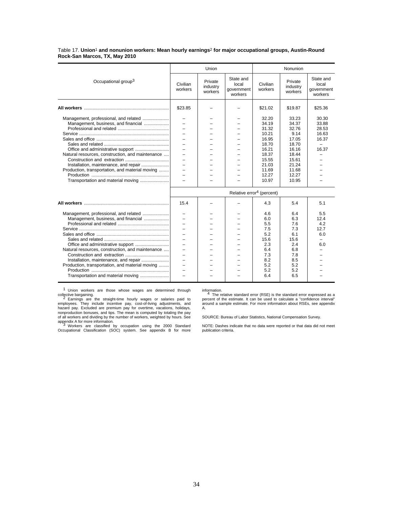Table 17. **Union**1 **and nonunion workers: Mean hourly earnings**2 **for major occupational groups, Austin-Round Rock-San Marcos, TX, May 2010**

|                                                                                                                                                                                                                                                                    |                                                                                                                                                                                                                                | Union                          |                                             |                                                                                                                   | Nonunion                                                                                                         |                                                                |
|--------------------------------------------------------------------------------------------------------------------------------------------------------------------------------------------------------------------------------------------------------------------|--------------------------------------------------------------------------------------------------------------------------------------------------------------------------------------------------------------------------------|--------------------------------|---------------------------------------------|-------------------------------------------------------------------------------------------------------------------|------------------------------------------------------------------------------------------------------------------|----------------------------------------------------------------|
| Occupational group <sup>3</sup>                                                                                                                                                                                                                                    | Civilian<br>workers                                                                                                                                                                                                            | Private<br>industry<br>workers | State and<br>local<br>government<br>workers | Civilian<br>workers                                                                                               | Private<br>industry<br>workers                                                                                   | State and<br>local<br>government<br>workers                    |
|                                                                                                                                                                                                                                                                    | \$23.85                                                                                                                                                                                                                        |                                |                                             | \$21.02                                                                                                           | \$19.87                                                                                                          | \$25.36                                                        |
| Management, professional, and related<br>Management, business, and financial<br>Natural resources, construction, and maintenance<br>Installation, maintenance, and repair<br>Production, transportation, and material moving<br>Transportation and material moving | $=$<br>$\overline{\phantom{0}}$<br>÷,<br>$\equiv$<br>÷,                                                                                                                                                                        |                                |                                             | 32.20<br>34.19<br>31.32<br>10.21<br>16.95<br>18.70<br>16.21<br>18.37<br>15.55<br>21.03<br>11.69<br>12.27<br>10.97 | 33.23<br>34.37<br>32.76<br>9.14<br>17.05<br>18.70<br>16.16<br>18.44<br>15.61<br>21.24<br>11.68<br>12.27<br>10.95 | 30.30<br>33.88<br>28.53<br>16.63<br>16.37<br>$\equiv$<br>16.37 |
|                                                                                                                                                                                                                                                                    |                                                                                                                                                                                                                                |                                |                                             | Relative error <sup>4</sup> (percent)                                                                             |                                                                                                                  |                                                                |
|                                                                                                                                                                                                                                                                    | 15.4                                                                                                                                                                                                                           |                                |                                             | 4.3                                                                                                               | 5.4                                                                                                              | 5.1                                                            |
| Management, professional, and related<br>Management, business, and financial<br>Natural resources, construction, and maintenance<br>Installation, maintenance, and repair<br>Production, transportation, and material moving<br>Transportation and material moving | $\overline{\phantom{0}}$<br>$\overline{\phantom{0}}$<br>$\equiv$<br>$\overline{\phantom{0}}$<br>÷,<br>$\overline{\phantom{0}}$<br>$\overline{\phantom{0}}$<br>$\equiv$<br>$\overline{\phantom{0}}$<br>$\overline{\phantom{0}}$ |                                |                                             | 4.6<br>6.0<br>5.5<br>7.5<br>5.2<br>15.6<br>2.3<br>6.4<br>7.3<br>8.2<br>5.2<br>5.2<br>6.4                          | 6.4<br>6.3<br>7.6<br>7.3<br>6.1<br>15.6<br>2.4<br>6.8<br>7.8<br>8.5<br>5.2<br>5.2<br>6.5                         | 5.5<br>12.4<br>4.2<br>12.7<br>6.0<br>6.0                       |

1 Union workers are those whose wages are determined through

collective bargaining.<br>2 Earnings are the straight-time hourly wages or salaries paid to<br>employees. They include incentive pay, cost-of-living adjustments, and<br>hazard pay. Excluded are premium pay for overtime, vacations, nonproduction bonuses, and tips. The mean is computed by totaling the pay<br>of all workers and dividing by the number of workers, weighted by hours. See<br>appendix A for more information.<br><sup>3</sup> Workers are classified by occupati

information. <sup>4</sup> The relative standard error (RSE) is the standard error expressed as a percent of the estimate. It can be used to calculate a "confidence interval" around a sample estimate. For more information about RSEs, see appendix A.

SOURCE: Bureau of Labor Statistics, National Compensation Survey.

NOTE: Dashes indicate that no data were reported or that data did not meet publication criteria.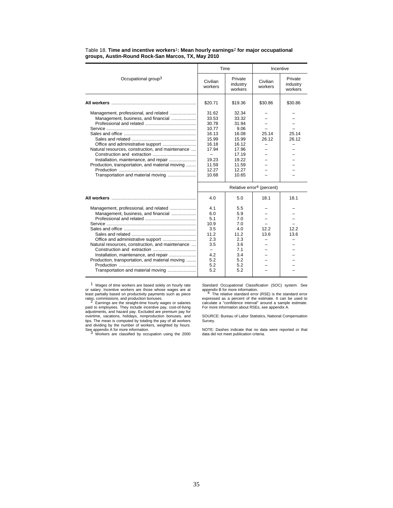|                                                                              |                          | Time                           |                                       | Incentive                      |
|------------------------------------------------------------------------------|--------------------------|--------------------------------|---------------------------------------|--------------------------------|
| Occupational group <sup>3</sup>                                              | Civilian<br>workers      | Private<br>industry<br>workers | Civilian<br>workers                   | Private<br>industry<br>workers |
|                                                                              | \$20.71                  | \$19.36                        | \$30.86                               | \$30.86                        |
| Management, professional, and related<br>Management, business, and financial | 31.62<br>33.53           | 32.34<br>33.32                 |                                       |                                |
|                                                                              | 30.78                    | 31.94                          |                                       |                                |
|                                                                              | 10.77                    | 9.06                           |                                       |                                |
|                                                                              | 16.13                    | 16.08                          | 25.14                                 | 25.14                          |
|                                                                              | 15.99                    | 15.99                          | 26.12                                 | 26.12                          |
|                                                                              | 16.18                    | 16.12                          |                                       |                                |
| Natural resources, construction, and maintenance                             | 17.94                    | 17.96                          |                                       |                                |
|                                                                              | $\overline{\phantom{a}}$ | 17.19                          |                                       |                                |
| Installation, maintenance, and repair                                        | 19.23                    | 19.22                          |                                       |                                |
| Production, transportation, and material moving                              | 11.59                    | 11.59                          |                                       |                                |
|                                                                              | 12.27                    | 12.27                          |                                       |                                |
| Transportation and material moving                                           | 10.68                    | 10.65                          |                                       |                                |
|                                                                              |                          |                                | Relative error <sup>4</sup> (percent) |                                |
|                                                                              | 4.0                      | 5.0                            | 18.1                                  | 18.1                           |
| Management, professional, and related                                        | 4.1                      | 5.5                            |                                       |                                |
| Management, business, and financial                                          | 6.0                      | 5.9                            |                                       |                                |
|                                                                              | 51                       | 7.0                            |                                       |                                |
|                                                                              | 10.9                     | 7.0                            |                                       |                                |
|                                                                              | 3.5                      | 4.0                            | 122                                   | 122                            |
|                                                                              | 11.2                     | 11.2                           | 13.6                                  | 13.6                           |
|                                                                              | 2.3                      | 2.3                            |                                       |                                |
| Natural resources, construction, and maintenance                             | 3.5                      | 3.6                            |                                       |                                |
|                                                                              | $-$                      | 7.1                            |                                       |                                |
| Installation, maintenance, and repair                                        | 4.2                      | 3.4                            |                                       |                                |
| Production, transportation, and material moving                              | 5.2                      | 5.2                            |                                       |                                |
|                                                                              | 5.2                      | 5.2                            |                                       |                                |
| Transportation and material moving                                           | 5.2                      | 5.2                            |                                       |                                |

Table 18. **Time and incentive workers**1**: Mean hourly earnings**2 **for major occupational groups, Austin-Round Rock-San Marcos, TX, May 2010**

<sup>1</sup> Wages of time workers are based solely on hourly rate<br>or salary. Incentive workers are those whose wages are at<br>least partially based on productivity payments such as piece<br>rates, commissions, and production bonuses.<br> and dividing by the number of workers, weighted by hours. See appendix A for more information. <sup>3</sup> Workers are classified by occupation using the 2000

Standard Occupational Classification (SOC) system. See<br>appendix B for more information.<br>4 The relative standard error (RSE) is the standard error<br>expressed as a percent of the estimate. It can be used to<br>calculate a "confi

SOURCE: Bureau of Labor Statistics, National Compensation Survey.

NOTE: Dashes indicate that no data were reported or that data did not meet publication criteria.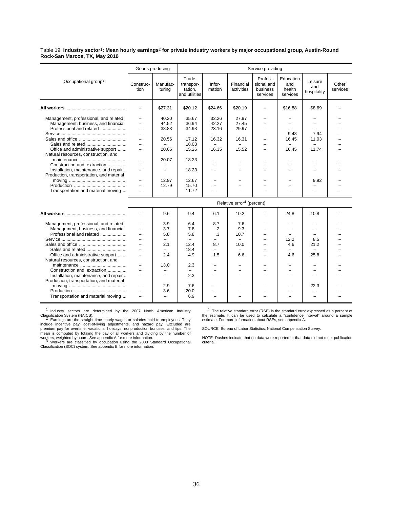Table 19. **Industry sector**1**: Mean hourly earnings**2 **for private industry workers by major occupational group, Austin-Round Rock-San Marcos, TX, May 2010**

|                                                                                   | Goods producing                                                                  |                                                               |                                                 |                                 |                                       | Service providing                             |                                                      |                               |                   |
|-----------------------------------------------------------------------------------|----------------------------------------------------------------------------------|---------------------------------------------------------------|-------------------------------------------------|---------------------------------|---------------------------------------|-----------------------------------------------|------------------------------------------------------|-------------------------------|-------------------|
| Occupational group <sup>3</sup>                                                   | Construc-<br>tion                                                                | Manufac-<br>turing                                            | Trade,<br>transpor-<br>tation.<br>and utilities | Infor-<br>mation                | Financial<br>activities               | Profes-<br>sional and<br>business<br>services | Education<br>and<br>health<br>services               | Leisure<br>and<br>hospitality | Other<br>services |
|                                                                                   | $\equiv$                                                                         | \$27.31                                                       | \$20.12                                         | \$24.66                         | \$20.19                               |                                               | \$16.88                                              | \$8.69                        |                   |
| Management, professional, and related<br>Management, business, and financial      | $\equiv$<br>$\overline{\phantom{0}}$                                             | 40.20<br>44.52                                                | 35.67<br>36.94                                  | 32.26<br>42.27                  | 27.97<br>27.45                        | -                                             |                                                      |                               |                   |
| Professional and related                                                          | $\equiv$<br>$\overline{\phantom{0}}$                                             | 38.83<br>$\qquad \qquad -$                                    | 34.93<br>$\qquad \qquad -$                      | 23.16                           | 29.97<br>$\overline{\phantom{m}}$     | $\equiv$<br>$\overline{\phantom{0}}$          | 9.48                                                 | 7.94                          |                   |
|                                                                                   | $\overline{\phantom{0}}$<br>$\equiv$                                             | 20.56                                                         | 17.12<br>18.03                                  | 16.32                           | 16.31                                 | $=$<br>$\overline{\phantom{0}}$               | 16.45                                                | 11.03                         |                   |
| Office and administrative support<br>Natural resources, construction, and         | $\equiv$                                                                         | 20.65                                                         | 15.26                                           | 16.35                           | 15.52                                 | -                                             | 16.45                                                | 11.74                         |                   |
| Construction and extraction<br>Installation, maintenance, and repair              | $\equiv$<br>$\equiv$<br>$\overline{\phantom{0}}$                                 | 20.07<br>$\overline{\phantom{0}}$<br>$\overline{\phantom{m}}$ | 18.23<br>18.23                                  | $\overline{\phantom{0}}$        | $\overline{\phantom{0}}$              | -<br>-                                        | $\overline{\phantom{0}}$<br>$\overline{\phantom{0}}$ | $=$                           |                   |
| Production, transportation, and material                                          | $\overline{\phantom{0}}$                                                         | 12.97                                                         | 12.67                                           | $\overline{\phantom{a}}$        | -                                     | -                                             | $\equiv$                                             | 9.92                          |                   |
| Transportation and material moving                                                | $\overline{\phantom{0}}$<br>$\equiv$                                             | 12.79                                                         | 15.70<br>11.72                                  | $\equiv$<br>$\equiv$            | -                                     |                                               | $=$                                                  |                               |                   |
|                                                                                   |                                                                                  |                                                               |                                                 |                                 | Relative error <sup>4</sup> (percent) |                                               |                                                      |                               |                   |
|                                                                                   |                                                                                  | 9.6                                                           | 9.4                                             | 6.1                             | 10.2                                  |                                               | 24.8                                                 | 10.8                          |                   |
| Management, professional, and related<br>Management, business, and financial      | $\overline{\phantom{0}}$<br>$\overline{\phantom{0}}$                             | 3.9<br>3.7                                                    | 6.4<br>7.8                                      | 8.7<br>$\cdot$                  | 7.6<br>9.3                            | $\overline{\phantom{0}}$<br>$\equiv$          | $\equiv$<br>$\equiv$                                 | $=$<br>$=$                    |                   |
| Professional and related                                                          | $\overline{\phantom{0}}$<br>$\overline{\phantom{0}}$                             | 5.8                                                           | 5.8                                             | .3                              | 10.7                                  | $\equiv$                                      | 12.2                                                 | 8.5                           |                   |
|                                                                                   | $\equiv$                                                                         | 2.1<br>$\overline{\phantom{0}}$                               | 12.4<br>18.4                                    | 8.7<br>$\overline{\phantom{0}}$ | 10.0<br>$\overline{\phantom{0}}$      | $=$                                           | 4.6<br>$\overline{\phantom{0}}$                      | 21.2<br>$\equiv$              |                   |
| Office and administrative support<br>Natural resources, construction, and         | $\overline{\phantom{0}}$                                                         | 2.4                                                           | 4.9                                             | 1.5                             | 6.6                                   |                                               | 4.6                                                  | 25.8                          |                   |
| Construction and extraction                                                       | $\overline{\phantom{0}}$<br>$\equiv$                                             | 13.0<br>$\overline{\phantom{0}}$                              | 2.3                                             |                                 | -                                     |                                               | $\overline{\phantom{0}}$                             |                               |                   |
| Installation, maintenance, and repair<br>Production, transportation, and material | $\overline{\phantom{0}}$                                                         | $\overline{\phantom{0}}$                                      | 2.3                                             | $\equiv$                        | -                                     | $\overline{\phantom{0}}$                      | $\overline{\phantom{0}}$                             |                               |                   |
| Transportation and material moving                                                | $\overline{\phantom{0}}$<br>$\overline{\phantom{0}}$<br>$\overline{\phantom{0}}$ | 2.9<br>3.6<br>$\overline{\phantom{0}}$                        | 7.6<br>20.0<br>6.9                              | $\equiv$                        |                                       |                                               |                                                      | 22.3                          |                   |
|                                                                                   |                                                                                  |                                                               |                                                 |                                 |                                       |                                               |                                                      |                               |                   |

1 Industry sectors are determined by the 2007 North American Industry

Classification System (NAICS).<br>2 Earnings are the straight-time hourly wages or salaries paid to employees. They<br>include incentive pay, cost-of-living adjustments, and hazard pay. Excluded are<br>premium pay for overtime, vac

mean is computed by totaling the pay of all workers and dividing by the number of<br>workers, weighted by hours. See appendix A for more information.<br>3 Workers are classified by occupation using the 2000 Standard Occupational

4 The relative standard error (RSE) is the standard error expressed as a percent of the estimate. It can be used to calculate a "confidence interval" around a sample estimate. For more information about RSEs, see appendix A.

SOURCE: Bureau of Labor Statistics, National Compensation Survey.

NOTE: Dashes indicate that no data were reported or that data did not meet publication criteria.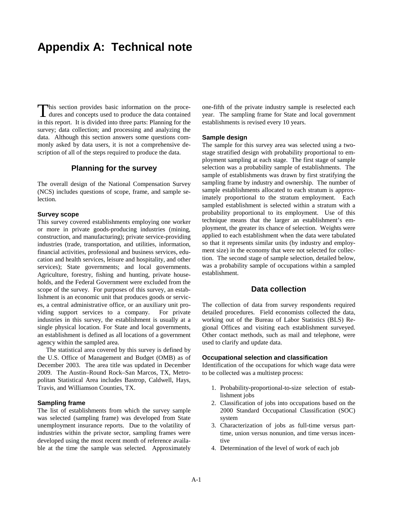# **Appendix A: Technical note**

This section provides basic information on the procedures and concepts used to produce the data contained dures and concepts used to produce the data contained in this report. It is divided into three parts: Planning for the survey; data collection; and processing and analyzing the data. Although this section answers some questions commonly asked by data users, it is not a comprehensive description of all of the steps required to produce the data.

### **Planning for the survey**

The overall design of the National Compensation Survey (NCS) includes questions of scope, frame, and sample selection.

### **Survey scope**

This survey covered establishments employing one worker or more in private goods-producing industries (mining, construction, and manufacturing); private service-providing industries (trade, transportation, and utilities, information, financial activities, professional and business services, education and health services, leisure and hospitality, and other services); State governments; and local governments. Agriculture, forestry, fishing and hunting, private households, and the Federal Government were excluded from the scope of the survey. For purposes of this survey, an establishment is an economic unit that produces goods or services, a central administrative office, or an auxiliary unit providing support services to a company. For private industries in this survey, the establishment is usually at a single physical location. For State and local governments, an establishment is defined as all locations of a government agency within the sampled area.

 The statistical area covered by this survey is defined by the U.S. Office of Management and Budget (OMB) as of December 2003. The area title was updated in December 2009. The Austin–Round Rock–San Marcos, TX, Metropolitan Statistical Area includes Bastrop, Caldwell, Hays, Travis, and Williamson Counties, TX.

### **Sampling frame**

The list of establishments from which the survey sample was selected (sampling frame) was developed from State unemployment insurance reports. Due to the volatility of industries within the private sector, sampling frames were developed using the most recent month of reference available at the time the sample was selected. Approximately

one-fifth of the private industry sample is reselected each year. The sampling frame for State and local government establishments is revised every 10 years.

### **Sample design**

The sample for this survey area was selected using a twostage stratified design with probability proportional to employment sampling at each stage. The first stage of sample selection was a probability sample of establishments. The sample of establishments was drawn by first stratifying the sampling frame by industry and ownership. The number of sample establishments allocated to each stratum is approximately proportional to the stratum employment. Each sampled establishment is selected within a stratum with a probability proportional to its employment. Use of this technique means that the larger an establishment's employment, the greater its chance of selection. Weights were applied to each establishment when the data were tabulated so that it represents similar units (by industry and employment size) in the economy that were not selected for collection. The second stage of sample selection, detailed below, was a probability sample of occupations within a sampled establishment.

### **Data collection**

The collection of data from survey respondents required detailed procedures. Field economists collected the data, working out of the Bureau of Labor Statistics (BLS) Regional Offices and visiting each establishment surveyed. Other contact methods, such as mail and telephone, were used to clarify and update data.

### **Occupational selection and classification**

Identification of the occupations for which wage data were to be collected was a multistep process:

- 1. Probability-proportional-to-size selection of establishment jobs
- 2. Classification of jobs into occupations based on the 2000 Standard Occupational Classification (SOC) system
- 3. Characterization of jobs as full-time versus parttime, union versus nonunion, and time versus incentive
- 4. Determination of the level of work of each job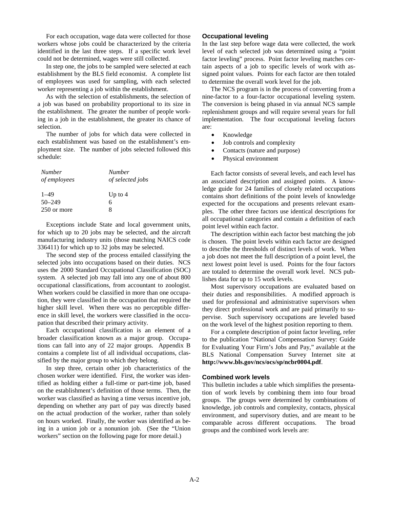For each occupation, wage data were collected for those workers whose jobs could be characterized by the criteria identified in the last three steps. If a specific work level could not be determined, wages were still collected.

 In step one, the jobs to be sampled were selected at each establishment by the BLS field economist. A complete list of employees was used for sampling, with each selected worker representing a job within the establishment.

 As with the selection of establishments, the selection of a job was based on probability proportional to its size in the establishment. The greater the number of people working in a job in the establishment, the greater its chance of selection.

 The number of jobs for which data were collected in each establishment was based on the establishment's employment size. The number of jobs selected followed this schedule:

| <b>Number</b> | <b>Number</b>    |
|---------------|------------------|
| of employees  | of selected jobs |
| $1 - 49$      | Up to $4$        |
| $50 - 249$    | 6                |
| 250 or more   | x                |

 Exceptions include State and local government units, for which up to 20 jobs may be selected, and the aircraft manufacturing industry units (those matching NAICS code 336411) for which up to 32 jobs may be selected.

 The second step of the process entailed classifying the selected jobs into occupations based on their duties. NCS uses the 2000 Standard Occupational Classification (SOC) system. A selected job may fall into any one of about 800 occupational classifications, from accountant to zoologist. When workers could be classified in more than one occupation, they were classified in the occupation that required the higher skill level. When there was no perceptible difference in skill level, the workers were classified in the occupation that described their primary activity.

 Each occupational classification is an element of a broader classification known as a major group. Occupations can fall into any of 22 major groups. Appendix B contains a complete list of all individual occupations, classified by the major group to which they belong.

In step three, certain other job characteristics of the chosen worker were identified. First, the worker was identified as holding either a full-time or part-time job, based on the establishment's definition of those terms. Then, the worker was classified as having a time versus incentive job, depending on whether any part of pay was directly based on the actual production of the worker, rather than solely on hours worked. Finally, the worker was identified as being in a union job or a nonunion job. (See the "Union workers" section on the following page for more detail.)

### **Occupational leveling**

In the last step before wage data were collected, the work level of each selected job was determined using a "point factor leveling" process. Point factor leveling matches certain aspects of a job to specific levels of work with assigned point values. Points for each factor are then totaled to determine the overall work level for the job.

 The NCS program is in the process of converting from a nine-factor to a four-factor occupational leveling system. The conversion is being phased in via annual NCS sample replenishment groups and will require several years for full implementation. The four occupational leveling factors are:

- Knowledge
- Job controls and complexity
- Contacts (nature and purpose)
- Physical environment

 Each factor consists of several levels, and each level has an associated description and assigned points. A knowledge guide for 24 families of closely related occupations contains short definitions of the point levels of knowledge expected for the occupations and presents relevant examples. The other three factors use identical descriptions for all occupational categories and contain a definition of each point level within each factor.

 The description within each factor best matching the job is chosen. The point levels within each factor are designed to describe the thresholds of distinct levels of work. When a job does not meet the full description of a point level, the next lowest point level is used. Points for the four factors are totaled to determine the overall work level. NCS publishes data for up to 15 work levels.

 Most supervisory occupations are evaluated based on their duties and responsibilities. A modified approach is used for professional and administrative supervisors when they direct professional work and are paid primarily to supervise. Such supervisory occupations are leveled based on the work level of the highest position reporting to them.

 For a complete description of point factor leveling, refer to the publication "National Compensation Survey: Guide for Evaluating Your Firm's Jobs and Pay," available at the BLS National Compensation Survey Internet site at **http://www.bls.gov/ncs/ocs/sp/ncbr0004.pdf**.

### **Combined work levels**

This bulletin includes a table which simplifies the presentation of work levels by combining them into four broad groups. The groups were determined by combinations of knowledge, job controls and complexity, contacts, physical environment, and supervisory duties, and are meant to be comparable across different occupations. The broad groups and the combined work levels are: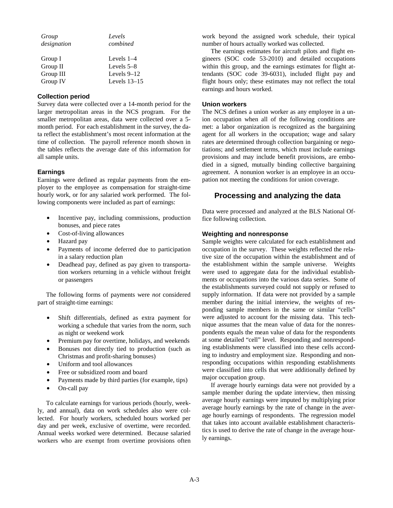| Group       | Levels         |
|-------------|----------------|
| designation | combined       |
|             |                |
| Group I     | Levels $1-4$   |
| Group II    | Levels $5-8$   |
| Group III   | Levels $9-12$  |
| Group IV    | Levels $13-15$ |

### **Collection period**

Survey data were collected over a 14-month period for the larger metropolitan areas in the NCS program. For the smaller metropolitan areas, data were collected over a 5 month period. For each establishment in the survey, the data reflect the establishment's most recent information at the time of collection. The payroll reference month shown in the tables reflects the average date of this information for all sample units.

### **Earnings**

Earnings were defined as regular payments from the employer to the employee as compensation for straight-time hourly work, or for any salaried work performed. The following components were included as part of earnings:

- Incentive pay, including commissions, production bonuses, and piece rates
- Cost-of-living allowances
- Hazard pay
- Payments of income deferred due to participation in a salary reduction plan
- Deadhead pay, defined as pay given to transportation workers returning in a vehicle without freight or passengers

 The following forms of payments were *not* considered part of straight-time earnings:

- Shift differentials, defined as extra payment for working a schedule that varies from the norm, such as night or weekend work
- Premium pay for overtime, holidays, and weekends
- Bonuses not directly tied to production (such as Christmas and profit-sharing bonuses)
- Uniform and tool allowances
- Free or subsidized room and board
- Payments made by third parties (for example, tips)
- On-call pay

 To calculate earnings for various periods (hourly, weekly, and annual), data on work schedules also were collected. For hourly workers, scheduled hours worked per day and per week, exclusive of overtime, were recorded. Annual weeks worked were determined. Because salaried workers who are exempt from overtime provisions often

work beyond the assigned work schedule, their typical number of hours actually worked was collected.

 The earnings estimates for aircraft pilots and flight engineers (SOC code 53-2010) and detailed occupations within this group, and the earnings estimates for flight attendants (SOC code 39-6031), included flight pay and flight hours only; these estimates may not reflect the total earnings and hours worked.

### **Union workers**

The NCS defines a union worker as any employee in a union occupation when all of the following conditions are met: a labor organization is recognized as the bargaining agent for all workers in the occupation; wage and salary rates are determined through collection bargaining or negotiations; and settlement terms, which must include earnings provisions and may include benefit provisions, are embodied in a signed, mutually binding collective bargaining agreement. A nonunion worker is an employee in an occupation not meeting the conditions for union coverage.

### **Processing and analyzing the data**

Data were processed and analyzed at the BLS National Office following collection.

### **Weighting and nonresponse**

Sample weights were calculated for each establishment and occupation in the survey. These weights reflected the relative size of the occupation within the establishment and of the establishment within the sample universe. Weights were used to aggregate data for the individual establishments or occupations into the various data series. Some of the establishments surveyed could not supply or refused to supply information. If data were not provided by a sample member during the initial interview, the weights of responding sample members in the same or similar "cells" were adjusted to account for the missing data. This technique assumes that the mean value of data for the nonrespondents equals the mean value of data for the respondents at some detailed "cell" level. Responding and nonresponding establishments were classified into these cells according to industry and employment size. Responding and nonresponding occupations within responding establishments were classified into cells that were additionally defined by major occupation group.

 If average hourly earnings data were not provided by a sample member during the update interview, then missing average hourly earnings were imputed by multiplying prior average hourly earnings by the rate of change in the average hourly earnings of respondents. The regression model that takes into account available establishment characteristics is used to derive the rate of change in the average hourly earnings.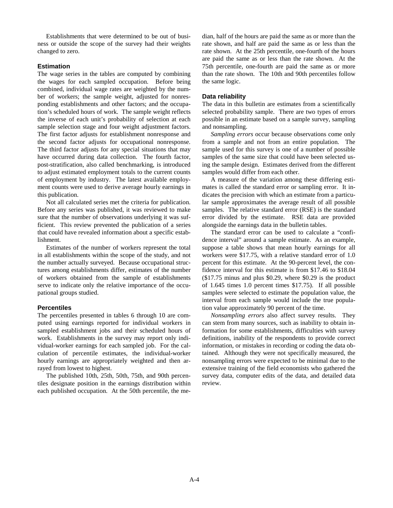Establishments that were determined to be out of business or outside the scope of the survey had their weights changed to zero.

### **Estimation**

The wage series in the tables are computed by combining the wages for each sampled occupation. Before being combined, individual wage rates are weighted by the number of workers; the sample weight, adjusted for nonresponding establishments and other factors; and the occupation's scheduled hours of work. The sample weight reflects the inverse of each unit's probability of selection at each sample selection stage and four weight adjustment factors. The first factor adjusts for establishment nonresponse and the second factor adjusts for occupational nonresponse. The third factor adjusts for any special situations that may have occurred during data collection. The fourth factor, post-stratification, also called benchmarking, is introduced to adjust estimated employment totals to the current counts of employment by industry. The latest available employment counts were used to derive average hourly earnings in this publication.

 Not all calculated series met the criteria for publication. Before any series was published, it was reviewed to make sure that the number of observations underlying it was sufficient. This review prevented the publication of a series that could have revealed information about a specific establishment.

 Estimates of the number of workers represent the total in all establishments within the scope of the study, and not the number actually surveyed. Because occupational structures among establishments differ, estimates of the number of workers obtained from the sample of establishments serve to indicate only the relative importance of the occupational groups studied.

### **Percentiles**

The percentiles presented in tables 6 through 10 are computed using earnings reported for individual workers in sampled establishment jobs and their scheduled hours of work. Establishments in the survey may report only individual-worker earnings for each sampled job. For the calculation of percentile estimates, the individual-worker hourly earnings are appropriately weighted and then arrayed from lowest to highest.

 The published 10th, 25th, 50th, 75th, and 90th percentiles designate position in the earnings distribution within each published occupation. At the 50th percentile, the median, half of the hours are paid the same as or more than the rate shown, and half are paid the same as or less than the rate shown. At the 25th percentile, one-fourth of the hours are paid the same as or less than the rate shown. At the 75th percentile, one-fourth are paid the same as or more than the rate shown. The 10th and 90th percentiles follow the same logic.

### **Data reliability**

The data in this bulletin are estimates from a scientifically selected probability sample. There are two types of errors possible in an estimate based on a sample survey, sampling and nonsampling.

 *Sampling errors* occur because observations come only from a sample and not from an entire population. The sample used for this survey is one of a number of possible samples of the same size that could have been selected using the sample design. Estimates derived from the different samples would differ from each other.

 A measure of the variation among these differing estimates is called the standard error or sampling error. It indicates the precision with which an estimate from a particular sample approximates the average result of all possible samples. The relative standard error (RSE) is the standard error divided by the estimate. RSE data are provided alongside the earnings data in the bulletin tables.

 The standard error can be used to calculate a "confidence interval" around a sample estimate. As an example, suppose a table shows that mean hourly earnings for all workers were \$17.75, with a relative standard error of 1.0 percent for this estimate. At the 90-percent level, the confidence interval for this estimate is from \$17.46 to \$18.04 (\$17.75 minus and plus \$0.29, where \$0.29 is the product of 1.645 times 1.0 percent times \$17.75). If all possible samples were selected to estimate the population value, the interval from each sample would include the true population value approximately 90 percent of the time.

 *Nonsampling errors* also affect survey results. They can stem from many sources, such as inability to obtain information for some establishments, difficulties with survey definitions, inability of the respondents to provide correct information, or mistakes in recording or coding the data obtained. Although they were not specifically measured, the nonsampling errors were expected to be minimal due to the extensive training of the field economists who gathered the survey data, computer edits of the data, and detailed data review.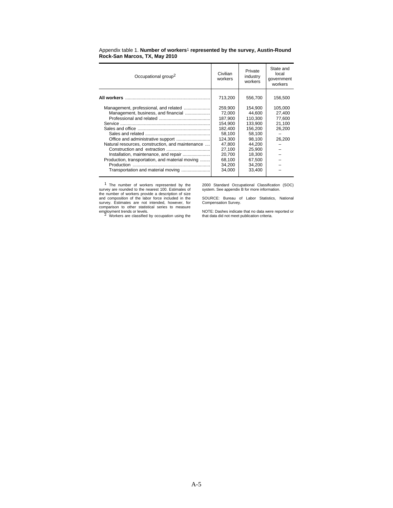| Occupational group <sup>2</sup>                                                                                                                                                                                                            | Civilian<br>workers                                                                                                       | Private<br>industry<br>workers                                                                                           | State and<br>local<br>government<br>workers               |
|--------------------------------------------------------------------------------------------------------------------------------------------------------------------------------------------------------------------------------------------|---------------------------------------------------------------------------------------------------------------------------|--------------------------------------------------------------------------------------------------------------------------|-----------------------------------------------------------|
|                                                                                                                                                                                                                                            | 713,200                                                                                                                   | 556,700                                                                                                                  | 156,500                                                   |
| Management, professional, and related<br>Management, business, and financial<br>Natural resources, construction, and maintenance<br>Installation, maintenance, and repair<br>Production, transportation, and material moving<br>Production | 259.900<br>72,000<br>187,900<br>154,900<br>182,400<br>58,100<br>124.300<br>47.800<br>27.100<br>20.700<br>68,100<br>34,200 | 154.900<br>44,600<br>110.300<br>133,900<br>156,200<br>58,100<br>98.100<br>44.200<br>25.900<br>18.300<br>67,500<br>34,200 | 105,000<br>27,400<br>77,600<br>21,100<br>26,200<br>26,200 |
| Transportation and material moving                                                                                                                                                                                                         | 34,000                                                                                                                    | 33,400                                                                                                                   |                                                           |

Appendix table 1. **Number of workers**1 **represented by the survey, Austin-Round Rock-San Marcos, TX, May 2010**

1 The number of workers represented by the survey are rounded to the nearest 100. Estimates of the number of workers provide a description of size<br>and composition of the labor force included in the<br>survey. Estimates are not intended, however, for<br>comparison to other statistical series to measure employment trends or levels.<br><sup>2</sup> Workers are classified by occupation using the 2000 Standard Occupational Classification (SOC) system. See appendix B for more information.

SOURCE: Bureau of Labor Statistics, National Compensation Survey.

NOTE: Dashes indicate that no data were reported or that data did not meet publication criteria.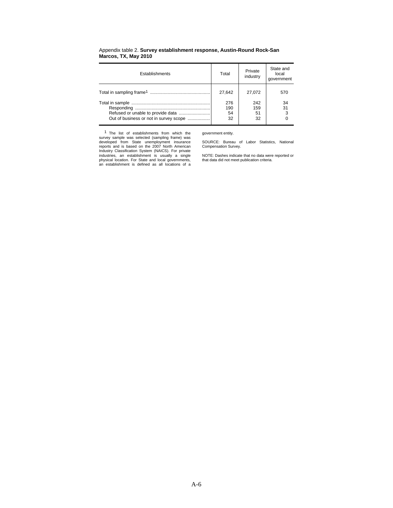| Establishments                         | Total                  | Private<br>industry    | State and<br>local<br>government |
|----------------------------------------|------------------------|------------------------|----------------------------------|
|                                        | 27.642                 | 27.072                 | 570                              |
| Out of business or not in survey scope | 276<br>190<br>54<br>32 | 242<br>159<br>51<br>32 | 34<br>31                         |

### Appendix table 2. **Survey establishment response, Austin-Round Rock-San Marcos, TX, May 2010**

1 The list of establishments from which the survey sample was selected (sampling frame) was developed from State unemployment insurance reports and is based on the 2007 North American<br>Industry Classification System (NAICS). For private<br>industries, an establishment is usually a single<br>physical location. For State and local governments,<br>an establishment is d government entity.

SOURCE: Bureau of Labor Statistics, National Compensation Survey.

NOTE: Dashes indicate that no data were reported or that data did not meet publication criteria.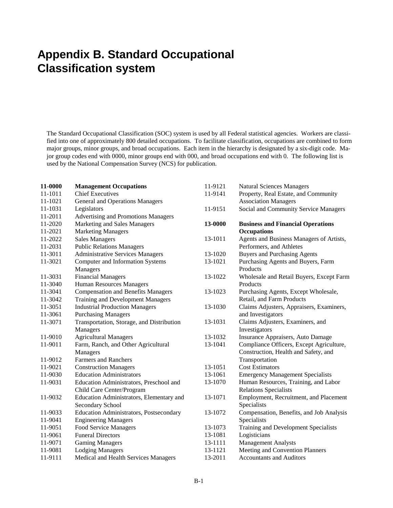# **Appendix B. Standard Occupational Classification system**

The Standard Occupational Classification (SOC) system is used by all Federal statistical agencies. Workers are classified into one of approximately 800 detailed occupations. To facilitate classification, occupations are combined to form major groups, minor groups, and broad occupations. Each item in the hierarchy is designated by a six-digit code. Major group codes end with 0000, minor groups end with 000, and broad occupations end with 0. The following list is used by the National Compensation Survey (NCS) for publication.

| <b>Management Occupations</b>                  | 11-9121 | <b>Natural Sciences Managers</b>         |
|------------------------------------------------|---------|------------------------------------------|
| <b>Chief Executives</b>                        | 11-9141 | Property, Real Estate, and Community     |
| <b>General and Operations Managers</b>         |         | <b>Association Managers</b>              |
| Legislators                                    | 11-9151 | Social and Community Service Managers    |
| <b>Advertising and Promotions Managers</b>     |         |                                          |
| Marketing and Sales Managers                   | 13-0000 | <b>Business and Financial Operations</b> |
| <b>Marketing Managers</b>                      |         | <b>Occupations</b>                       |
| <b>Sales Managers</b>                          | 13-1011 | Agents and Business Managers of Artists, |
| <b>Public Relations Managers</b>               |         | Performers, and Athletes                 |
| <b>Administrative Services Managers</b>        | 13-1020 | <b>Buyers and Purchasing Agents</b>      |
| Computer and Information Systems               | 13-1021 | Purchasing Agents and Buyers, Farm       |
| Managers                                       |         | Products                                 |
| <b>Financial Managers</b>                      | 13-1022 | Wholesale and Retail Buyers, Except Farm |
| <b>Human Resources Managers</b>                |         | Products                                 |
| <b>Compensation and Benefits Managers</b>      | 13-1023 | Purchasing Agents, Except Wholesale,     |
| <b>Training and Development Managers</b>       |         | Retail, and Farm Products                |
| <b>Industrial Production Managers</b>          | 13-1030 | Claims Adjusters, Appraisers, Examiners, |
| <b>Purchasing Managers</b>                     |         | and Investigators                        |
| Transportation, Storage, and Distribution      | 13-1031 | Claims Adjusters, Examiners, and         |
| Managers                                       |         | Investigators                            |
| <b>Agricultural Managers</b>                   | 13-1032 | Insurance Appraisers, Auto Damage        |
| Farm, Ranch, and Other Agricultural            | 13-1041 | Compliance Officers, Except Agriculture, |
| Managers                                       |         | Construction, Health and Safety, and     |
| <b>Farmers and Ranchers</b>                    |         | Transportation                           |
| <b>Construction Managers</b>                   | 13-1051 | <b>Cost Estimators</b>                   |
| <b>Education Administrators</b>                | 13-1061 | <b>Emergency Management Specialists</b>  |
| Education Administrators, Preschool and        | 13-1070 | Human Resources, Training, and Labor     |
| Child Care Center/Program                      |         | <b>Relations Specialists</b>             |
| Education Administrators, Elementary and       | 13-1071 | Employment, Recruitment, and Placement   |
| Secondary School                               |         | Specialists                              |
| <b>Education Administrators, Postsecondary</b> | 13-1072 | Compensation, Benefits, and Job Analysis |
| <b>Engineering Managers</b>                    |         | Specialists                              |
| Food Service Managers                          | 13-1073 | Training and Development Specialists     |
| <b>Funeral Directors</b>                       | 13-1081 | Logisticians                             |
| <b>Gaming Managers</b>                         | 13-1111 | <b>Management Analysts</b>               |
| <b>Lodging Managers</b>                        | 13-1121 | Meeting and Convention Planners          |
| Medical and Health Services Managers           | 13-2011 | <b>Accountants and Auditors</b>          |
|                                                |         |                                          |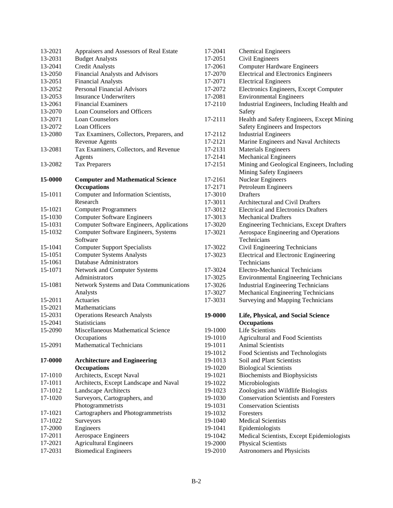| 13-2021 | Appraisers and Assessors of Real Estate          |
|---------|--------------------------------------------------|
| 13-2031 | <b>Budget Analysts</b>                           |
| 13-2041 | <b>Credit Analysts</b>                           |
| 13-2050 | <b>Financial Analysts and Advisors</b>           |
| 13-2051 | <b>Financial Analysts</b>                        |
| 13-2052 | <b>Personal Financial Advisors</b>               |
| 13-2053 | <b>Insurance Underwriters</b>                    |
| 13-2061 | <b>Financial Examiners</b>                       |
| 13-2070 | Loan Counselors and Officers                     |
| 13-2071 | <b>Loan Counselors</b>                           |
| 13-2072 | Loan Officers                                    |
| 13-2080 | Tax Examiners, Collectors, Preparers, and        |
|         | <b>Revenue Agents</b>                            |
| 13-2081 | Tax Examiners, Collectors, and Revenue           |
|         | Agents                                           |
| 13-2082 | <b>Tax Preparers</b>                             |
| 15-0000 | <b>Computer and Mathematical Science</b>         |
|         | <b>Occupations</b>                               |
| 15-1011 | Computer and Information Scientists,             |
|         | Research                                         |
| 15-1021 | <b>Computer Programmers</b>                      |
| 15-1030 | <b>Computer Software Engineers</b>               |
| 15-1031 | <b>Computer Software Engineers, Applications</b> |
| 15-1032 | <b>Computer Software Engineers, Systems</b>      |
|         | Software                                         |
| 15-1041 | <b>Computer Support Specialists</b>              |
| 15-1051 | <b>Computer Systems Analysts</b>                 |
| 15-1061 | Database Administrators                          |
| 15-1071 | Network and Computer Systems                     |
|         | Administrators                                   |
| 15-1081 | Network Systems and Data Communications          |
|         | Analysts                                         |
| 15-2011 | <b>Actuaries</b>                                 |
| 15-2021 | Mathematicians                                   |
| 15-2031 | <b>Operations Research Analysts</b>              |
| 15-2041 | Statisticians                                    |
| 15-2090 | Miscellaneous Mathematical Science               |
|         | Occupations                                      |
| 15-2091 | <b>Mathematical Technicians</b>                  |
| 17-0000 | <b>Architecture and Engineering</b>              |
|         | <b>Occupations</b>                               |
| 17-1010 | Architects, Except Naval                         |
| 17-1011 | Architects, Except Landscape and Naval           |
| 17-1012 | Landscape Architects                             |
| 17-1020 | Surveyors, Cartographers, and                    |
|         | Photogrammetrists                                |
| 17-1021 | Cartographers and Photogrammetrists              |
| 17-1022 | Surveyors                                        |
| 17-2000 | Engineers                                        |
| 17-2011 | <b>Aerospace Engineers</b>                       |
| 17-2021 | <b>Agricultural Engineers</b>                    |
| 17-2031 | <b>Biomedical Engineers</b>                      |

| 17-2041            | <b>Chemical Engineers</b>                                                     |
|--------------------|-------------------------------------------------------------------------------|
| 17-2051            | Civil Engineers                                                               |
| 17-2061            | <b>Computer Hardware Engineers</b>                                            |
| 17-2070            | <b>Electrical and Electronics Engineers</b>                                   |
| 17-2071            | <b>Electrical Engineers</b>                                                   |
| 17-2072            | Electronics Engineers, Except Computer                                        |
| 17-2081            | <b>Environmental Engineers</b>                                                |
| 17-2110            | Industrial Engineers, Including Health and<br>Safety                          |
| 17-2111            | Health and Safety Engineers, Except Mining<br>Safety Engineers and Inspectors |
| 17-2112            | <b>Industrial Engineers</b>                                                   |
| 17-2121            | Marine Engineers and Naval Architects                                         |
| 17-2131            | <b>Materials Engineers</b>                                                    |
| 17-2141            | <b>Mechanical Engineers</b>                                                   |
| 17-2151            | Mining and Geological Engineers, Including                                    |
|                    | <b>Mining Safety Engineers</b>                                                |
| 17-2161            | <b>Nuclear Engineers</b>                                                      |
| 17-2171            | <b>Petroleum Engineers</b>                                                    |
| 17-3010            | <b>Drafters</b>                                                               |
| 17-3011            | Architectural and Civil Drafters                                              |
| 17-3012            | <b>Electrical and Electronics Drafters</b>                                    |
| 17-3013            | <b>Mechanical Drafters</b>                                                    |
| 17-3020            | <b>Engineering Technicians, Except Drafters</b>                               |
| 17-3021            | Aerospace Engineering and Operations                                          |
|                    | Technicians                                                                   |
| 17-3022            | Civil Engineering Technicians                                                 |
| 17-3023            | <b>Electrical and Electronic Engineering</b>                                  |
|                    | Technicians                                                                   |
| 17-3024            | Electro-Mechanical Technicians                                                |
| 17-3025            | <b>Environmental Engineering Technicians</b>                                  |
| 17-3026            | <b>Industrial Engineering Technicians</b>                                     |
| 17-3027            | Mechanical Engineering Technicians                                            |
| 17-3031            | Surveying and Mapping Technicians                                             |
| 19-0000            | Life, Physical, and Social Science                                            |
|                    | <b>Occupations</b>                                                            |
| 19-1000            | Life Scientists                                                               |
| 19-1010            | <b>Agricultural and Food Scientists</b><br><b>Animal Scientists</b>           |
| 19-1011            |                                                                               |
| 19-1012            | Food Scientists and Technologists<br>Soil and Plant Scientists                |
| 19-1013<br>19-1020 | <b>Biological Scientists</b>                                                  |
| 19-1021            | <b>Biochemists and Biophysicists</b>                                          |
| 19-1022            |                                                                               |
| 19-1023            |                                                                               |
|                    | Microbiologists                                                               |
|                    | Zoologists and Wildlife Biologists                                            |
| 19-1030            | <b>Conservation Scientists and Foresters</b>                                  |
| 19-1031            | <b>Conservation Scientists</b>                                                |
| 19-1032            | Foresters                                                                     |
| 19-1040            | <b>Medical Scientists</b>                                                     |
| 19-1041            | Epidemiologists                                                               |
| 19-1042            | Medical Scientists, Except Epidemiologists                                    |
| 19-2000<br>19-2010 | <b>Physical Scientists</b><br><b>Astronomers and Physicists</b>               |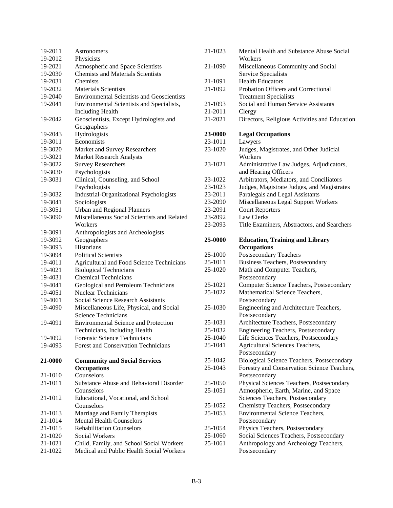| Astronomers                                                         |
|---------------------------------------------------------------------|
| Physicists                                                          |
| Atmospheric and Space Scientists                                    |
| <b>Chemists and Materials Scientists</b>                            |
| <b>Chemists</b>                                                     |
| <b>Materials Scientists</b>                                         |
| <b>Environmental Scientists and Geoscientists</b>                   |
| Environmental Scientists and Specialists,                           |
| <b>Including Health</b>                                             |
| Geoscientists, Except Hydrologists and                              |
| Geographers                                                         |
| Hydrologists                                                        |
| Economists                                                          |
| Market and Survey Researchers                                       |
| <b>Market Research Analysts</b>                                     |
| <b>Survey Researchers</b>                                           |
| Psychologists                                                       |
| Clinical, Counseling, and School                                    |
| Psychologists                                                       |
| <b>Industrial-Organizational Psychologists</b>                      |
| Sociologists                                                        |
| <b>Urban and Regional Planners</b>                                  |
| Miscellaneous Social Scientists and Related                         |
|                                                                     |
| Workers                                                             |
| Anthropologists and Archeologists                                   |
| Geographers                                                         |
| <b>Historians</b>                                                   |
| <b>Political Scientists</b>                                         |
| <b>Agricultural and Food Science Technicians</b>                    |
| <b>Biological Technicians</b>                                       |
| <b>Chemical Technicians</b>                                         |
| Geological and Petroleum Technicians                                |
| Nuclear Technicians                                                 |
| <b>Social Science Research Assistants</b>                           |
| Miscellaneous Life, Physical, and Social                            |
| <b>Science Technicians</b>                                          |
| <b>Environmental Science and Protection</b>                         |
| Technicians, Including Health                                       |
| Forensic Science Technicians                                        |
| <b>Forest and Conservation Technicians</b>                          |
|                                                                     |
| <b>Community and Social Services</b>                                |
| <b>Occupations</b>                                                  |
| Counselors                                                          |
| Substance Abuse and Behavioral Disorder                             |
| Counselors                                                          |
| Educational, Vocational, and School<br>Counselors                   |
|                                                                     |
| Marriage and Family Therapists                                      |
| <b>Mental Health Counselors</b><br><b>Rehabilitation Counselors</b> |
| <b>Social Workers</b>                                               |
| Child, Family, and School Social Workers                            |
|                                                                     |

| 21-1023            |                                                                                     |
|--------------------|-------------------------------------------------------------------------------------|
|                    | Mental Health and Substance Abuse Social<br>Workers                                 |
| 21-1090            | Miscellaneous Community and Social                                                  |
|                    | Service Specialists                                                                 |
| 21-1091            | <b>Health Educators</b>                                                             |
| 21-1092            | Probation Officers and Correctional                                                 |
|                    | <b>Treatment Specialists</b>                                                        |
| 21-1093            | Social and Human Service Assistants                                                 |
| 21-2011            | Clergy                                                                              |
| 21-2021            | Directors, Religious Activities and Education                                       |
| 23-0000            | <b>Legal Occupations</b>                                                            |
| 23-1011            | Lawyers                                                                             |
| 23-1020            | Judges, Magistrates, and Other Judicial<br>Workers                                  |
| 23-1021            | Administrative Law Judges, Adjudicators,                                            |
|                    | and Hearing Officers                                                                |
| 23-1022            | Arbitrators, Mediators, and Conciliators                                            |
| 23-1023            | Judges, Magistrate Judges, and Magistrates                                          |
| 23-2011            | Paralegals and Legal Assistants                                                     |
| 23-2090            | Miscellaneous Legal Support Workers                                                 |
| 23-2091            | <b>Court Reporters</b>                                                              |
| 23-2092            | Law Clerks                                                                          |
| 23-2093            | Title Examiners, Abstractors, and Searchers                                         |
| 25-0000            | <b>Education, Training and Library</b>                                              |
|                    | <b>Occupations</b>                                                                  |
|                    |                                                                                     |
| 25-1000            | <b>Postsecondary Teachers</b>                                                       |
| 25-1011            | <b>Business Teachers, Postsecondary</b>                                             |
| 25-1020            | Math and Computer Teachers,                                                         |
|                    | Postsecondary                                                                       |
| 25-1021            | Computer Science Teachers, Postsecondary                                            |
| 25-1022            | Mathematical Science Teachers,                                                      |
|                    | Postsecondary                                                                       |
| 25-1030            | Engineering and Architecture Teachers,                                              |
| 25-1031            | Postsecondary                                                                       |
| 25-1032            | Architecture Teachers, Postsecondary                                                |
| 25-1040            | <b>Engineering Teachers, Postsecondary</b><br>Life Sciences Teachers, Postsecondary |
| 25-1041            | Agricultural Sciences Teachers,                                                     |
|                    | Postsecondary                                                                       |
| 25-1042            | Biological Science Teachers, Postsecondary                                          |
| 25-1043            | Forestry and Conservation Science Teachers,                                         |
|                    | Postsecondary                                                                       |
| 25-1050            | Physical Sciences Teachers, Postsecondary                                           |
| 25-1051            | Atmospheric, Earth, Marine, and Space                                               |
|                    | Sciences Teachers, Postsecondary                                                    |
| 25-1052            | Chemistry Teachers, Postsecondary                                                   |
| 25-1053            | Environmental Science Teachers,                                                     |
|                    | Postsecondary                                                                       |
| 25-1054            | Physics Teachers, Postsecondary                                                     |
| 25-1060<br>25-1061 | Social Sciences Teachers, Postsecondary<br>Anthropology and Archeology Teachers,    |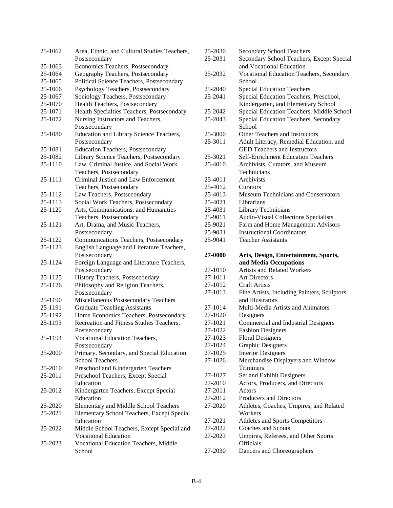| 25-1062 | Area, Ethnic, and Cultural Studies Teachers, |
|---------|----------------------------------------------|
|         | Postsecondary                                |
| 25-1063 | Economics Teachers, Postsecondary            |
| 25-1064 | Geography Teachers, Postsecondary            |
| 25-1065 | Political Science Teachers, Postsecondary    |
| 25-1066 | Psychology Teachers, Postsecondary           |
| 25-1067 | Sociology Teachers, Postsecondary            |
| 25-1070 | Health Teachers, Postsecondary               |
| 25-1071 | Health Specialties Teachers, Postsecondary   |
| 25-1072 | Nursing Instructors and Teachers,            |
|         | Postsecondary                                |
| 25-1080 | Education and Library Science Teachers,      |
|         | Postsecondary                                |
| 25-1081 | <b>Education Teachers, Postsecondary</b>     |
| 25-1082 | Library Science Teachers, Postsecondary      |
| 25-1110 | Law, Criminal Justice, and Social Work       |
|         | Teachers, Postsecondary                      |
| 25-1111 | Criminal Justice and Law Enforcement         |
|         | Teachers, Postsecondary                      |
| 25-1112 | Law Teachers, Postsecondary                  |
| 25-1113 | Social Work Teachers, Postsecondary          |
| 25-1120 | Arts, Communications, and Humanities         |
|         | Teachers, Postsecondary                      |
| 25-1121 | Art, Drama, and Music Teachers,              |
|         | Postsecondary                                |
| 25-1122 | Communications Teachers, Postsecondary       |
| 25-1123 | English Language and Literature Teachers,    |
|         | Postsecondary                                |
| 25-1124 | Foreign Language and Literature Teachers,    |
|         | Postsecondary                                |
| 25-1125 | History Teachers, Postsecondary              |
| 25-1126 | Philosophy and Religion Teachers,            |
|         | Postsecondary                                |
| 25-1190 | Miscellaneous Postsecondary Teachers         |
| 25-1191 | <b>Graduate Teaching Assistants</b>          |
| 25-1192 | Home Economics Teachers, Postsecondary       |
| 25-1193 | Recreation and Fitness Studies Teachers,     |
|         | Postsecondary                                |
| 25-1194 | Vocational Education Teachers,               |
|         | Postsecondary                                |
| 25-2000 | Primary, Secondary, and Special Education    |
|         | <b>School Teachers</b>                       |
| 25-2010 | Preschool and Kindergarten Teachers          |
| 25-2011 | Preschool Teachers, Except Special           |
|         | Education                                    |
| 25-2012 | Kindergarten Teachers, Except Special        |
|         | Education                                    |
| 25-2020 | <b>Elementary and Middle School Teachers</b> |
| 25-2021 | Elementary School Teachers, Except Special   |
|         | Education                                    |
| 25-2022 | Middle School Teachers, Except Special and   |
|         | <b>Vocational Education</b>                  |
| 25-2023 | Vocational Education Teachers, Middle        |
|         | School                                       |

| 25-2030            | <b>Secondary School Teachers</b>                      |
|--------------------|-------------------------------------------------------|
| 25-2031            | Secondary School Teachers, Except Special             |
|                    | and Vocational Education                              |
| 25-2032            | Vocational Education Teachers, Secondary              |
|                    | School                                                |
| 25-2040            | <b>Special Education Teachers</b>                     |
| 25-2041            | Special Education Teachers, Preschool,                |
|                    | Kindergarten, and Elementary School                   |
| 25-2042            | Special Education Teachers, Middle School             |
| 25-2043            | Special Education Teachers, Secondary                 |
|                    | School                                                |
| 25-3000            | <b>Other Teachers and Instructors</b>                 |
| 25-3011            | Adult Literacy, Remedial Education, and               |
|                    | <b>GED Teachers and Instructors</b>                   |
| 25-3021            | <b>Self-Enrichment Education Teachers</b>             |
| 25-4010            | Archivists, Curators, and Museum                      |
|                    | Technicians                                           |
| 25-4011            | Archivists                                            |
| 25-4012            | Curators                                              |
| 25-4013            | <b>Museum Technicians and Conservators</b>            |
| 25-4021            | Librarians                                            |
| 25-4031            | <b>Library Technicians</b>                            |
| 25-9011            | Audio-Visual Collections Specialists                  |
| 25-9021            | Farm and Home Management Advisors                     |
| 25-9031            | <b>Instructional Coordinators</b>                     |
| 25-9041            | <b>Teacher Assistants</b>                             |
|                    |                                                       |
| 27-0000            | Arts, Design, Entertainment, Sports,                  |
|                    | and Media Occupations                                 |
| 27-1010            | <b>Artists and Related Workers</b>                    |
| 27-1011            | <b>Art Directors</b>                                  |
| 27-1012            | <b>Craft Artists</b>                                  |
| 27-1013            | Fine Artists, Including Painters, Sculptors,          |
|                    | and Illustrators                                      |
| 27-1014            | Multi-Media Artists and Animators                     |
| 27-1020<br>27-1021 | Designers                                             |
|                    | Commercial and Industrial Designers                   |
| 27-1022            | <b>Fashion Designers</b>                              |
| 27-1023<br>27-1024 | <b>Floral Designers</b>                               |
| 27-1025            | <b>Graphic Designers</b><br><b>Interior Designers</b> |
| 27-1026            |                                                       |
|                    | Merchandise Displayers and Window<br>Trimmers         |
| 27-1027            | Set and Exhibit Designers                             |
| 27-2010            | Actors, Producers, and Directors                      |
| 27-2011            | Actors                                                |
| 27-2012            | <b>Producers and Directors</b>                        |
| 27-2020            | Athletes, Coaches, Umpires, and Related               |
|                    | Workers                                               |
| 27-2021            | Athletes and Sports Competitors                       |
| 27-2022            | Coaches and Scouts                                    |
| 27-2023            | Umpires, Referees, and Other Sports                   |
| 27-2030            | <b>Officials</b><br>Dancers and Choreographers        |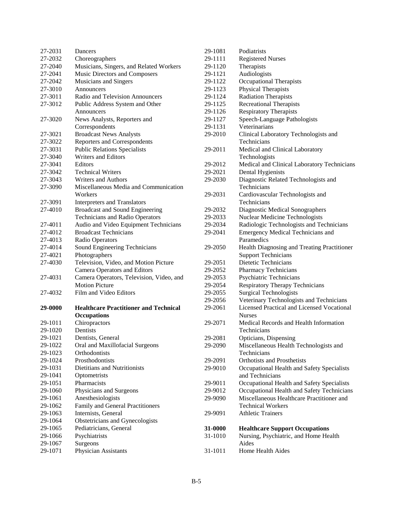| 27-2031            | Dancers                                      |
|--------------------|----------------------------------------------|
| 27-2032            | Choreographers                               |
| 27-2040            | Musicians, Singers, and Related Workers      |
| 27-2041            | Music Directors and Composers                |
| 27-2042            | <b>Musicians and Singers</b>                 |
| 27-3010            | Announcers                                   |
| 27-3011            | Radio and Television Announcers              |
| 27-3012            | Public Address System and Other              |
|                    | Announcers                                   |
| 27-3020            | News Analysts, Reporters and                 |
|                    | Correspondents                               |
| 27-3021            | <b>Broadcast News Analysts</b>               |
| 27-3022            | Reporters and Correspondents                 |
| 27-3031            | <b>Public Relations Specialists</b>          |
| 27-3040            | <b>Writers and Editors</b>                   |
| 27-3041            | Editors                                      |
| 27-3042            | <b>Technical Writers</b>                     |
| 27-3043            | <b>Writers and Authors</b>                   |
| 27-3090            | Miscellaneous Media and Communication        |
|                    | Workers                                      |
| 27-3091            | Interpreters and Translators                 |
| 27-4010            | <b>Broadcast and Sound Engineering</b>       |
|                    | <b>Technicians and Radio Operators</b>       |
| 27-4011            | Audio and Video Equipment Technicians        |
| 27-4012            | <b>Broadcast Technicians</b>                 |
| 27-4013            | Radio Operators                              |
| 27-4014            | Sound Engineering Technicians                |
|                    |                                              |
| 27-4021            | Photographers                                |
| 27-4030            | Television, Video, and Motion Picture        |
|                    | <b>Camera Operators and Editors</b>          |
| 27-4031            | Camera Operators, Television, Video, and     |
|                    | <b>Motion Picture</b>                        |
| 27-4032            | Film and Video Editors                       |
| 29-0000            | <b>Healthcare Practitioner and Technical</b> |
|                    | <b>Occupations</b>                           |
| 29-1011            | Chiropractors                                |
| 29-1020            | <b>Dentists</b>                              |
| 29-1021            | Dentists, General                            |
| 29-1022            | Oral and Maxillofacial Surgeons              |
| 29-1023            | Orthodontists                                |
| 29-1024            | Prosthodontists                              |
| 29-1031            | Dietitians and Nutritionists                 |
| 29-1041            | Optometrists                                 |
| 29-1051            | Pharmacists                                  |
| 29-1060            | Physicians and Surgeons                      |
| 29-1061            | Anesthesiologists                            |
| 29-1062            | Family and General Practitioners             |
| 29-1063            | Internists, General                          |
| 29-1064            | Obstetricians and Gynecologists              |
| 29-1065            | Pediatricians, General                       |
| 29-1066            | Psychiatrists                                |
| 29-1067<br>29-1071 | Surgeons<br>Physician Assistants             |

| 29-1081 | Podiatrists                                       |
|---------|---------------------------------------------------|
| 29-1111 | <b>Registered Nurses</b>                          |
| 29-1120 | Therapists                                        |
| 29-1121 | Audiologists                                      |
| 29-1122 | <b>Occupational Therapists</b>                    |
| 29-1123 | Physical Therapists                               |
| 29-1124 | <b>Radiation Therapists</b>                       |
| 29-1125 | <b>Recreational Therapists</b>                    |
| 29-1126 | <b>Respiratory Therapists</b>                     |
| 29-1127 | Speech-Language Pathologists                      |
| 29-1131 | Veterinarians                                     |
| 29-2010 | Clinical Laboratory Technologists and             |
|         | Technicians                                       |
|         |                                                   |
| 29-2011 | Medical and Clinical Laboratory                   |
|         | Technologists                                     |
| 29-2012 | Medical and Clinical Laboratory Technicians       |
| 29-2021 | Dental Hygienists                                 |
| 29-2030 | Diagnostic Related Technologists and              |
|         | Technicians                                       |
| 29-2031 | Cardiovascular Technologists and                  |
|         | Technicians                                       |
| 29-2032 | <b>Diagnostic Medical Sonographers</b>            |
| 29-2033 | <b>Nuclear Medicine Technologists</b>             |
| 29-2034 | Radiologic Technologists and Technicians          |
| 29-2041 | <b>Emergency Medical Technicians and</b>          |
|         | Paramedics                                        |
| 29-2050 | Health Diagnosing and Treating Practitioner       |
|         | <b>Support Technicians</b>                        |
| 29-2051 | Dietetic Technicians                              |
| 29-2052 | <b>Pharmacy Technicians</b>                       |
| 29-2053 | <b>Psychiatric Technicians</b>                    |
| 29-2054 | <b>Respiratory Therapy Technicians</b>            |
| 29-2055 | <b>Surgical Technologists</b>                     |
| 29-2056 | Veterinary Technologists and Technicians          |
| 29-2061 | <b>Licensed Practical and Licensed Vocational</b> |
|         | <b>Nurses</b>                                     |
| 29-2071 | Medical Records and Health Information            |
|         | Technicians                                       |
| 29-2081 | Opticians, Dispensing                             |
| 29-2090 | Miscellaneous Health Technologists and            |
|         | Technicians                                       |
| 29-2091 | <b>Orthotists and Prosthetists</b>                |
| 29-9010 | Occupational Health and Safety Specialists        |
|         | and Technicians                                   |
| 29-9011 | Occupational Health and Safety Specialists        |
| 29-9012 | Occupational Health and Safety Technicians        |
| 29-9090 | Miscellaneous Healthcare Practitioner and         |
|         | <b>Technical Workers</b>                          |
| 29-9091 | <b>Athletic Trainers</b>                          |
|         |                                                   |
| 31-0000 | <b>Healthcare Support Occupations</b>             |
| 31-1010 | Nursing, Psychiatric, and Home Health             |
|         | Aides                                             |
| 31-1011 | Home Health Aides                                 |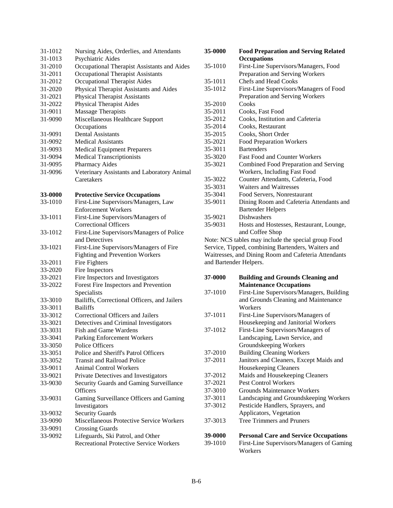| 31-1012 | Nursing Aides, Orderlies, and Attendants                   |
|---------|------------------------------------------------------------|
| 31-1013 | Psychiatric Aides                                          |
| 31-2010 | Occupational Therapist Assistants and Aides                |
| 31-2011 | <b>Occupational Therapist Assistants</b>                   |
| 31-2012 | Occupational Therapist Aides                               |
| 31-2020 | Physical Therapist Assistants and Aides                    |
| 31-2021 | <b>Physical Therapist Assistants</b>                       |
| 31-2022 | <b>Physical Therapist Aides</b>                            |
| 31-9011 | <b>Massage Therapists</b>                                  |
| 31-9090 | Miscellaneous Healthcare Support                           |
|         | Occupations                                                |
| 31-9091 | <b>Dental Assistants</b>                                   |
| 31-9092 | <b>Medical Assistants</b>                                  |
| 31-9093 | <b>Medical Equipment Preparers</b>                         |
| 31-9094 | <b>Medical Transcriptionists</b>                           |
| 31-9095 | Pharmacy Aides                                             |
| 31-9096 | Veterinary Assistants and Laboratory Animal                |
|         | Caretakers                                                 |
| 33-0000 | <b>Protective Service Occupations</b>                      |
| 33-1010 | First-Line Supervisors/Managers, Law                       |
|         | <b>Enforcement Workers</b>                                 |
| 33-1011 | First-Line Supervisors/Managers of                         |
|         | <b>Correctional Officers</b>                               |
| 33-1012 | First-Line Supervisors/Managers of Police                  |
|         | and Detectives                                             |
| 33-1021 | First-Line Supervisors/Managers of Fire                    |
|         | <b>Fighting and Prevention Workers</b>                     |
| 33-2011 | Fire Fighters                                              |
| 33-2020 | Fire Inspectors                                            |
| 33-2021 | Fire Inspectors and Investigators                          |
| 33-2022 | Forest Fire Inspectors and Prevention                      |
|         | Specialists                                                |
| 33-3010 | Bailiffs, Correctional Officers, and Jailers               |
| 33-3011 | <b>Bailiffs</b>                                            |
| 33-3012 | Correctional Officers and Jailers                          |
| 33-3021 | Detectives and Criminal Investigators                      |
| 33-3031 | Fish and Game Wardens                                      |
| 33-3041 | Parking Enforcement Workers                                |
| 33-3050 | Police Officers                                            |
| 33-3051 | Police and Sheriff's Patrol Officers                       |
| 33-3052 | <b>Transit and Railroad Police</b>                         |
| 33-9011 | <b>Animal Control Workers</b>                              |
| 33-9021 | Private Detectives and Investigators                       |
| 33-9030 | Security Guards and Gaming Surveillance<br><b>Officers</b> |
| 33-9031 | Gaming Surveillance Officers and Gaming                    |
|         | Investigators                                              |
| 33-9032 | <b>Security Guards</b>                                     |
| 33-9090 | Miscellaneous Protective Service Workers                   |
| 33-9091 | <b>Crossing Guards</b>                                     |
| 33-9092 | Lifeguards, Ski Patrol, and Other                          |
|         | <b>Recreational Protective Service Workers</b>             |

| 35-0000 | <b>Food Preparation and Serving Related</b>         |
|---------|-----------------------------------------------------|
|         | <b>Occupations</b>                                  |
| 35-1010 | First-Line Supervisors/Managers, Food               |
|         | Preparation and Serving Workers                     |
| 35-1011 | Chefs and Head Cooks                                |
| 35-1012 | First-Line Supervisors/Managers of Food             |
|         | Preparation and Serving Workers                     |
| 35-2010 | Cooks                                               |
| 35-2011 | Cooks, Fast Food                                    |
| 35-2012 | Cooks, Institution and Cafeteria                    |
| 35-2014 | Cooks, Restaurant                                   |
| 35-2015 | Cooks, Short Order                                  |
| 35-2021 | <b>Food Preparation Workers</b>                     |
| 35-3011 | <b>Bartenders</b>                                   |
| 35-3020 | <b>Fast Food and Counter Workers</b>                |
| 35-3021 | Combined Food Preparation and Serving               |
|         | Workers, Including Fast Food                        |
| 35-3022 | Counter Attendants, Cafeteria, Food                 |
| 35-3031 | Waiters and Waitresses                              |
| 35-3041 | Food Servers, Nonrestaurant                         |
| 35-9011 | Dining Room and Cafeteria Attendants and            |
|         | <b>Bartender Helpers</b>                            |
| 35-9021 | Dishwashers                                         |
| 35-9031 | Hosts and Hostesses, Restaurant, Lounge,            |
|         | and Coffee Shop                                     |
|         | Note: NCS tables may include the special group Food |
|         | Service Tinned combining Bartenders Waiters and     |

Service, Tipped, combining Bartenders, Waiters and Waitresses, and Dining Room and Cafeteria Attendants and Bartender Helpers.

| 37-0000 | <b>Building and Grounds Cleaning and</b>     |
|---------|----------------------------------------------|
|         | <b>Maintenance Occupations</b>               |
| 37-1010 | First-Line Supervisors/Managers, Building    |
|         | and Grounds Cleaning and Maintenance         |
|         | Workers                                      |
| 37-1011 | First-Line Supervisors/Managers of           |
|         | Housekeeping and Janitorial Workers          |
| 37-1012 | First-Line Supervisors/Managers of           |
|         | Landscaping, Lawn Service, and               |
|         | Groundskeeping Workers                       |
| 37-2010 | <b>Building Cleaning Workers</b>             |
| 37-2011 | Janitors and Cleaners, Except Maids and      |
|         | Housekeeping Cleaners                        |
| 37-2012 | Maids and Housekeeping Cleaners              |
| 37-2021 | <b>Pest Control Workers</b>                  |
| 37-3010 | Grounds Maintenance Workers                  |
| 37-3011 | Landscaping and Groundskeeping Workers       |
| 37-3012 | Pesticide Handlers, Sprayers, and            |
|         | Applicators, Vegetation                      |
| 37-3013 | <b>Tree Trimmers and Pruners</b>             |
| 39-0000 | <b>Personal Care and Service Occupations</b> |
| 39-1010 | First-Line Supervisors/Managers of Gaming    |
|         | Workers                                      |
|         |                                              |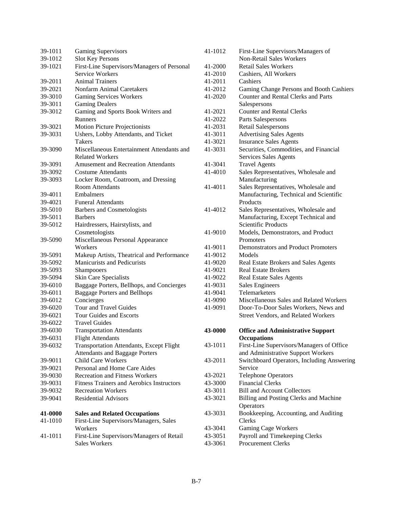| 39-1011 | <b>Gaming Supervisors</b>                                     |
|---------|---------------------------------------------------------------|
| 39-1012 | <b>Slot Key Persons</b>                                       |
| 39-1021 | First-Line Supervisors/Managers of Personal                   |
|         | Service Workers                                               |
| 39-2011 | <b>Animal Trainers</b>                                        |
| 39-2021 | Nonfarm Animal Caretakers                                     |
| 39-3010 | <b>Gaming Services Workers</b>                                |
| 39-3011 | <b>Gaming Dealers</b>                                         |
| 39-3012 | Gaming and Sports Book Writers and                            |
|         | Runners                                                       |
| 39-3021 | <b>Motion Picture Projectionists</b>                          |
| 39-3031 | Ushers, Lobby Attendants, and Ticket                          |
|         | Takers                                                        |
| 39-3090 | Miscellaneous Entertainment Attendants and                    |
|         | <b>Related Workers</b>                                        |
| 39-3091 | <b>Amusement and Recreation Attendants</b>                    |
|         | <b>Costume Attendants</b>                                     |
| 39-3092 |                                                               |
| 39-3093 | Locker Room, Coatroom, and Dressing<br><b>Room Attendants</b> |
|         |                                                               |
| 39-4011 | Embalmers                                                     |
| 39-4021 | <b>Funeral Attendants</b>                                     |
| 39-5010 | <b>Barbers and Cosmetologists</b>                             |
| 39-5011 | <b>Barbers</b>                                                |
| 39-5012 | Hairdressers, Hairstylists, and                               |
|         | Cosmetologists                                                |
| 39-5090 | Miscellaneous Personal Appearance                             |
|         | Workers                                                       |
| 39-5091 | Makeup Artists, Theatrical and Performance                    |
| 39-5092 | <b>Manicurists and Pedicurists</b>                            |
| 39-5093 | Shampooers                                                    |
| 39-5094 | Skin Care Specialists                                         |
| 39-6010 | Baggage Porters, Bellhops, and Concierges                     |
| 39-6011 | <b>Baggage Porters and Bellhops</b>                           |
| 39-6012 | Concierges                                                    |
| 39-6020 | Tour and Travel Guides                                        |
| 39-6021 | <b>Tour Guides and Escorts</b>                                |
| 39-6022 | <b>Travel Guides</b>                                          |
| 39-6030 | <b>Transportation Attendants</b>                              |
| 39-6031 | <b>Flight Attendants</b>                                      |
| 39-6032 | Transportation Attendants, Except Flight                      |
|         | <b>Attendants and Baggage Porters</b>                         |
| 39-9011 | <b>Child Care Workers</b>                                     |
| 39-9021 | Personal and Home Care Aides                                  |
| 39-9030 | <b>Recreation and Fitness Workers</b>                         |
| 39-9031 | <b>Fitness Trainers and Aerobics Instructors</b>              |
| 39-9032 | <b>Recreation Workers</b>                                     |
| 39-9041 | <b>Residential Advisors</b>                                   |
|         |                                                               |
| 41-0000 | <b>Sales and Related Occupations</b>                          |
| 41-1010 | First-Line Supervisors/Managers, Sales                        |
|         | Workers                                                       |
| 41-1011 | First-Line Supervisors/Managers of Retail                     |
|         | <b>Sales Workers</b>                                          |

| 41-1012            | First-Line Supervisors/Managers of                          |
|--------------------|-------------------------------------------------------------|
|                    | <b>Non-Retail Sales Workers</b>                             |
| 41-2000            | <b>Retail Sales Workers</b>                                 |
| 41-2010            | Cashiers, All Workers                                       |
| 41-2011            | Cashiers                                                    |
| 41-2012            | Gaming Change Persons and Booth Cashiers                    |
| 41-2020            | Counter and Rental Clerks and Parts                         |
|                    | Salespersons                                                |
| 41-2021            | <b>Counter and Rental Clerks</b>                            |
| 41-2022            | Parts Salespersons                                          |
| 41-2031            | <b>Retail Salespersons</b>                                  |
| 41-3011            | <b>Advertising Sales Agents</b>                             |
| 41-3021            | <b>Insurance Sales Agents</b>                               |
| 41-3031            | Securities, Commodities, and Financial                      |
|                    | Services Sales Agents                                       |
| 41-3041            | <b>Travel Agents</b>                                        |
| 41-4010            | Sales Representatives, Wholesale and                        |
|                    | Manufacturing                                               |
| 41-4011            | Sales Representatives, Wholesale and                        |
|                    | Manufacturing, Technical and Scientific                     |
|                    | Products                                                    |
| 41-4012            | Sales Representatives, Wholesale and                        |
|                    | Manufacturing, Except Technical and                         |
|                    | Scientific Products                                         |
| 41-9010            | Models, Demonstrators, and Product                          |
|                    | Promoters                                                   |
| 41-9011            | Demonstrators and Product Promoters                         |
| 41-9012            | Models                                                      |
|                    |                                                             |
| 41-9020            | Real Estate Brokers and Sales Agents                        |
| 41-9021            | <b>Real Estate Brokers</b>                                  |
| 41-9022            | <b>Real Estate Sales Agents</b>                             |
| 41-9031            | <b>Sales Engineers</b>                                      |
| 41-9041            | Telemarketers                                               |
| 41-9090            | Miscellaneous Sales and Related Workers                     |
| 41-9091            | Door-To-Door Sales Workers, News and                        |
|                    | Street Vendors, and Related Workers                         |
|                    |                                                             |
| 43-0000            | <b>Office and Administrative Support</b>                    |
|                    | <b>Occupations</b>                                          |
| 43-1011            | First-Line Supervisors/Managers of Office                   |
|                    | and Administrative Support Workers                          |
| 43-2011            | Switchboard Operators, Including Answering                  |
|                    | Service                                                     |
| 43-2021            | <b>Telephone Operators</b>                                  |
| 43-3000            | <b>Financial Clerks</b>                                     |
| 43-3011            | <b>Bill and Account Collectors</b>                          |
| 43-3021            | Billing and Posting Clerks and Machine                      |
|                    | Operators                                                   |
| 43-3031            | Bookkeeping, Accounting, and Auditing                       |
|                    | Clerks                                                      |
| 43-3041            | <b>Gaming Cage Workers</b>                                  |
| 43-3051<br>43-3061 | Payroll and Timekeeping Clerks<br><b>Procurement Clerks</b> |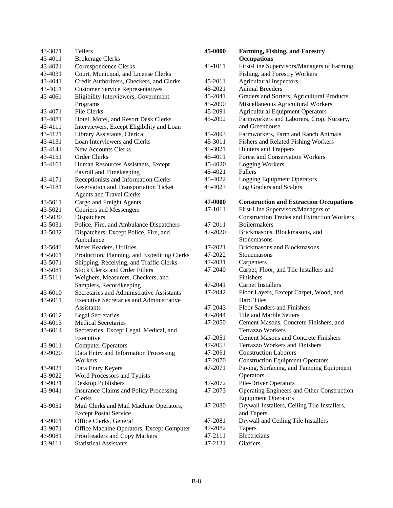| 43-3071 | Tellers                                         |
|---------|-------------------------------------------------|
| 43-4011 | <b>Brokerage Clerks</b>                         |
| 43-4021 | Correspondence Clerks                           |
| 43-4031 | Court, Municipal, and License Clerks            |
| 43-4041 | Credit Authorizers, Checkers, and Clerks        |
| 43-4051 | <b>Customer Service Representatives</b>         |
| 43-4061 | Eligibility Interviewers, Government            |
|         | Programs                                        |
| 43-4071 | <b>File Clerks</b>                              |
| 43-4081 | Hotel, Motel, and Resort Desk Clerks            |
| 43-4111 | Interviewers, Except Eligibility and Loan       |
| 43-4121 | Library Assistants, Clerical                    |
| 43-4131 | Loan Interviewers and Clerks                    |
| 43-4141 | <b>New Accounts Clerks</b>                      |
| 43-4151 | <b>Order Clerks</b>                             |
| 43-4161 | Human Resources Assistants, Except              |
|         | Payroll and Timekeeping                         |
| 43-4171 | Receptionists and Information Clerks            |
| 43-4181 | <b>Reservation and Transportation Ticket</b>    |
|         | <b>Agents and Travel Clerks</b>                 |
| 43-5011 | Cargo and Freight Agents                        |
| 43-5021 | <b>Couriers and Messengers</b>                  |
| 43-5030 | Dispatchers                                     |
| 43-5031 | Police, Fire, and Ambulance Dispatchers         |
| 43-5032 | Dispatchers, Except Police, Fire, and           |
|         | Ambulance                                       |
| 43-5041 | Meter Readers, Utilities                        |
| 43-5061 | Production, Planning, and Expediting Clerks     |
| 43-5071 | Shipping, Receiving, and Traffic Clerks         |
| 43-5081 | <b>Stock Clerks and Order Fillers</b>           |
| 43-5111 | Weighers, Measurers, Checkers, and              |
|         | Samplers, Recordkeeping                         |
| 43-6010 | Secretaries and Administrative Assistants       |
| 43-6011 | <b>Executive Secretaries and Administrative</b> |
|         | Assistants                                      |
| 43-6012 | <b>Legal Secretaries</b>                        |
| 43-6013 | <b>Medical Secretaries</b>                      |
| 43-6014 | Secretaries, Except Legal, Medical, and         |
|         | Executive                                       |
| 43-9011 | <b>Computer Operators</b>                       |
| 43-9020 | Data Entry and Information Processing           |
|         | Workers                                         |
| 43-9021 | Data Entry Keyers                               |
| 43-9022 | Word Processors and Typists                     |
| 43-9031 | Desktop Publishers                              |
| 43-9041 | Insurance Claims and Policy Processing          |
|         | Clerks                                          |
| 43-9051 | Mail Clerks and Mail Machine Operators,         |
|         | <b>Except Postal Service</b>                    |
| 43-9061 | Office Clerks, General                          |
| 43-9071 | Office Machine Operators, Except Computer       |
| 43-9081 | Proofreaders and Copy Markers                   |
| 43-9111 | <b>Statistical Assistants</b>                   |

| 45-0000 | <b>Farming, Fishing, and Forestry</b><br><b>Occupations</b> |
|---------|-------------------------------------------------------------|
| 45-1011 | First-Line Supervisors/Managers of Farming,                 |
|         | Fishing, and Forestry Workers                               |
| 45-2011 | <b>Agricultural Inspectors</b>                              |
| 45-2021 | <b>Animal Breeders</b>                                      |
| 45-2041 | Graders and Sorters, Agricultural Products                  |
| 45-2090 | Miscellaneous Agricultural Workers                          |
| 45-2091 | <b>Agricultural Equipment Operators</b>                     |
| 45-2092 | Farmworkers and Laborers, Crop, Nursery,                    |
|         | and Greenhouse                                              |
| 45-2093 | Farmworkers, Farm and Ranch Animals                         |
| 45-3011 | Fishers and Related Fishing Workers                         |
| 45-3021 | Hunters and Trappers                                        |
| 45-4011 | <b>Forest and Conservation Workers</b>                      |
| 45-4020 | <b>Logging Workers</b>                                      |
| 45-4021 | Fallers                                                     |
| 45-4022 | <b>Logging Equipment Operators</b>                          |
| 45-4023 | Log Graders and Scalers                                     |
|         |                                                             |
| 47-0000 | <b>Construction and Extraction Occupations</b>              |
| 47-1011 | First-Line Supervisors/Managers of                          |
|         | <b>Construction Trades and Extraction Workers</b>           |
| 47-2011 | <b>Boilermakers</b>                                         |
| 47-2020 | Brickmasons, Blockmasons, and                               |
|         | Stonemasons                                                 |
| 47-2021 | <b>Brickmasons and Blockmasons</b>                          |
| 47-2022 | Stonemasons                                                 |
| 47-2031 | Carpenters                                                  |
| 47-2040 | Carpet, Floor, and Tile Installers and                      |
|         | Finishers                                                   |
| 47-2041 | <b>Carpet Installers</b>                                    |
| 47-2042 | Floor Layers, Except Carpet, Wood, and<br><b>Hard Tiles</b> |
| 47-2043 | <b>Floor Sanders and Finishers</b>                          |
| 47-2044 | Tile and Marble Setters                                     |
| 47-2050 | Cement Masons, Concrete Finishers, and                      |
|         | <b>Terrazzo Workers</b>                                     |
| 47-2051 | <b>Cement Masons and Concrete Finishers</b>                 |
| 47-2053 | <b>Terrazzo Workers and Finishers</b>                       |
| 47-2061 | <b>Construction Laborers</b>                                |
| 47-2070 | <b>Construction Equipment Operators</b>                     |
| 47-2071 | Paving, Surfacing, and Tamping Equipment                    |
|         | Operators                                                   |
| 47-2072 | <b>Pile-Driver Operators</b>                                |
| 47-2073 | Operating Engineers and Other Construction                  |
|         | <b>Equipment Operators</b>                                  |
| 47-2080 | Drywall Installers, Ceiling Tile Installers,                |
|         | and Tapers                                                  |
| 47-2081 | Drywall and Ceiling Tile Installers                         |
| 47-2082 | Tapers                                                      |
| 47-2111 | Electricians                                                |
| 47-2121 | Glaziers                                                    |
|         |                                                             |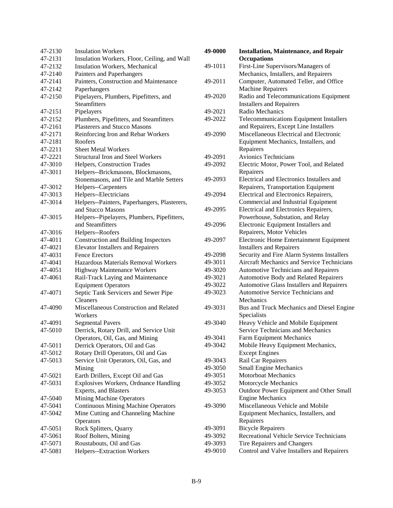| 47-2130 | <b>Insulation Workers</b>                    | 49-0000 | <b>Installation, Maintenance, and Repair</b> |
|---------|----------------------------------------------|---------|----------------------------------------------|
| 47-2131 | Insulation Workers, Floor, Ceiling, and Wall |         | <b>Occupations</b>                           |
| 47-2132 | Insulation Workers, Mechanical               | 49-1011 | First-Line Supervisors/Managers of           |
| 47-2140 | Painters and Paperhangers                    |         | Mechanics, Installers, and Repairers         |
| 47-2141 | Painters, Construction and Maintenance       | 49-2011 | Computer, Automated Teller, and Office       |
| 47-2142 | Paperhangers                                 |         | <b>Machine Repairers</b>                     |
| 47-2150 | Pipelayers, Plumbers, Pipefitters, and       | 49-2020 | Radio and Telecommunications Equipment       |
|         | Steamfitters                                 |         | <b>Installers and Repairers</b>              |
| 47-2151 | Pipelayers                                   | 49-2021 | Radio Mechanics                              |
| 47-2152 | Plumbers, Pipefitters, and Steamfitters      | 49-2022 | Telecommunications Equipment Installers      |
| 47-2161 | <b>Plasterers and Stucco Masons</b>          |         | and Repairers, Except Line Installers        |
| 47-2171 | Reinforcing Iron and Rebar Workers           | 49-2090 | Miscellaneous Electrical and Electronic      |
| 47-2181 | Roofers                                      |         | Equipment Mechanics, Installers, and         |
| 47-2211 | <b>Sheet Metal Workers</b>                   |         | Repairers                                    |
| 47-2221 | <b>Structural Iron and Steel Workers</b>     | 49-2091 | Avionics Technicians                         |
| 47-3010 | Helpers, Construction Trades                 | 49-2092 | Electric Motor, Power Tool, and Related      |
| 47-3011 | Helpers--Brickmasons, Blockmasons,           |         | Repairers                                    |
|         | Stonemasons, and Tile and Marble Setters     | 49-2093 | Electrical and Electronics Installers and    |
| 47-3012 | Helpers--Carpenters                          |         | Repairers, Transportation Equipment          |
| 47-3013 | Helpers--Electricians                        | 49-2094 | Electrical and Electronics Repairers,        |
| 47-3014 | Helpers--Painters, Paperhangers, Plasterers, |         | Commercial and Industrial Equipment          |
|         | and Stucco Masons                            | 49-2095 | Electrical and Electronics Repairers,        |
| 47-3015 | Helpers--Pipelayers, Plumbers, Pipefitters,  |         | Powerhouse, Substation, and Relay            |
|         | and Steamfitters                             | 49-2096 | Electronic Equipment Installers and          |
| 47-3016 | Helpers--Roofers                             |         | Repairers, Motor Vehicles                    |
| 47-4011 | <b>Construction and Building Inspectors</b>  | 49-2097 | Electronic Home Entertainment Equipment      |
| 47-4021 | <b>Elevator Installers and Repairers</b>     |         | <b>Installers and Repairers</b>              |
| 47-4031 | <b>Fence Erectors</b>                        | 49-2098 | Security and Fire Alarm Systems Installers   |
| 47-4041 | Hazardous Materials Removal Workers          | 49-3011 | Aircraft Mechanics and Service Technicians   |
| 47-4051 | Highway Maintenance Workers                  | 49-3020 | Automotive Technicians and Repairers         |
| 47-4061 | Rail-Track Laying and Maintenance            | 49-3021 | Automotive Body and Related Repairers        |
|         | <b>Equipment Operators</b>                   | 49-3022 | Automotive Glass Installers and Repairers    |
| 47-4071 | Septic Tank Servicers and Sewer Pipe         | 49-3023 | Automotive Service Technicians and           |
|         | Cleaners                                     |         | Mechanics                                    |
| 47-4090 | Miscellaneous Construction and Related       | 49-3031 | Bus and Truck Mechanics and Diesel Engine    |
|         | Workers                                      |         | Specialists                                  |
| 47-4091 | <b>Segmental Pavers</b>                      | 49-3040 | Heavy Vehicle and Mobile Equipment           |
| 47-5010 | Derrick, Rotary Drill, and Service Unit      |         | Service Technicians and Mechanics            |
|         | Operators, Oil, Gas, and Mining              | 49-3041 | Farm Equipment Mechanics                     |
| 47-5011 | Derrick Operators, Oil and Gas               | 49-3042 | Mobile Heavy Equipment Mechanics,            |
| 47-5012 | Rotary Drill Operators, Oil and Gas          |         | <b>Except Engines</b>                        |
| 47-5013 | Service Unit Operators, Oil, Gas, and        | 49-3043 | Rail Car Repairers                           |
|         | Mining                                       | 49-3050 | <b>Small Engine Mechanics</b>                |
| 47-5021 | Earth Drillers, Except Oil and Gas           | 49-3051 | <b>Motorboat Mechanics</b>                   |
| 47-5031 | Explosives Workers, Ordnance Handling        | 49-3052 | Motorcycle Mechanics                         |
|         | <b>Experts, and Blasters</b>                 | 49-3053 | Outdoor Power Equipment and Other Small      |
| 47-5040 | <b>Mining Machine Operators</b>              |         | <b>Engine Mechanics</b>                      |
| 47-5041 | <b>Continuous Mining Machine Operators</b>   | 49-3090 | Miscellaneous Vehicle and Mobile             |
| 47-5042 | Mine Cutting and Channeling Machine          |         | Equipment Mechanics, Installers, and         |
|         | Operators                                    |         | Repairers                                    |
| 47-5051 | Rock Splitters, Quarry                       | 49-3091 | <b>Bicycle Repairers</b>                     |
| 47-5061 | Roof Bolters, Mining                         | 49-3092 | Recreational Vehicle Service Technicians     |
| 47-5071 | Roustabouts, Oil and Gas                     | 49-3093 | Tire Repairers and Changers                  |
| 47-5081 | Helpers--Extraction Workers                  | 49-9010 | Control and Valve Installers and Repairers   |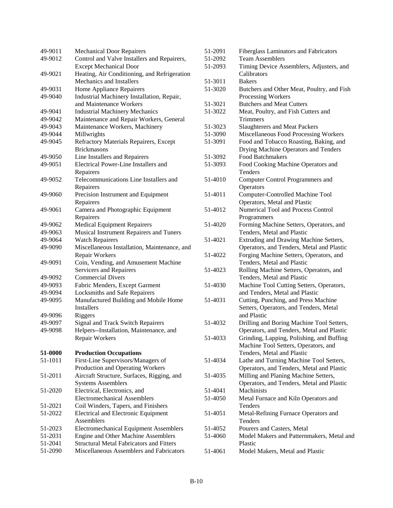| 49-9011 | <b>Mechanical Door Repairers</b>                |
|---------|-------------------------------------------------|
| 49-9012 | Control and Valve Installers and Repairers,     |
|         | <b>Except Mechanical Door</b>                   |
| 49-9021 | Heating, Air Conditioning, and Refrigeration    |
|         | Mechanics and Installers                        |
| 49-9031 | Home Appliance Repairers                        |
| 49-9040 | Industrial Machinery Installation, Repair,      |
|         | and Maintenance Workers                         |
| 49-9041 | <b>Industrial Machinery Mechanics</b>           |
| 49-9042 | Maintenance and Repair Workers, General         |
| 49-9043 | Maintenance Workers, Machinery                  |
| 49-9044 | Millwrights                                     |
| 49-9045 | Refractory Materials Repairers, Except          |
|         | <b>Brickmasons</b>                              |
| 49-9050 | Line Installers and Repairers                   |
| 49-9051 | Electrical Power-Line Installers and            |
|         | Repairers                                       |
| 49-9052 | Telecommunications Line Installers and          |
|         |                                                 |
| 49-9060 | Repairers                                       |
|         | Precision Instrument and Equipment              |
|         | Repairers                                       |
| 49-9061 | Camera and Photographic Equipment               |
|         | Repairers                                       |
| 49-9062 | <b>Medical Equipment Repairers</b>              |
| 49-9063 | Musical Instrument Repairers and Tuners         |
| 49-9064 | <b>Watch Repairers</b>                          |
| 49-9090 | Miscellaneous Installation, Maintenance, and    |
|         | Repair Workers                                  |
| 49-9091 | Coin, Vending, and Amusement Machine            |
|         | Servicers and Repairers                         |
| 49-9092 | <b>Commercial Divers</b>                        |
| 49-9093 | Fabric Menders, Except Garment                  |
| 49-9094 | <b>Locksmiths and Safe Repairers</b>            |
| 49-9095 | Manufactured Building and Mobile Home           |
|         | <b>Installers</b>                               |
| 49-9096 | Riggers                                         |
| 49-9097 | Signal and Track Switch Repairers               |
| 49-9098 | Helpers--Installation, Maintenance, and         |
|         | Repair Workers                                  |
|         |                                                 |
| 51-0000 | <b>Production Occupations</b>                   |
| 51-1011 | First-Line Supervisors/Managers of              |
|         | Production and Operating Workers                |
| 51-2011 | Aircraft Structure, Surfaces, Rigging, and      |
|         | <b>Systems Assemblers</b>                       |
| 51-2020 | Electrical, Electronics, and                    |
|         | <b>Electromechanical Assemblers</b>             |
| 51-2021 | Coil Winders, Tapers, and Finishers             |
| 51-2022 | <b>Electrical and Electronic Equipment</b>      |
|         | Assemblers                                      |
| 51-2023 | <b>Electromechanical Equipment Assemblers</b>   |
| 51-2031 | <b>Engine and Other Machine Assemblers</b>      |
| 51-2041 | <b>Structural Metal Fabricators and Fitters</b> |
| 51-2090 | Miscellaneous Assemblers and Fabricators        |

| 51-2091<br>51-2092 | <b>Fiberglass Laminators and Fabricators</b><br><b>Team Assemblers</b>              |
|--------------------|-------------------------------------------------------------------------------------|
| 51-2093            | Timing Device Assemblers, Adjusters, and<br>Calibrators                             |
| 51-3011            | <b>Bakers</b>                                                                       |
| 51-3020            | Butchers and Other Meat, Poultry, and Fish<br>Processing Workers                    |
| 51-3021            | <b>Butchers and Meat Cutters</b>                                                    |
| 51-3022            | Meat, Poultry, and Fish Cutters and<br><b>Trimmers</b>                              |
| 51-3023            | <b>Slaughterers and Meat Packers</b>                                                |
| 51-3090            | Miscellaneous Food Processing Workers                                               |
| 51-3091            | Food and Tobacco Roasting, Baking, and                                              |
|                    | Drying Machine Operators and Tenders                                                |
| 51-3092            | <b>Food Batchmakers</b>                                                             |
| 51-3093            | Food Cooking Machine Operators and                                                  |
|                    | Tenders                                                                             |
|                    |                                                                                     |
| 51-4010            | <b>Computer Control Programmers and</b>                                             |
|                    | Operators                                                                           |
| 51-4011            | Computer-Controlled Machine Tool                                                    |
|                    | Operators, Metal and Plastic                                                        |
| 51-4012            | Numerical Tool and Process Control                                                  |
|                    | Programmers                                                                         |
| 51-4020            | Forming Machine Setters, Operators, and                                             |
|                    | Tenders, Metal and Plastic                                                          |
| 51-4021            | Extruding and Drawing Machine Setters,<br>Operators, and Tenders, Metal and Plastic |
| 51-4022            | Forging Machine Setters, Operators, and<br>Tenders, Metal and Plastic               |
| 51-4023            | Rolling Machine Setters, Operators, and<br>Tenders, Metal and Plastic               |
| 51-4030            | Machine Tool Cutting Setters, Operators,<br>and Tenders, Metal and Plastic          |
| 51-4031            | Cutting, Punching, and Press Machine                                                |
|                    | Setters, Operators, and Tenders, Metal<br>and Plastic                               |
| 51-4032            | Drilling and Boring Machine Tool Setters,                                           |
|                    | Operators, and Tenders, Metal and Plastic                                           |
| 51-4033            | Grinding, Lapping, Polishing, and Buffing                                           |
|                    | Machine Tool Setters, Operators, and                                                |
|                    | Tenders, Metal and Plastic                                                          |
| 51-4034            | Lathe and Turning Machine Tool Setters,                                             |
|                    | Operators, and Tenders, Metal and Plastic                                           |
| 51-4035            |                                                                                     |
|                    | Milling and Planing Machine Setters,<br>Operators, and Tenders, Metal and Plastic   |
|                    | <b>Machinists</b>                                                                   |
| 51-4041            |                                                                                     |
| 51-4050            | Metal Furnace and Kiln Operators and<br><b>Tenders</b>                              |
| 51-4051            | Metal-Refining Furnace Operators and                                                |
|                    | Tenders                                                                             |
| 51-4052            | Pourers and Casters, Metal                                                          |
| 51-4060            | Model Makers and Patternmakers, Metal and                                           |
|                    | Plastic                                                                             |
| 51-4061            |                                                                                     |
|                    | Model Makers, Metal and Plastic                                                     |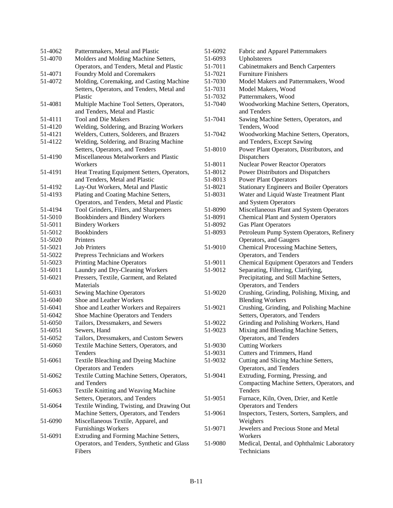| 51-4062 | Patternmakers, Metal and Plastic                     |
|---------|------------------------------------------------------|
| 51-4070 | Molders and Molding Machine Setters,                 |
|         | Operators, and Tenders, Metal and Plastic            |
| 51-4071 | Foundry Mold and Coremakers                          |
| 51-4072 | Molding, Coremaking, and Casting Machine             |
|         | Setters, Operators, and Tenders, Metal and           |
|         | Plastic                                              |
| 51-4081 | Multiple Machine Tool Setters, Operators,            |
|         | and Tenders, Metal and Plastic                       |
| 51-4111 | <b>Tool and Die Makers</b>                           |
| 51-4120 | Welding, Soldering, and Brazing Workers              |
| 51-4121 | Welders, Cutters, Solderers, and Brazers             |
| 51-4122 | Welding, Soldering, and Brazing Machine              |
|         | Setters, Operators, and Tenders                      |
| 51-4190 | Miscellaneous Metalworkers and Plastic               |
|         | Workers                                              |
| 51-4191 | Heat Treating Equipment Setters, Operators,          |
|         | and Tenders, Metal and Plastic                       |
| 51-4192 | Lay-Out Workers, Metal and Plastic                   |
| 51-4193 | Plating and Coating Machine Setters,                 |
|         | Operators, and Tenders, Metal and Plastic            |
| 51-4194 | Tool Grinders, Filers, and Sharpeners                |
| 51-5010 | <b>Bookbinders and Bindery Workers</b>               |
| 51-5011 | <b>Bindery Workers</b>                               |
| 51-5012 | <b>Bookbinders</b>                                   |
| 51-5020 | Printers                                             |
| 51-5021 | <b>Job Printers</b>                                  |
| 51-5022 |                                                      |
|         | Prepress Technicians and Workers                     |
| 51-5023 | <b>Printing Machine Operators</b>                    |
| 51-6011 | Laundry and Dry-Cleaning Workers                     |
| 51-6021 | Pressers, Textile, Garment, and Related<br>Materials |
|         |                                                      |
| 51-6031 | <b>Sewing Machine Operators</b>                      |
| 51-6040 | Shoe and Leather Workers                             |
| 51-6041 | Shoe and Leather Workers and Repairers               |
| 51-6042 | Shoe Machine Operators and Tenders                   |
| 51-6050 | Tailors, Dressmakers, and Sewers                     |
| 51-6051 | Sewers, Hand                                         |
| 51-6052 | Tailors, Dressmakers, and Custom Sewers              |
| 51-6060 | Textile Machine Setters, Operators, and              |
|         | Tenders                                              |
| 51-6061 | Textile Bleaching and Dyeing Machine                 |
|         | <b>Operators and Tenders</b>                         |
| 51-6062 | Textile Cutting Machine Setters, Operators,          |
|         | and Tenders                                          |
| 51-6063 | Textile Knitting and Weaving Machine                 |
|         | Setters, Operators, and Tenders                      |
| 51-6064 | Textile Winding, Twisting, and Drawing Out           |
|         | Machine Setters, Operators, and Tenders              |
| 51-6090 | Miscellaneous Textile, Apparel, and                  |
|         | <b>Furnishings Workers</b>                           |
| 51-6091 | Extruding and Forming Machine Setters,               |
|         | Operators, and Tenders, Synthetic and Glass          |
|         | Fibers                                               |

| 51-6092 | Fabric and Apparel Patternmakers                 |
|---------|--------------------------------------------------|
| 51-6093 | Upholsterers                                     |
| 51-7011 | Cabinetmakers and Bench Carpenters               |
| 51-7021 | <b>Furniture Finishers</b>                       |
| 51-7030 | Model Makers and Patternmakers, Wood             |
| 51-7031 | Model Makers, Wood                               |
| 51-7032 | Patternmakers, Wood                              |
| 51-7040 | Woodworking Machine Setters, Operators,          |
|         | and Tenders                                      |
| 51-7041 | Sawing Machine Setters, Operators, and           |
|         | Tenders, Wood                                    |
| 51-7042 | Woodworking Machine Setters, Operators,          |
|         | and Tenders, Except Sawing                       |
| 51-8010 | Power Plant Operators, Distributors, and         |
|         | Dispatchers                                      |
| 51-8011 | <b>Nuclear Power Reactor Operators</b>           |
| 51-8012 | Power Distributors and Dispatchers               |
| 51-8013 | <b>Power Plant Operators</b>                     |
| 51-8021 | <b>Stationary Engineers and Boiler Operators</b> |
| 51-8031 | Water and Liquid Waste Treatment Plant           |
|         | and System Operators                             |
| 51-8090 | Miscellaneous Plant and System Operators         |
| 51-8091 | <b>Chemical Plant and System Operators</b>       |
| 51-8092 | <b>Gas Plant Operators</b>                       |
| 51-8093 | Petroleum Pump System Operators, Refinery        |
|         | Operators, and Gaugers                           |
| 51-9010 | Chemical Processing Machine Setters,             |
|         | Operators, and Tenders                           |
| 51-9011 | <b>Chemical Equipment Operators and Tenders</b>  |
| 51-9012 | Separating, Filtering, Clarifying,               |
|         | Precipitating, and Still Machine Setters,        |
|         | Operators, and Tenders                           |
| 51-9020 | Crushing, Grinding, Polishing, Mixing, and       |
|         | <b>Blending Workers</b>                          |
| 51-9021 | Crushing, Grinding, and Polishing Machine        |
|         | Setters, Operators, and Tenders                  |
| 51-9022 | Grinding and Polishing Workers, Hand             |
| 51-9023 | Mixing and Blending Machine Setters,             |
|         | Operators, and Tenders                           |
| 51-9030 | <b>Cutting Workers</b>                           |
| 51-9031 | Cutters and Trimmers, Hand                       |
| 51-9032 | Cutting and Slicing Machine Setters,             |
|         | Operators, and Tenders                           |
| 51-9041 | Extruding, Forming, Pressing, and                |
|         | Compacting Machine Setters, Operators, and       |
|         | Tenders                                          |
| 51-9051 | Furnace, Kiln, Oven, Drier, and Kettle           |
|         | <b>Operators and Tenders</b>                     |
| 51-9061 | Inspectors, Testers, Sorters, Samplers, and      |
|         | Weighers                                         |
| 51-9071 | Jewelers and Precious Stone and Metal            |
|         | Workers                                          |
| 51-9080 | Medical, Dental, and Ophthalmic Laboratory       |
|         | Technicians                                      |
|         |                                                  |